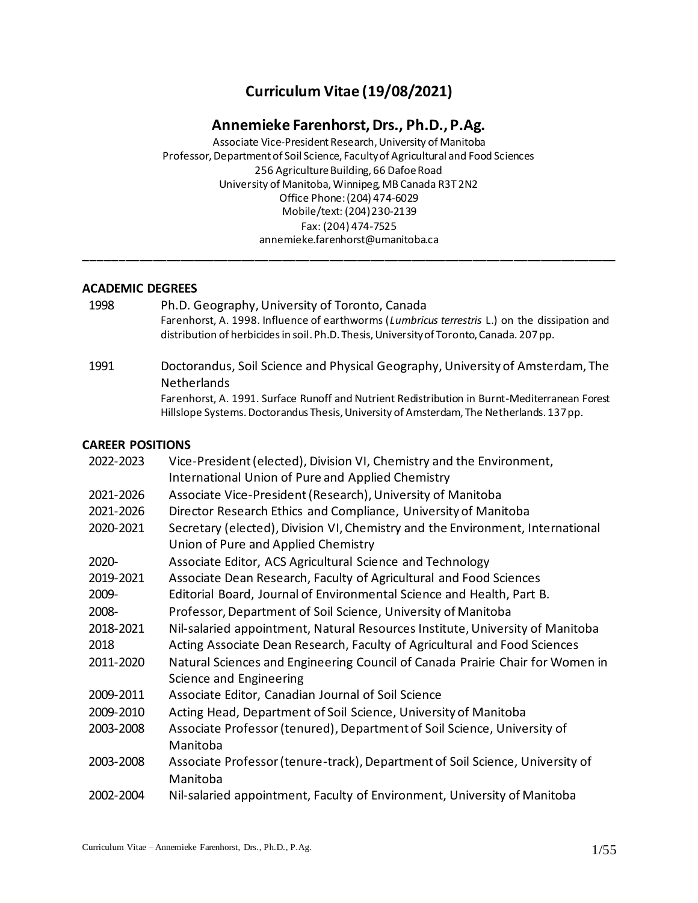# **Curriculum Vitae (19/08/2021)**

# **Annemieke Farenhorst, Drs., Ph.D., P.Ag.**

Associate Vice-President Research, University of Manitoba Professor, Department of Soil Science, Faculty of Agricultural and Food Sciences 256 Agriculture Building, 66 Dafoe Road University of Manitoba, Winnipeg, MB Canada R3T 2N2 Office Phone: (204) 474-6029 Mobile/text: (204) 230-2139 Fax: (204) 474-7525 annemieke.farenhorst@umanitoba.ca **\_\_\_\_\_\_\_\_\_\_\_\_\_\_\_\_\_\_\_\_\_\_\_\_\_\_\_\_\_\_\_\_\_\_\_\_\_\_\_\_\_\_\_\_\_\_\_\_\_\_\_\_\_\_\_\_\_\_\_\_\_\_\_\_\_\_\_\_\_\_\_\_\_\_\_\_\_\_**

#### **ACADEMIC DEGREES**

- 1998 Ph.D. Geography, University of Toronto, Canada Farenhorst, A. 1998. Influence of earthworms (*Lumbricus terrestris* L.) on the dissipation and distribution of herbicides in soil. Ph.D. Thesis, University of Toronto, Canada. 207 pp.
- 1991 Doctorandus, Soil Science and Physical Geography, University of Amsterdam, The **Netherlands** Farenhorst, A. 1991. Surface Runoff and Nutrient Redistribution in Burnt-Mediterranean Forest Hillslope Systems. Doctorandus Thesis, University of Amsterdam, The Netherlands. 137 pp.

#### **CAREER POSITIONS**

| 2022-2023 | Vice-President (elected), Division VI, Chemistry and the Environment,<br>International Union of Pure and Applied Chemistry |
|-----------|----------------------------------------------------------------------------------------------------------------------------|
| 2021-2026 | Associate Vice-President (Research), University of Manitoba                                                                |
| 2021-2026 | Director Research Ethics and Compliance, University of Manitoba                                                            |
| 2020-2021 | Secretary (elected), Division VI, Chemistry and the Environment, International<br>Union of Pure and Applied Chemistry      |
| 2020-     | Associate Editor, ACS Agricultural Science and Technology                                                                  |
| 2019-2021 | Associate Dean Research, Faculty of Agricultural and Food Sciences                                                         |
| 2009-     | Editorial Board, Journal of Environmental Science and Health, Part B.                                                      |
| 2008-     | Professor, Department of Soil Science, University of Manitoba                                                              |
| 2018-2021 | Nil-salaried appointment, Natural Resources Institute, University of Manitoba                                              |
| 2018      | Acting Associate Dean Research, Faculty of Agricultural and Food Sciences                                                  |
| 2011-2020 | Natural Sciences and Engineering Council of Canada Prairie Chair for Women in<br>Science and Engineering                   |
| 2009-2011 | Associate Editor, Canadian Journal of Soil Science                                                                         |
| 2009-2010 | Acting Head, Department of Soil Science, University of Manitoba                                                            |
| 2003-2008 | Associate Professor (tenured), Department of Soil Science, University of<br>Manitoba                                       |
| 2003-2008 | Associate Professor (tenure-track), Department of Soil Science, University of<br>Manitoba                                  |
| 2002-2004 | Nil-salaried appointment, Faculty of Environment, University of Manitoba                                                   |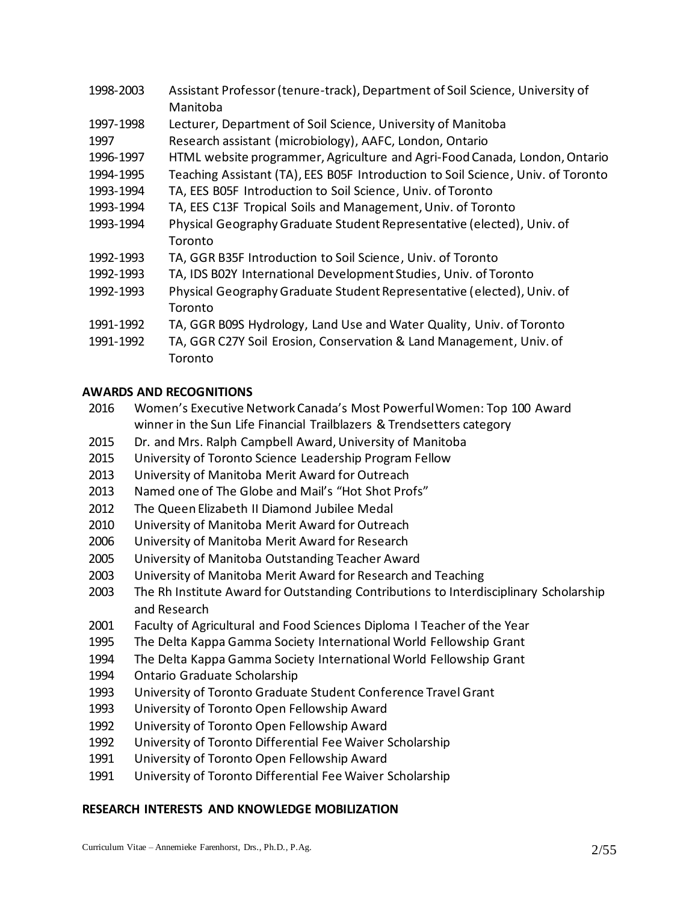- 1998-2003 Assistant Professor(tenure-track), Department of Soil Science, University of Manitoba
- 1997-1998 Lecturer, Department of Soil Science, University of Manitoba
- 1997 Research assistant (microbiology), AAFC, London, Ontario
- 1996-1997 HTML website programmer, Agriculture and Agri-Food Canada, London, Ontario
- 1994-1995 Teaching Assistant (TA), EES B05F Introduction to Soil Science, Univ. of Toronto
- 1993-1994 TA, EES B05F Introduction to Soil Science, Univ. of Toronto
- 1993-1994 TA, EES C13F Tropical Soils and Management, Univ. of Toronto
- 1993-1994 Physical Geography Graduate Student Representative (elected), Univ. of **Toronto**
- 1992-1993 TA, GGR B35F Introduction to Soil Science, Univ. of Toronto
- 1992-1993 TA, IDS B02Y International Development Studies, Univ. of Toronto
- 1992-1993 Physical Geography Graduate Student Representative (elected), Univ. of Toronto
- 1991-1992 TA, GGR B09S Hydrology, Land Use and Water Quality, Univ. of Toronto
- 1991-1992 TA, GGR C27Y Soil Erosion, Conservation & Land Management, Univ. of Toronto

# **AWARDS AND RECOGNITIONS**

- 2016 Women's Executive Network Canada's Most Powerful Women: Top 100 Award winner in the Sun Life Financial Trailblazers & Trendsetters category
- 2015 Dr. and Mrs. Ralph Campbell Award, University of Manitoba
- 2015 University of Toronto Science Leadership Program Fellow
- 2013 University of Manitoba Merit Award for Outreach
- 2013 Named one of The Globe and Mail's "Hot Shot Profs"
- 2012 The Queen Elizabeth II Diamond Jubilee Medal
- 2010 University of Manitoba Merit Award for Outreach
- 2006 University of Manitoba Merit Award for Research
- 2005 University of Manitoba Outstanding Teacher Award
- 2003 University of Manitoba Merit Award for Research and Teaching
- 2003 The Rh Institute Award for Outstanding Contributions to Interdisciplinary Scholarship and Research
- 2001 Faculty of Agricultural and Food Sciences Diploma I Teacher of the Year
- 1995 The Delta Kappa Gamma Society International World Fellowship Grant
- 1994 The Delta Kappa Gamma Society International World Fellowship Grant
- 1994 Ontario Graduate Scholarship
- 1993 University of Toronto Graduate Student Conference Travel Grant
- 1993 University of Toronto Open Fellowship Award
- 1992 University of Toronto Open Fellowship Award
- 1992 University of Toronto Differential Fee Waiver Scholarship
- 1991 University of Toronto Open Fellowship Award
- 1991 University of Toronto Differential Fee Waiver Scholarship

# **RESEARCH INTERESTS AND KNOWLEDGE MOBILIZATION**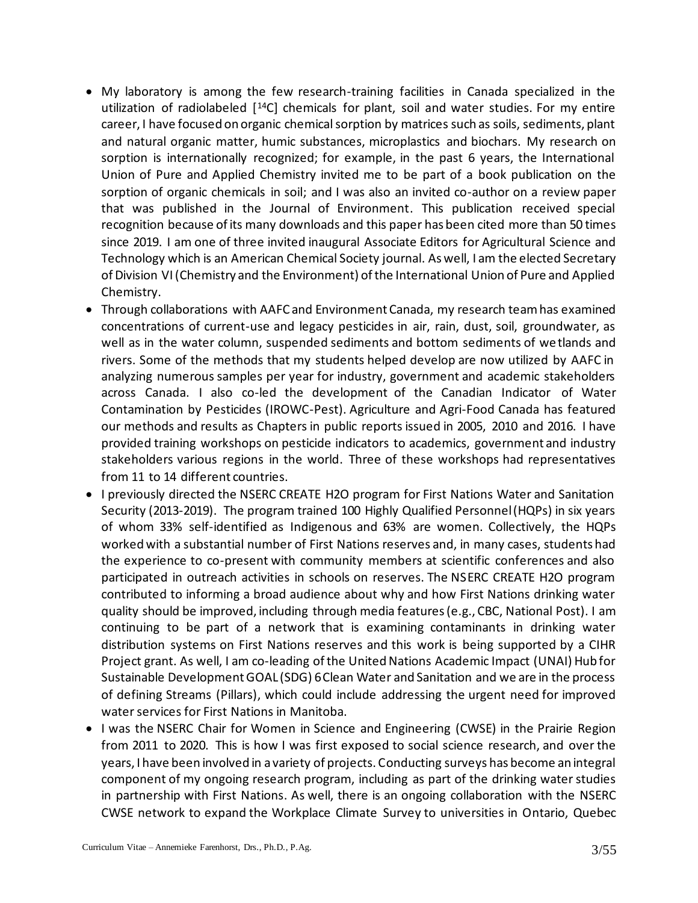- My laboratory is among the few research-training facilities in Canada specialized in the utilization of radiolabeled [<sup>14</sup>C] chemicals for plant, soil and water studies. For my entire career, I have focused on organic chemical sorption by matrices such as soils, sediments, plant and natural organic matter, humic substances, microplastics and biochars. My research on sorption is internationally recognized; for example, in the past 6 years, the International Union of Pure and Applied Chemistry invited me to be part of a book publication on the sorption of organic chemicals in soil; and I was also an invited co-author on a review paper that was published in the Journal of Environment. This publication received special recognition because of its many downloads and this paper has been cited more than 50 times since 2019. I am one of three invited inaugural Associate Editors for Agricultural Science and Technology which is an American Chemical Society journal. As well, I am the elected Secretary of Division VI (Chemistry and the Environment) of the International Union of Pure and Applied Chemistry.
- Through collaborations with AAFC and Environment Canada, my research team has examined concentrations of current-use and legacy pesticides in air, rain, dust, soil, groundwater, as well as in the water column, suspended sediments and bottom sediments of wetlands and rivers. Some of the methods that my students helped develop are now utilized by AAFC in analyzing numerous samples per year for industry, government and academic stakeholders across Canada. I also co-led the development of the Canadian Indicator of Water Contamination by Pesticides (IROWC-Pest). Agriculture and Agri-Food Canada has featured our methods and results as Chapters in public reports issued in 2005, 2010 and 2016. I have provided training workshops on pesticide indicators to academics, government and industry stakeholders various regions in the world. Three of these workshops had representatives from 11 to 14 different countries.
- I previously directed the NSERC CREATE H2O program for First Nations Water and Sanitation Security (2013-2019). The program trained 100 Highly Qualified Personnel (HQPs) in six years of whom 33% self-identified as Indigenous and 63% are women. Collectively, the HQPs worked with a substantial number of First Nations reserves and, in many cases, students had the experience to co-present with community members at scientific conferences and also participated in outreach activities in schools on reserves. The NSERC CREATE H2O program contributed to informing a broad audience about why and how First Nations drinking water quality should be improved, including through media features (e.g., CBC, National Post). I am continuing to be part of a network that is examining contaminants in drinking water distribution systems on First Nations reserves and this work is being supported by a CIHR Project grant. As well, I am co-leading of the United Nations Academic Impact (UNAI) Hub for Sustainable Development GOAL (SDG) 6 Clean Water and Sanitation and we are in the process of defining Streams (Pillars), which could include addressing the urgent need for improved water services for First Nations in Manitoba.
- I was the NSERC Chair for Women in Science and Engineering (CWSE) in the Prairie Region from 2011 to 2020. This is how I was first exposed to social science research, and over the years, I have been involved in a variety of projects. Conducting surveys has become an integral component of my ongoing research program, including as part of the drinking water studies in partnership with First Nations. As well, there is an ongoing collaboration with the NSERC CWSE network to expand the Workplace Climate Survey to universities in Ontario, Quebec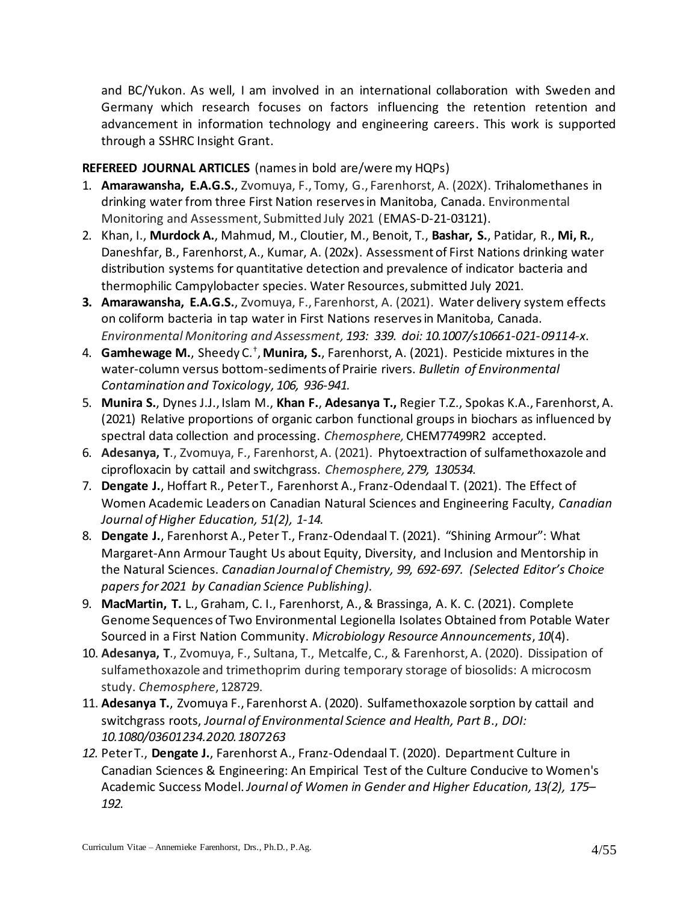and BC/Yukon. As well, I am involved in an international collaboration with Sweden and Germany which research focuses on factors influencing the retention retention and advancement in information technology and engineering careers. This work is supported through a SSHRC Insight Grant.

# **REFEREED JOURNAL ARTICLES** (names in bold are/were my HQPs)

- 1. **Amarawansha, E.A.G.S.**, Zvomuya, F., Tomy, G., Farenhorst, A. (202X). Trihalomethanes in drinking water from three First Nation reserves in Manitoba, Canada. Environmental Monitoring and Assessment, Submitted July 2021 (EMAS-D-21-03121).
- 2. Khan, I., **Murdock A.**, Mahmud, M., Cloutier, M., Benoit, T., **Bashar, S.**, Patidar, R., **Mi, R.**, Daneshfar, B., Farenhorst, A., Kumar, A. (202x). Assessment of First Nations drinking water distribution systems for quantitative detection and prevalence of indicator bacteria and thermophilic Campylobacter species. Water Resources, submitted July 2021.
- **3. Amarawansha, E.A.G.S.**, Zvomuya, F., Farenhorst, A. (2021). Water delivery system effects on coliform bacteria in tap water in First Nations reserves in Manitoba, Canada. *Environmental Monitoring and Assessment, 193: 339. doi: 10.1007/s10661-021-09114-x.*
- 4. **Gamhewage M.**, Sheedy C.† , **Munira, S.**, Farenhorst, A. (2021). Pesticide mixtures in the water-column versus bottom-sediments of Prairie rivers. *Bulletin of Environmental Contamination and Toxicology, 106, 936-941.*
- 5. **Munira S.**, Dynes J.J., Islam M., **Khan F.**, **Adesanya T.,** Regier T.Z., Spokas K.A., Farenhorst, A. (2021) Relative proportions of organic carbon functional groups in biochars as influenced by spectral data collection and processing. *Chemosphere,* CHEM77499R2 accepted.
- 6. **Adesanya, T**., Zvomuya, F., Farenhorst, A. (2021). Phytoextraction of sulfamethoxazole and ciprofloxacin by cattail and switchgrass. *Chemosphere, 279, 130534.*
- 7. **Dengate J.**, Hoffart R., Peter T., Farenhorst A., Franz-Odendaal T. (2021). The Effect of Women Academic Leaders on Canadian Natural Sciences and Engineering Faculty, *Canadian Journal of Higher Education, 51(2), 1-14.*
- 8. **Dengate J.**, Farenhorst A., Peter T., Franz-Odendaal T. (2021). "Shining Armour": What Margaret-Ann Armour Taught Us about Equity, Diversity, and Inclusion and Mentorship in the Natural Sciences. *Canadian Journal of Chemistry, 99, 692-697. (Selected Editor's Choice papers for 2021 by Canadian Science Publishing).*
- 9. **MacMartin, T.** L., Graham, C. I., Farenhorst, A., & Brassinga, A. K. C. (2021). Complete Genome Sequences of Two Environmental Legionella Isolates Obtained from Potable Water Sourced in a First Nation Community. *Microbiology Resource Announcements*, *10*(4).
- 10. **Adesanya, T**., Zvomuya, F., Sultana, T., Metcalfe, C., & Farenhorst, A. (2020). Dissipation of sulfamethoxazole and trimethoprim during temporary storage of biosolids: A microcosm study. *Chemosphere*, 128729.
- 11. **Adesanya T.**, Zvomuya F., Farenhorst A. (2020). Sulfamethoxazole sorption by cattail and switchgrass roots, *Journal of Environmental Science and Health, Part B*., *DOI: 10.1080/03601234.2020.1807263*
- *12.* Peter T., **Dengate J.**, Farenhorst A., Franz-Odendaal T. (2020). Department Culture in Canadian Sciences & Engineering: An Empirical Test of the Culture Conducive to Women's Academic Success Model. *Journal of Women in Gender and Higher Education, 13(2), 175– 192.*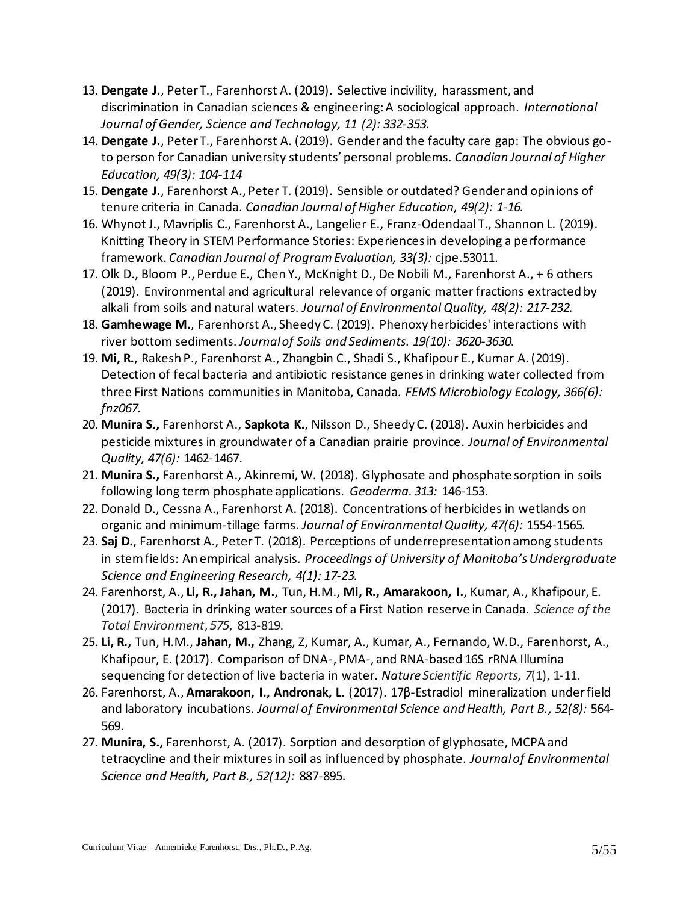- 13. **Dengate J.**, Peter T., Farenhorst A. (2019). Selective incivility, harassment, and discrimination in Canadian sciences & engineering: A sociological approach. *International Journal of Gender, Science and Technology, 11 (2): 332-353.*
- 14. **Dengate J.**, Peter T., Farenhorst A. (2019). Gender and the faculty care gap: The obvious goto person for Canadian university students' personal problems. *Canadian Journal of Higher Education, 49(3): 104-114*
- 15. **Dengate J.**, Farenhorst A., Peter T. (2019). Sensible or outdated? Gender and opinions of tenure criteria in Canada. *Canadian Journal of Higher Education, 49(2): 1-16.*
- 16. Whynot J., Mavriplis C., Farenhorst A., Langelier E., Franz-Odendaal T., Shannon L. (2019). Knitting Theory in STEM Performance Stories: Experiences in developing a performance framework. *Canadian Journal of Program Evaluation, 33(3):* cjpe.53011.
- 17. Olk D., Bloom P., Perdue E., Chen Y., McKnight D., De Nobili M., Farenhorst A., + 6 others (2019). Environmental and agricultural relevance of organic matter fractions extracted by alkali from soils and natural waters. *Journal of Environmental Quality, 48(2): 217-232.*
- 18. **Gamhewage M.**, Farenhorst A., Sheedy C. (2019). Phenoxy herbicides' interactions with river bottom sediments. *Journal of Soils and Sediments. 19(10): 3620-3630.*
- 19. **Mi, R.**, Rakesh P., Farenhorst A., Zhangbin C., Shadi S., Khafipour E., Kumar A. (2019). Detection of fecal bacteria and antibiotic resistance genes in drinking water collected from three First Nations communities in Manitoba, Canada. *FEMS Microbiology Ecology, 366(6): fnz067.*
- 20. **Munira S.,** Farenhorst A., **Sapkota K.**, Nilsson D., Sheedy C. (2018). Auxin herbicides and pesticide mixtures in groundwater of a Canadian prairie province. *Journal of Environmental Quality, 47(6):* 1462-1467.
- 21. **Munira S.,** Farenhorst A., Akinremi, W. (2018). Glyphosate and phosphate sorption in soils following long term phosphate applications. *Geoderma. 313:* 146-153.
- 22. Donald D., Cessna A., Farenhorst A. (2018). Concentrations of herbicides in wetlands on organic and minimum-tillage farms. *Journal of Environmental Quality, 47(6):* 1554-1565*.*
- 23. **Saj D.**, Farenhorst A., Peter T. (2018). Perceptions of underrepresentation among students in stem fields: An empirical analysis. *Proceedings of University of Manitoba's Undergraduate Science and Engineering Research, 4(1): 17-23.*
- 24. Farenhorst, A., **Li, R., Jahan, M.**, Tun, H.M., **Mi, R., Amarakoon, I.**, Kumar, A., Khafipour, E. (2017). Bacteria in drinking water sources of a First Nation reserve in Canada. *Science of the Total Environment*, *575*, 813-819.
- 25. **Li, R.,** Tun, H.M., **Jahan, M.,** Zhang, Z, Kumar, A., Kumar, A., Fernando, W.D., Farenhorst, A., Khafipour, E. (2017). Comparison of DNA-, PMA-, and RNA-based 16S rRNA Illumina sequencing for detection of live bacteria in water. *Nature Scientific Reports, 7*(1), 1-11.
- 26. Farenhorst, A., **Amarakoon, I., Andronak, L**. (2017). 17β-Estradiol mineralization under field and laboratory incubations. *Journal of Environmental Science and Health, Part B., 52(8):* 564- 569.
- 27. **Munira, S.,** Farenhorst, A. (2017). Sorption and desorption of glyphosate, MCPA and tetracycline and their mixtures in soil as influenced by phosphate. *Journal of Environmental Science and Health, Part B., 52(12):* 887-895.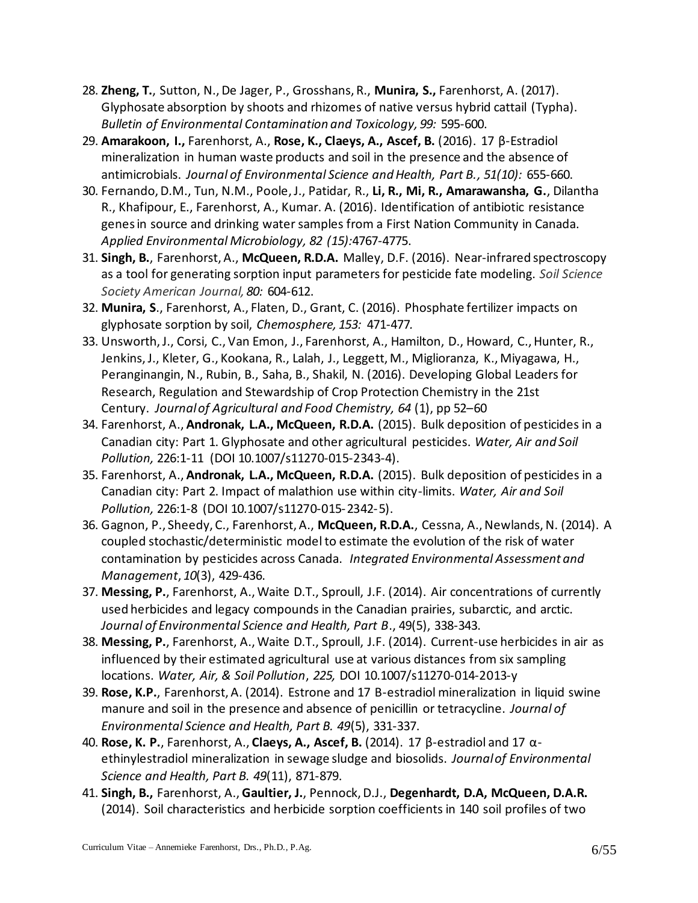- 28. **Zheng, T.**, Sutton, N., De Jager, P., Grosshans, R., **Munira, S.,** Farenhorst, A. (2017). Glyphosate absorption by shoots and rhizomes of native versus hybrid cattail (Typha). *Bulletin of Environmental Contamination and Toxicology, 99:* 595-600.
- 29. **Amarakoon, I.,** Farenhorst, A., **Rose, K., Claeys, A., Ascef, B.** (2016). 17 β-Estradiol mineralization in human waste products and soil in the presence and the absence of antimicrobials. *Journal of Environmental Science and Health, Part B., 51(10):* 655-660.
- 30. Fernando, D.M., Tun, N.M., Poole, J., Patidar, R., **Li, R., Mi, R., Amarawansha, G.**, Dilantha R., Khafipour, E., Farenhorst, A., Kumar. A. (2016). Identification of antibiotic resistance genes in source and drinking water samples from a First Nation Community in Canada. *Applied Environmental Microbiology, 82 (15):*4767-4775.
- 31. **Singh, B.**, Farenhorst, A., **McQueen, R.D.A.** Malley, D.F. (2016). Near-infrared spectroscopy as a tool for generating sorption input parameters for pesticide fate modeling. *Soil Science Society American Journal, 80:* 604-612.
- 32. **Munira, S**., Farenhorst, A., Flaten, D., Grant, C. (2016). Phosphate fertilizer impacts on glyphosate sorption by soil, *Chemosphere, 153:* 471-477*.*
- 33. Unsworth, J., Corsi, C., Van Emon, J., Farenhorst, A., Hamilton, D., Howard, C., Hunter, R., Jenkins, J., Kleter, G., Kookana, R., Lalah, J., Leggett, M., Miglioranza, K., Miyagawa, H., Peranginangin, N., Rubin, B., Saha, B., Shakil, N. (2016). Developing Global Leaders for Research, Regulation and Stewardship of Crop Protection Chemistry in the 21st Century. *Journal of Agricultural and Food Chemistry, 64* (1), pp 52–60
- 34. Farenhorst, A., **Andronak, L.A., McQueen, R.D.A.** (2015). Bulk deposition of pesticides in a Canadian city: Part 1. Glyphosate and other agricultural pesticides. *Water, Air and Soil Pollution,* 226:1-11 (DOI 10.1007/s11270-015-2343-4).
- 35. Farenhorst, A., **Andronak, L.A., McQueen, R.D.A.** (2015). Bulk deposition of pesticides in a Canadian city: Part 2. Impact of malathion use within city-limits. *Water, Air and Soil Pollution,* 226:1-8 (DOI 10.1007/s11270-015-2342-5).
- 36. Gagnon, P., Sheedy, C., Farenhorst, A., **McQueen, R.D.A.**, Cessna, A., Newlands, N. (2014). A coupled stochastic/deterministic model to estimate the evolution of the risk of water contamination by pesticides across Canada. *Integrated Environmental Assessment and Management*, *10*(3), 429-436.
- 37. **Messing, P.**, Farenhorst, A., Waite D.T., Sproull, J.F. (2014). Air concentrations of currently used herbicides and legacy compounds in the Canadian prairies, subarctic, and arctic. *Journal of Environmental Science and Health, Part B*., 49(5), 338-343.
- 38. **Messing, P.**, Farenhorst, A., Waite D.T., Sproull, J.F. (2014). Current-use herbicides in air as influenced by their estimated agricultural use at various distances from six sampling locations. *Water, Air, & Soil Pollution*, *225,* DOI 10.1007/s11270-014-2013-y
- 39. **Rose, K.P.**, Farenhorst, A. (2014). Estrone and 17 B-estradiol mineralization in liquid swine manure and soil in the presence and absence of penicillin or tetracycline. *Journal of Environmental Science and Health, Part B. 49*(5), 331-337.
- 40. **Rose, K. P.**, Farenhorst, A., **Claeys, A., Ascef, B.** (2014). 17 β-estradiol and 17 αethinylestradiol mineralization in sewage sludge and biosolids. *Journal of Environmental Science and Health, Part B. 49*(11), 871-879.
- 41. **Singh, B.,** Farenhorst, A., **Gaultier, J.**, Pennock, D.J., **Degenhardt, D.A, McQueen, D.A.R.** (2014). Soil characteristics and herbicide sorption coefficients in 140 soil profiles of two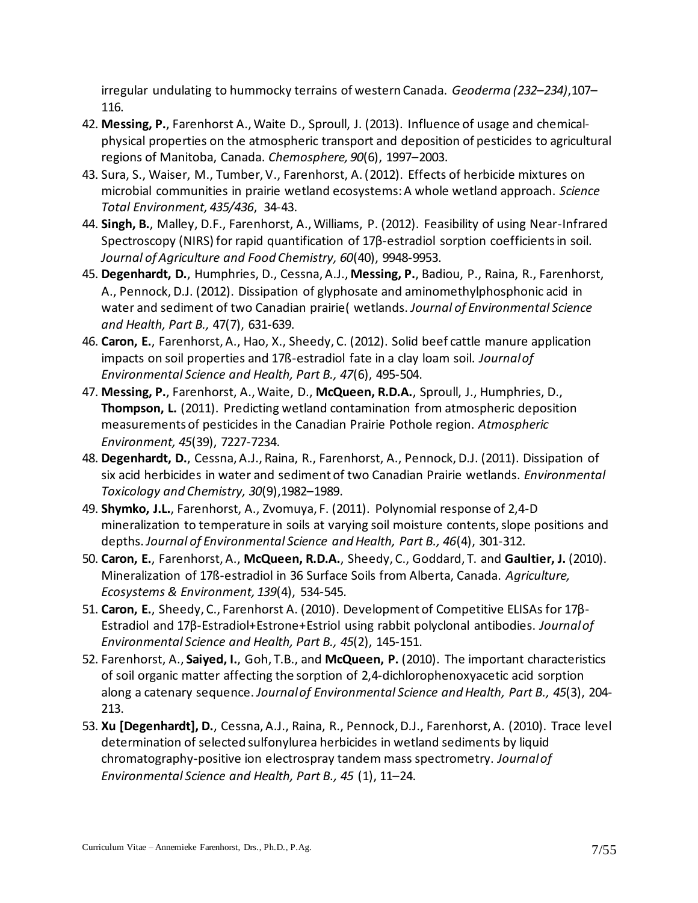irregular undulating to hummocky terrains of western Canada. *Geoderma (232–234)*,107– 116.

- 42. **Messing, P.**, Farenhorst A., Waite D., Sproull, J. (2013). Influence of usage and chemicalphysical properties on the atmospheric transport and deposition of pesticides to agricultural regions of Manitoba, Canada. *Chemosphere, 90*(6), 1997–2003.
- 43. Sura, S., Waiser, M., Tumber, V., Farenhorst, A. (2012). Effects of herbicide mixtures on microbial communities in prairie wetland ecosystems: A whole wetland approach. *Science Total Environment, 435/436*, 34-43.
- 44. **Singh, B.**, Malley, D.F., Farenhorst, A., Williams, P. (2012). Feasibility of using Near-Infrared Spectroscopy (NIRS) for rapid quantification of 17β-estradiol sorption coefficients in soil. *Journal of Agriculture and Food Chemistry, 60*(40), 9948-9953.
- 45. **Degenhardt, D.**, Humphries, D., Cessna, A.J., **Messing, P.**, Badiou, P., Raina, R., Farenhorst, A., Pennock, D.J. (2012). Dissipation of glyphosate and aminomethylphosphonic acid in water and sediment of two Canadian prairie( wetlands. *Journal of Environmental Science and Health, Part B.,* 47(7), 631-639.
- 46. **Caron, E.**, Farenhorst, A., Hao, X., Sheedy, C. (2012). Solid beef cattle manure application impacts on soil properties and 17ß-estradiol fate in a clay loam soil. *Journal of Environmental Science and Health, Part B., 47*(6), 495-504.
- 47. **Messing, P.**, Farenhorst, A., Waite, D., **McQueen, R.D.A.**, Sproull, J., Humphries, D., **Thompson, L.** (2011). Predicting wetland contamination from atmospheric deposition measurements of pesticides in the Canadian Prairie Pothole region. *Atmospheric Environment, 45*(39), 7227-7234.
- 48. **Degenhardt, D.**, Cessna, A.J., Raina, R., Farenhorst, A., Pennock, D.J. (2011). Dissipation of six acid herbicides in water and sediment of two Canadian Prairie wetlands. *Environmental Toxicology and Chemistry, 30*(9),1982–1989.
- 49. **Shymko, J.L.**, Farenhorst, A., Zvomuya, F. (2011). Polynomial response of 2,4-D mineralization to temperature in soils at varying soil moisture contents, slope positions and depths. *Journal of Environmental Science and Health, Part B., 46*(4), 301-312.
- 50. **Caron, E.**, Farenhorst, A., **McQueen, R.D.A.**, Sheedy, C., Goddard, T. and **Gaultier, J.** (2010). Mineralization of 17ß-estradiol in 36 Surface Soils from Alberta, Canada. *Agriculture, Ecosystems & Environment, 139*(4), 534-545.
- 51. **Caron, E.**, Sheedy, C., Farenhorst A. (2010). Development of Competitive ELISAs for 17β-Estradiol and 17β-Estradiol+Estrone+Estriol using rabbit polyclonal antibodies. *Journal of Environmental Science and Health, Part B., 45*(2), 145-151.
- 52. Farenhorst, A., **Saiyed, I.**, Goh, T.B., and **McQueen, P.** (2010). The important characteristics of soil organic matter affecting the sorption of 2,4-dichlorophenoxyacetic acid sorption along a catenary sequence. *Journal of Environmental Science and Health, Part B., 45*(3), 204- 213.
- 53. **Xu [Degenhardt], D.**, Cessna, A.J., Raina, R., Pennock, D.J., Farenhorst, A. (2010). Trace level determination of selected sulfonylurea herbicides in wetland sediments by liquid chromatography-positive ion electrospray tandem mass spectrometry. *Journal of Environmental Science and Health, Part B., 45* (1), 11–24.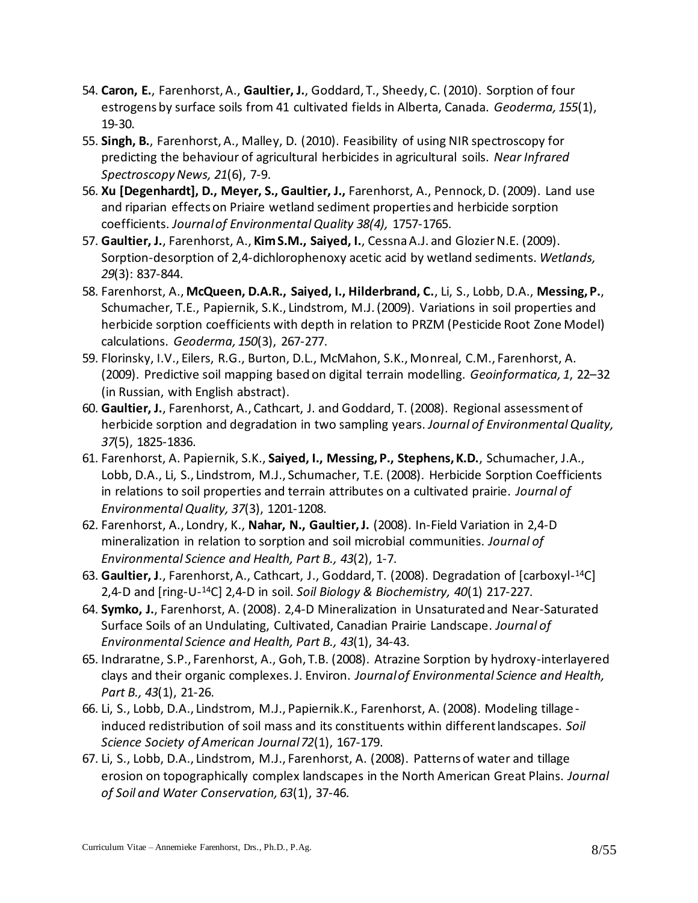- 54. **Caron, E.**, Farenhorst, A., **Gaultier, J.**, Goddard, T., Sheedy, C. (2010). Sorption of four estrogens by surface soils from 41 cultivated fields in Alberta, Canada. *Geoderma, 155*(1), 19-30.
- 55. **Singh, B.**, Farenhorst, A., Malley, D. (2010). Feasibility of using NIR spectroscopy for predicting the behaviour of agricultural herbicides in agricultural soils. *Near Infrared Spectroscopy News, 21*(6), 7-9.
- 56. **Xu [Degenhardt], D., Meyer, S., Gaultier, J.,** Farenhorst, A., Pennock, D. (2009). Land use and riparian effects on Priaire wetland sediment properties and herbicide sorption coefficients. *Journal of Environmental Quality 38(4),* 1757-1765.
- 57. **Gaultier, J.**, Farenhorst, A., **KimS.M., Saiyed, I.**, CessnaA.J. and GlozierN.E. (2009). Sorption-desorption of 2,4-dichlorophenoxy acetic acid by wetland sediments. *Wetlands, 29*(3): 837-844.
- 58. Farenhorst, A., **McQueen, D.A.R., Saiyed, I., Hilderbrand, C.**, Li, S., Lobb, D.A., **Messing, P.**, Schumacher, T.E., Papiernik, S.K., Lindstrom, M.J. (2009). Variations in soil properties and herbicide sorption coefficients with depth in relation to PRZM (Pesticide Root Zone Model) calculations. *Geoderma, 150*(3), 267-277.
- 59. Florinsky, I.V., Eilers, R.G., Burton, D.L., McMahon, S.K., Monreal, C.M., Farenhorst, A. (2009). Predictive soil mapping based on digital terrain modelling. *Geoinformatica, 1*, 22–32 (in Russian, with English abstract).
- 60. **Gaultier, J.**, Farenhorst, A., Cathcart, J. and Goddard, T. (2008). Regional assessment of herbicide sorption and degradation in two sampling years. *Journal of Environmental Quality, 37*(5), 1825-1836.
- 61. Farenhorst, A. Papiernik, S.K., **Saiyed, I., Messing, P., Stephens, K.D.**, Schumacher, J.A., Lobb, D.A., Li, S., Lindstrom, M.J., Schumacher, T.E. (2008). Herbicide Sorption Coefficients in relations to soil properties and terrain attributes on a cultivated prairie. *Journal of Environmental Quality, 37*(3), 1201-1208.
- 62. Farenhorst, A., Londry, K., **Nahar, N., Gaultier, J.** (2008). In-Field Variation in 2,4-D mineralization in relation to sorption and soil microbial communities. *Journal of Environmental Science and Health, Part B., 43*(2), 1-7.
- 63. **Gaultier, J**., Farenhorst, A., Cathcart, J., Goddard, T. (2008). Degradation of [carboxyl-<sup>14</sup>C] 2,4-D and [ring-U-<sup>14</sup>C] 2,4-D in soil. *Soil Biology & Biochemistry, 40*(1) 217-227.
- 64. **Symko, J.**, Farenhorst, A. (2008). 2,4-D Mineralization in Unsaturated and Near-Saturated Surface Soils of an Undulating, Cultivated, Canadian Prairie Landscape. *Journal of Environmental Science and Health, Part B., 43*(1), 34-43.
- 65. Indraratne, S.P., Farenhorst, A., Goh, T.B. (2008). Atrazine Sorption by hydroxy-interlayered clays and their organic complexes. J. Environ. *Journal of Environmental Science and Health, Part B., 43*(1), 21-26.
- 66. Li, S., Lobb, D.A., Lindstrom, M.J., Papiernik.K., Farenhorst, A. (2008). Modeling tillageinduced redistribution of soil mass and its constituents within different landscapes. *Soil Science Society of American Journal 72*(1), 167-179.
- 67. Li, S., Lobb, D.A., Lindstrom, M.J., Farenhorst, A. (2008). Patterns of water and tillage erosion on topographically complex landscapes in the North American Great Plains. *Journal of Soil and Water Conservation, 63*(1), 37-46.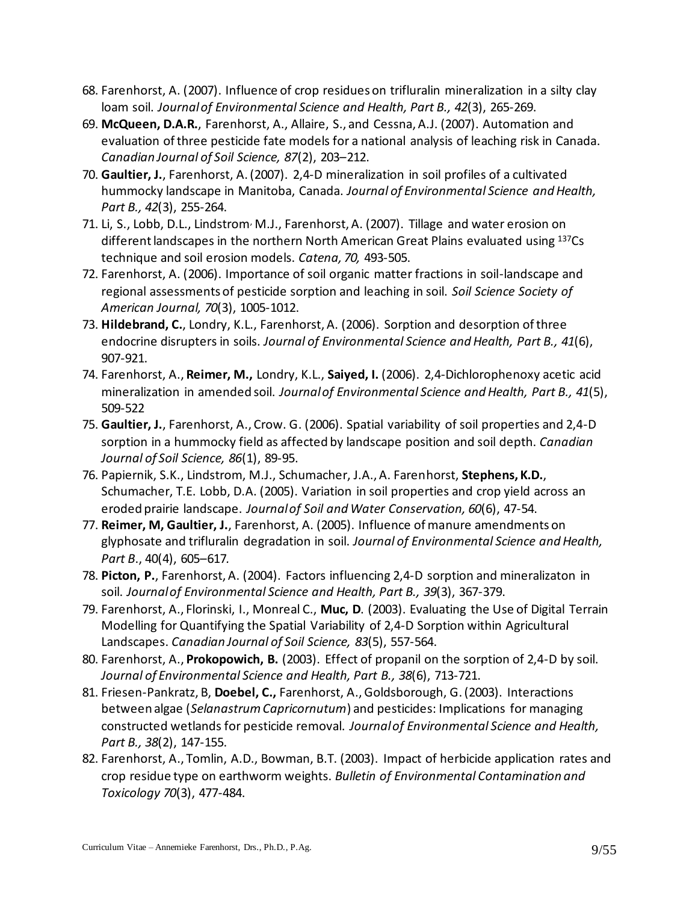- 68. Farenhorst, A. (2007). Influence of crop residues on trifluralin mineralization in a silty clay loam soil. *Journal of Environmental Science and Health, Part B., 42*(3), 265-269.
- 69. **McQueen, D.A.R.**, Farenhorst, A., Allaire, S., and Cessna, A.J. (2007). Automation and evaluation of three pesticide fate models for a national analysis of leaching risk in Canada. *Canadian Journal of Soil Science, 87*(2), 203–212.
- 70. **Gaultier, J.**, Farenhorst, A. (2007). 2,4-D mineralization in soil profiles of a cultivated hummocky landscape in Manitoba, Canada. *Journal of Environmental Science and Health, Part B., 42*(3), 255-264.
- 71. Li, S., Lobb, D.L., Lindstrom<sup>,</sup> M.J., Farenhorst, A. (2007). Tillage and water erosion on different landscapes in the northern North American Great Plains evaluated using 137Cs technique and soil erosion models. *Catena, 70,* 493-505.
- 72. Farenhorst, A. (2006). Importance of soil organic matter fractions in soil-landscape and regional assessments of pesticide sorption and leaching in soil. *Soil Science Society of American Journal, 70*(3), 1005-1012.
- 73. **Hildebrand, C.**, Londry, K.L., Farenhorst, A. (2006). Sorption and desorption of three endocrine disrupters in soils. *Journal of Environmental Science and Health, Part B., 41*(6), 907-921.
- 74. Farenhorst, A., **Reimer, M.,** Londry, K.L., **Saiyed, I.** (2006). 2,4-Dichlorophenoxy acetic acid mineralization in amended soil. *Journal of Environmental Science and Health, Part B., 41*(5), 509-522
- 75. **Gaultier, J.**, Farenhorst, A., Crow. G. (2006). Spatial variability of soil properties and 2,4-D sorption in a hummocky field as affected by landscape position and soil depth. *Canadian Journal of Soil Science, 86*(1), 89-95.
- 76. Papiernik, S.K., Lindstrom, M.J., Schumacher, J.A., A. Farenhorst, **Stephens, K.D.**, Schumacher, T.E. Lobb, D.A. (2005). Variation in soil properties and crop yield across an eroded prairie landscape. *Journal of Soil and Water Conservation, 60*(6), 47-54.
- 77. **Reimer, M, Gaultier, J.**, Farenhorst, A. (2005). Influence of manure amendments on glyphosate and trifluralin degradation in soil. *Journal of Environmental Science and Health, Part B*., 40(4), 605–617*.*
- 78. **Picton, P.**, Farenhorst, A. (2004). Factors influencing 2,4-D sorption and mineralizaton in soil. *Journal of Environmental Science and Health, Part B., 39*(3), 367-379.
- 79. Farenhorst, A., Florinski, I., Monreal C., **Muc, D**. (2003). Evaluating the Use of Digital Terrain Modelling for Quantifying the Spatial Variability of 2,4-D Sorption within Agricultural Landscapes. *Canadian Journal of Soil Science, 83*(5), 557-564.
- 80. Farenhorst, A., **Prokopowich, B.** (2003). Effect of propanil on the sorption of 2,4-D by soil. *Journal of Environmental Science and Health, Part B., 38*(6), 713-721.
- 81. Friesen-Pankratz, B, **Doebel, C.,** Farenhorst, A., Goldsborough, G. (2003). Interactions between algae (*Selanastrum Capricornutum*) and pesticides: Implications for managing constructed wetlands for pesticide removal. *Journal of Environmental Science and Health, Part B., 38*(2), 147-155.
- 82. Farenhorst, A., Tomlin, A.D., Bowman, B.T. (2003). Impact of herbicide application rates and crop residue type on earthworm weights. *Bulletin of Environmental Contamination and Toxicology 70*(3), 477-484.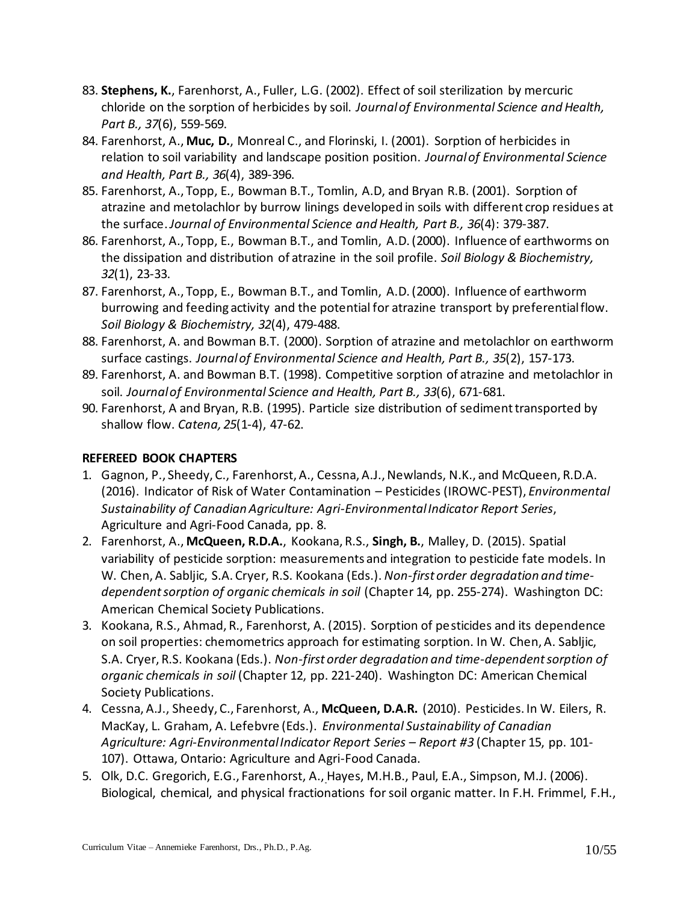- 83. **Stephens, K.**, Farenhorst, A., Fuller, L.G. (2002). Effect of soil sterilization by mercuric chloride on the sorption of herbicides by soil. *Journal of Environmental Science and Health, Part B., 37*(6), 559-569.
- 84. Farenhorst, A., **Muc, D.**, Monreal C., and Florinski, I. (2001). Sorption of herbicides in relation to soil variability and landscape position position. *Journal of Environmental Science and Health, Part B., 36*(4), 389-396.
- 85. Farenhorst, A., Topp, E., Bowman B.T., Tomlin, A.D, and Bryan R.B. (2001). Sorption of atrazine and metolachlor by burrow linings developed in soils with different crop residues at the surface.*Journal of Environmental Science and Health, Part B., 36*(4): 379-387.
- 86. Farenhorst, A., Topp, E., Bowman B.T., and Tomlin, A.D. (2000). Influence of earthworms on the dissipation and distribution of atrazine in the soil profile. *Soil Biology & Biochemistry, 32*(1), 23-33.
- 87. Farenhorst, A., Topp, E., Bowman B.T., and Tomlin, A.D. (2000). Influence of earthworm burrowing and feeding activity and the potential for atrazine transport by preferential flow. *Soil Biology & Biochemistry, 32*(4), 479-488.
- 88. Farenhorst, A. and Bowman B.T. (2000). Sorption of atrazine and metolachlor on earthworm surface castings. *Journal of Environmental Science and Health, Part B., 35*(2), 157-173.
- 89. Farenhorst, A. and Bowman B.T. (1998). Competitive sorption of atrazine and metolachlor in soil. *Journal of Environmental Science and Health, Part B., 33*(6), 671-681.
- 90. Farenhorst, A and Bryan, R.B. (1995). Particle size distribution of sediment transported by shallow flow. *Catena, 25*(1-4), 47-62.

# **REFEREED BOOK CHAPTERS**

- 1. Gagnon, P., Sheedy, C., Farenhorst, A., Cessna, A.J., Newlands, N.K., and McQueen, R.D.A. (2016). Indicator of Risk of Water Contamination – Pesticides (IROWC-PEST), *Environmental Sustainability of Canadian Agriculture: Agri-Environmental Indicator Report Series*, Agriculture and Agri-Food Canada, pp. 8.
- 2. Farenhorst, A., **McQueen, R.D.A.**, Kookana, R.S., **Singh, B.**, Malley, D. (2015). Spatial variability of pesticide sorption: measurements and integration to pesticide fate models. In W. Chen, A. Sabljic, S.A. Cryer, R.S. Kookana (Eds.). *Non-first order degradation and timedependent sorption of organic chemicals in soil* (Chapter 14, pp. 255-274). Washington DC: American Chemical Society Publications.
- 3. Kookana, R.S., Ahmad, R., Farenhorst, A. (2015). Sorption of pesticides and its dependence on soil properties: chemometrics approach for estimating sorption. In W. Chen, A. Sabljic, S.A. Cryer, R.S. Kookana (Eds.). *Non-first order degradation and time-dependent sorption of organic chemicals in soil* (Chapter 12, pp. 221-240). Washington DC: American Chemical Society Publications.
- 4. Cessna, A.J., Sheedy, C., Farenhorst, A., **McQueen, D.A.R.** (2010). Pesticides. In W. Eilers, R. MacKay, L. Graham, A. Lefebvre (Eds.). *Environmental Sustainability of Canadian Agriculture: Agri-Environmental Indicator Report Series – Report #3* (Chapter 15, pp. 101- 107). Ottawa, Ontario: Agriculture and Agri-Food Canada.
- 5. Olk, D.C. Gregorich, E.G., Farenhorst, A., Hayes, M.H.B., Paul, E.A., Simpson, M.J. (2006). Biological, chemical, and physical fractionations for soil organic matter. In F.H. Frimmel, F.H.,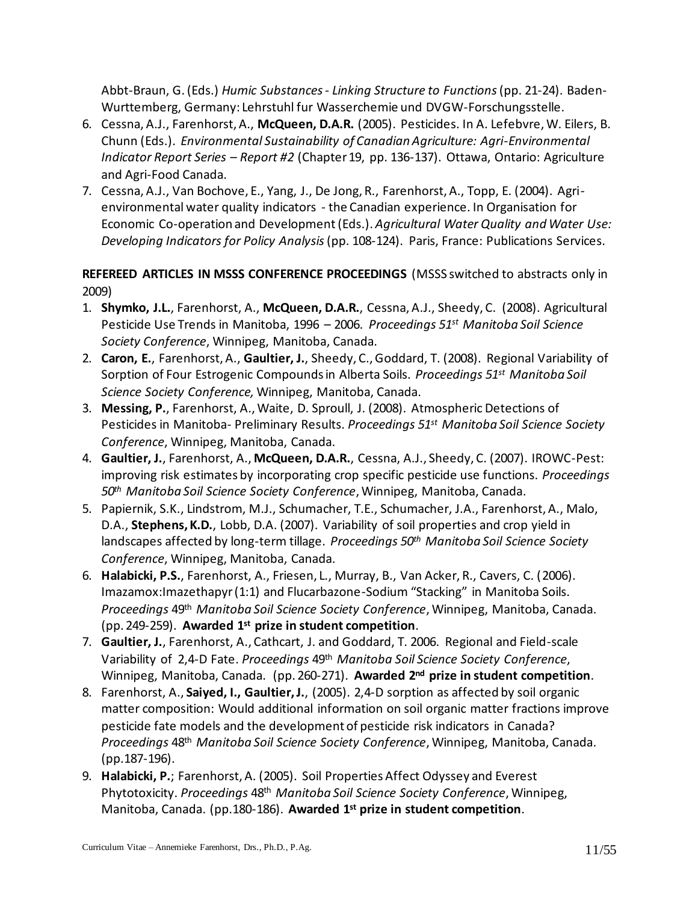Abbt-Braun, G. (Eds.) *Humic Substances - Linking Structure to Functions*(pp. 21-24). Baden-Wurttemberg, Germany: Lehrstuhl fur Wasserchemie und DVGW-Forschungsstelle.

- 6. Cessna, A.J., Farenhorst, A., **McQueen, D.A.R.** (2005). Pesticides. In A. Lefebvre, W. Eilers, B. Chunn (Eds.). *Environmental Sustainability of Canadian Agriculture: Agri-Environmental Indicator Report Series – Report #2* (Chapter 19, pp. 136-137). Ottawa, Ontario: Agriculture and Agri-Food Canada.
- 7. Cessna, A.J., Van Bochove, E., Yang, J., De Jong, R., Farenhorst, A., Topp, E. (2004). Agrienvironmental water quality indicators - the Canadian experience. In Organisation for Economic Co-operation and Development(Eds.). *Agricultural Water Quality and Water Use: Developing Indicators for Policy Analysis*(pp. 108-124). Paris, France: Publications Services.

**REFEREED ARTICLES IN MSSS CONFERENCE PROCEEDINGS** (MSSS switched to abstracts only in 2009)

- 1. **Shymko, J.L.**, Farenhorst, A., **McQueen, D.A.R.**, Cessna, A.J., Sheedy, C. (2008). Agricultural Pesticide Use Trends in Manitoba, 1996 – 2006. *Proceedings 51st Manitoba Soil Science Society Conference*, Winnipeg, Manitoba, Canada.
- 2. **Caron, E.**, Farenhorst, A., **Gaultier, J.**, Sheedy, C., Goddard, T. (2008). Regional Variability of Sorption of Four Estrogenic Compounds in Alberta Soils. *Proceedings 51st Manitoba Soil Science Society Conference,* Winnipeg, Manitoba, Canada.
- 3. **Messing, P.**, Farenhorst, A., Waite, D. Sproull, J. (2008). Atmospheric Detections of Pesticides in Manitoba- Preliminary Results. *Proceedings 51st Manitoba Soil Science Society Conference*, Winnipeg, Manitoba, Canada.
- 4. **Gaultier, J.**, Farenhorst, A., **McQueen, D.A.R.**, Cessna, A.J., Sheedy, C. (2007). IROWC-Pest: improving risk estimates by incorporating crop specific pesticide use functions. *Proceedings 50th Manitoba Soil Science Society Conference*, Winnipeg, Manitoba, Canada.
- 5. Papiernik, S.K., Lindstrom, M.J., Schumacher, T.E., Schumacher, J.A., Farenhorst, A., Malo, D.A., **Stephens, K.D.**, Lobb, D.A. (2007). Variability of soil properties and crop yield in landscapes affected by long-term tillage. *Proceedings 50th Manitoba Soil Science Society Conference*, Winnipeg, Manitoba, Canada.
- 6. **Halabicki, P.S.**, Farenhorst, A., Friesen, L., Murray, B., Van Acker, R., Cavers, C. (2006). Imazamox:Imazethapyr (1:1) and Flucarbazone-Sodium "Stacking" in Manitoba Soils. *Proceedings* 49th *Manitoba Soil Science Society Conference*, Winnipeg, Manitoba, Canada. (pp. 249-259). **Awarded 1st prize in student competition**.
- 7. **Gaultier, J.**, Farenhorst, A., Cathcart, J. and Goddard, T. 2006. Regional and Field-scale Variability of 2,4-D Fate. *Proceedings* 49th *Manitoba Soil Science Society Conference*, Winnipeg, Manitoba, Canada. (pp. 260-271). **Awarded 2nd prize in student competition**.
- 8. Farenhorst, A., **Saiyed, I., Gaultier, J.**, (2005). 2,4-D sorption as affected by soil organic matter composition: Would additional information on soil organic matter fractions improve pesticide fate models and the development of pesticide risk indicators in Canada? *Proceedings* 48th *Manitoba Soil Science Society Conference*, Winnipeg, Manitoba, Canada. (pp.187-196).
- 9. **Halabicki, P.**; Farenhorst, A. (2005). Soil Properties Affect Odyssey and Everest Phytotoxicity. *Proceedings* 48th *Manitoba Soil Science Society Conference*, Winnipeg, Manitoba, Canada. (pp.180-186). **Awarded 1st prize in student competition**.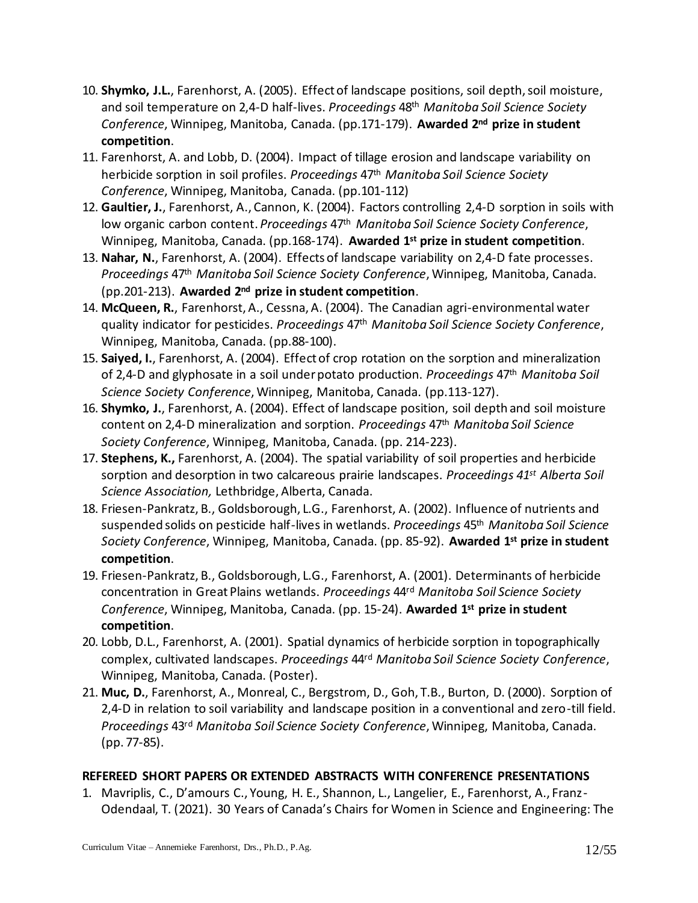- 10. **Shymko, J.L.**, Farenhorst, A. (2005). Effect of landscape positions, soil depth, soil moisture, and soil temperature on 2,4-D half-lives. *Proceedings* 48th *Manitoba Soil Science Society Conference*, Winnipeg, Manitoba, Canada. (pp.171-179). **Awarded 2nd prize in student competition**.
- 11. Farenhorst, A. and Lobb, D. (2004). Impact of tillage erosion and landscape variability on herbicide sorption in soil profiles. *Proceedings* 47th *Manitoba Soil Science Society Conference*, Winnipeg, Manitoba, Canada. (pp.101-112)
- 12. **Gaultier, J.**, Farenhorst, A., Cannon, K. (2004). Factors controlling 2,4-D sorption in soils with low organic carbon content. *Proceedings* 47th *Manitoba Soil Science Society Conference*, Winnipeg, Manitoba, Canada. (pp.168-174). **Awarded 1st prize in student competition**.
- 13. **Nahar, N.**, Farenhorst, A. (2004). Effects of landscape variability on 2,4-D fate processes. *Proceedings* 47th *Manitoba Soil Science Society Conference*, Winnipeg, Manitoba, Canada. (pp.201-213). **Awarded 2nd prize in student competition**.
- 14. **McQueen, R.**, Farenhorst, A., Cessna, A. (2004). The Canadian agri-environmental water quality indicator for pesticides. *Proceedings* 47th *Manitoba Soil Science Society Conference*, Winnipeg, Manitoba, Canada. (pp.88-100).
- 15. **Saiyed, I.**, Farenhorst, A. (2004). Effect of crop rotation on the sorption and mineralization of 2,4-D and glyphosate in a soil under potato production. *Proceedings* 47th *Manitoba Soil Science Society Conference*, Winnipeg, Manitoba, Canada. (pp.113-127).
- 16. **Shymko, J.**, Farenhorst, A. (2004). Effect of landscape position, soil depth and soil moisture content on 2,4-D mineralization and sorption. *Proceedings* 47th *Manitoba Soil Science Society Conference*, Winnipeg, Manitoba, Canada. (pp. 214-223).
- 17. **Stephens, K.,** Farenhorst, A. (2004). The spatial variability of soil properties and herbicide sorption and desorption in two calcareous prairie landscapes. *Proceedings 41st Alberta Soil Science Association,* Lethbridge, Alberta, Canada.
- 18. Friesen-Pankratz, B., Goldsborough, L.G., Farenhorst, A. (2002). Influence of nutrients and suspended solids on pesticide half-lives in wetlands. *Proceedings* 45th *Manitoba Soil Science Society Conference*, Winnipeg, Manitoba, Canada. (pp. 85-92). **Awarded 1st prize in student competition**.
- 19. Friesen-Pankratz, B., Goldsborough, L.G., Farenhorst, A. (2001). Determinants of herbicide concentration in Great Plains wetlands. *Proceedings* 44rd *Manitoba Soil Science Society Conference*, Winnipeg, Manitoba, Canada. (pp. 15-24). **Awarded 1st prize in student competition**.
- 20. Lobb, D.L., Farenhorst, A. (2001). Spatial dynamics of herbicide sorption in topographically complex, cultivated landscapes. *Proceedings* 44rd *Manitoba Soil Science Society Conference*, Winnipeg, Manitoba, Canada. (Poster).
- 21. **Muc, D.**, Farenhorst, A., Monreal, C., Bergstrom, D., Goh, T.B., Burton, D. (2000). Sorption of 2,4-D in relation to soil variability and landscape position in a conventional and zero-till field. *Proceedings* 43rd *Manitoba Soil Science Society Conference*, Winnipeg, Manitoba, Canada. (pp. 77-85).

# **REFEREED SHORT PAPERS OR EXTENDED ABSTRACTS WITH CONFERENCE PRESENTATIONS**

1. Mavriplis, C., D'amours C., Young, H. E., Shannon, L., Langelier, E., Farenhorst, A., Franz-Odendaal, T. (2021). 30 Years of Canada's Chairs for Women in Science and Engineering: The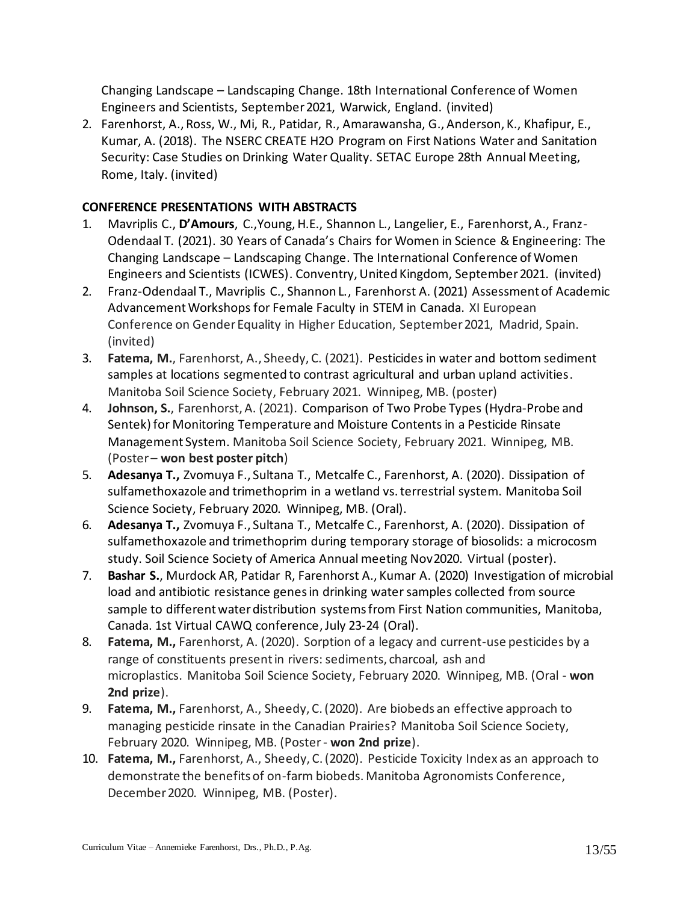Changing Landscape – Landscaping Change. 18th International Conference of Women Engineers and Scientists, September 2021, Warwick, England. (invited)

2. Farenhorst, A., Ross, W., Mi, R., Patidar, R., Amarawansha, G., Anderson, K., Khafipur, E., Kumar, A. (2018). The NSERC CREATE H2O Program on First Nations Water and Sanitation Security: Case Studies on Drinking Water Quality. SETAC Europe 28th Annual Meeting, Rome, Italy. (invited)

# **CONFERENCE PRESENTATIONS WITH ABSTRACTS**

- 1. Mavriplis C., **D'Amours**, C.,Young, H.E., Shannon L., Langelier, E., Farenhorst, A., Franz-Odendaal T. (2021). 30 Years of Canada's Chairs for Women in Science & Engineering: The Changing Landscape – Landscaping Change. The International Conference of Women Engineers and Scientists (ICWES). Conventry, United Kingdom, September 2021. (invited)
- 2. Franz-Odendaal T., Mavriplis C., Shannon L., Farenhorst A. (2021) Assessment of Academic Advancement Workshops for Female Faculty in STEM in Canada. XI European Conference on Gender Equality in Higher Education, September 2021, Madrid, Spain. (invited)
- 3. **Fatema, M.**, Farenhorst, A., Sheedy, C. (2021). Pesticides in water and bottom sediment samples at locations segmented to contrast agricultural and urban upland activities. Manitoba Soil Science Society, February 2021. Winnipeg, MB. (poster)
- 4. **Johnson, S.**, Farenhorst, A. (2021). Comparison of Two Probe Types (Hydra-Probe and Sentek) for Monitoring Temperature and Moisture Contents in a Pesticide Rinsate Management System. Manitoba Soil Science Society, February 2021. Winnipeg, MB. (Poster – **won best poster pitch**)
- 5. **Adesanya T.,** Zvomuya F., Sultana T., Metcalfe C., Farenhorst, A. (2020). Dissipation of sulfamethoxazole and trimethoprim in a wetland vs. terrestrial system. Manitoba Soil Science Society, February 2020. Winnipeg, MB. (Oral).
- 6. **Adesanya T.,** Zvomuya F., Sultana T., Metcalfe C., Farenhorst, A. (2020). Dissipation of sulfamethoxazole and trimethoprim during temporary storage of biosolids: a microcosm study. Soil Science Society of America Annual meeting Nov2020. Virtual (poster).
- 7. **Bashar S.**, Murdock AR, Patidar R, Farenhorst A., Kumar A. (2020) Investigation of microbial load and antibiotic resistance genes in drinking water samples collected from source sample to different water distribution systems from First Nation communities, Manitoba, Canada. 1st Virtual CAWQ conference, July 23-24 (Oral).
- 8. **Fatema, M.,** Farenhorst, A. (2020). Sorption of a legacy and current-use pesticides by a range of constituents present in rivers: sediments, charcoal, ash and microplastics. Manitoba Soil Science Society, February 2020. Winnipeg, MB. (Oral - **won 2nd prize**).
- 9. **Fatema, M.,** Farenhorst, A., Sheedy, C. (2020). Are biobeds an effective approach to managing pesticide rinsate in the Canadian Prairies? Manitoba Soil Science Society, February 2020. Winnipeg, MB. (Poster - **won 2nd prize**).
- 10. **Fatema, M.,** Farenhorst, A., Sheedy, C. (2020). Pesticide Toxicity Index as an approach to demonstrate the benefits of on-farm biobeds. Manitoba Agronomists Conference, December 2020. Winnipeg, MB. (Poster).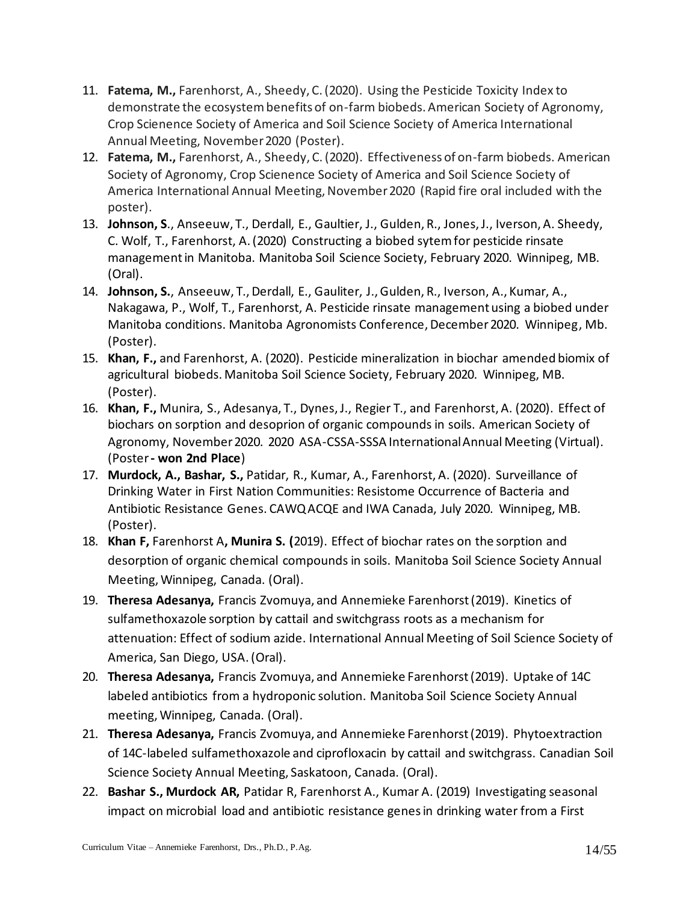- 11. **Fatema, M.,** Farenhorst, A., Sheedy, C. (2020). Using the Pesticide Toxicity Index to demonstrate the ecosystem benefits of on-farm biobeds. American Society of Agronomy, Crop Scienence Society of America and Soil Science Society of America International Annual Meeting, November 2020 (Poster).
- 12. **Fatema, M.,** Farenhorst, A., Sheedy, C. (2020). Effectiveness of on-farm biobeds. American Society of Agronomy, Crop Scienence Society of America and Soil Science Society of America International Annual Meeting, November 2020 (Rapid fire oral included with the poster).
- 13. **Johnson, S**., Anseeuw, T., Derdall, E., Gaultier, J., Gulden, R., Jones, J., Iverson, A. Sheedy, C. Wolf, T., Farenhorst, A. (2020) Constructing a biobed sytem for pesticide rinsate management in Manitoba. Manitoba Soil Science Society, February 2020. Winnipeg, MB. (Oral).
- 14. **Johnson, S.**, Anseeuw, T., Derdall, E., Gauliter, J., Gulden, R., Iverson, A., Kumar, A., Nakagawa, P., Wolf, T., Farenhorst, A. Pesticide rinsate management using a biobed under Manitoba conditions. Manitoba Agronomists Conference, December 2020. Winnipeg, Mb. (Poster).
- 15. **Khan, F.,** and Farenhorst, A. (2020). Pesticide mineralization in biochar amended biomix of agricultural biobeds. Manitoba Soil Science Society, February 2020. Winnipeg, MB. (Poster).
- 16. **Khan, F.,** Munira, S., Adesanya, T., Dynes, J., Regier T., and Farenhorst, A. (2020). Effect of biochars on sorption and desoprion of organic compounds in soils. American Society of Agronomy, November 2020. 2020 ASA-CSSA-SSSA International Annual Meeting (Virtual). (Poster**- won 2nd Place**)
- 17. **Murdock, A., Bashar, S.,** Patidar, R., Kumar, A., Farenhorst, A. (2020). Surveillance of Drinking Water in First Nation Communities: Resistome Occurrence of Bacteria and Antibiotic Resistance Genes. CAWQ ACQE and IWA Canada, July 2020. Winnipeg, MB. (Poster).
- 18. **Khan F,** Farenhorst A**, Munira S. (**2019). Effect of biochar rates on the sorption and desorption of organic chemical compounds in soils. Manitoba Soil Science Society Annual Meeting, Winnipeg, Canada. (Oral).
- 19. **Theresa Adesanya,** Francis Zvomuya, and Annemieke Farenhorst (2019). Kinetics of sulfamethoxazole sorption by cattail and switchgrass roots as a mechanism for attenuation: Effect of sodium azide. International Annual Meeting of Soil Science Society of America, San Diego, USA. (Oral).
- 20. **Theresa Adesanya,** Francis Zvomuya, and Annemieke Farenhorst (2019). Uptake of 14C labeled antibiotics from a hydroponic solution. Manitoba Soil Science Society Annual meeting, Winnipeg, Canada. (Oral).
- 21. **Theresa Adesanya,** Francis Zvomuya, and Annemieke Farenhorst (2019). Phytoextraction of 14C-labeled sulfamethoxazole and ciprofloxacin by cattail and switchgrass. Canadian Soil Science Society Annual Meeting, Saskatoon, Canada. (Oral).
- 22. **Bashar S., Murdock AR,** Patidar R, Farenhorst A., Kumar A. (2019) Investigating seasonal impact on microbial load and antibiotic resistance genes in drinking water from a First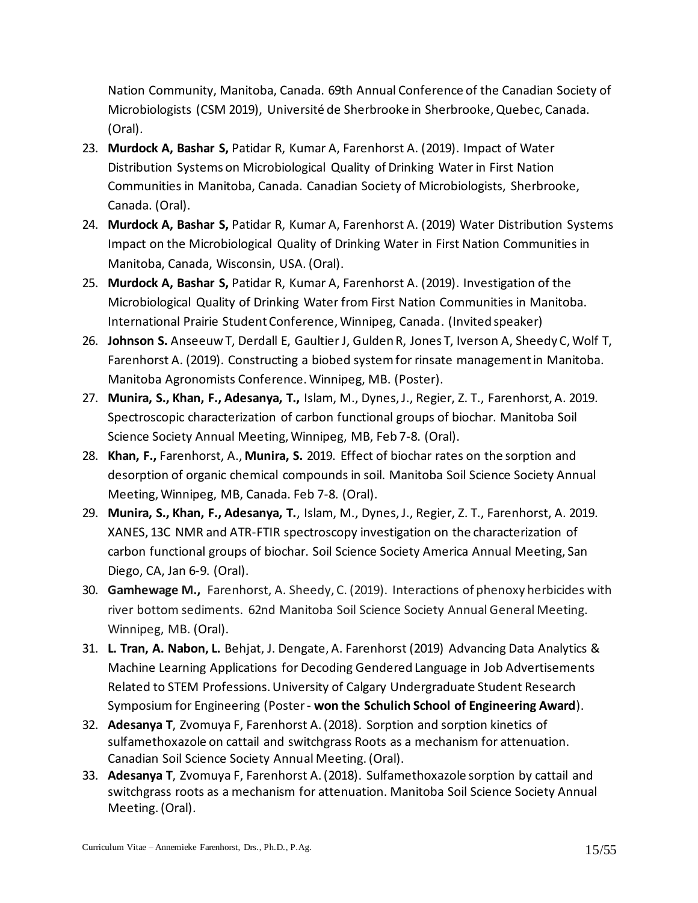Nation Community, Manitoba, Canada. 69th Annual Conference of the Canadian Society of Microbiologists (CSM 2019), Université de Sherbrooke in Sherbrooke, Quebec, Canada. (Oral).

- 23. **Murdock A, Bashar S,** Patidar R, Kumar A, Farenhorst A. (2019). Impact of Water Distribution Systems on Microbiological Quality of Drinking Water in First Nation Communities in Manitoba, Canada. Canadian Society of Microbiologists, Sherbrooke, Canada. (Oral).
- 24. **Murdock A, Bashar S,** Patidar R, Kumar A, Farenhorst A. (2019) Water Distribution Systems Impact on the Microbiological Quality of Drinking Water in First Nation Communities in Manitoba, Canada, Wisconsin, USA. (Oral).
- 25. **Murdock A, Bashar S,** Patidar R, Kumar A, Farenhorst A. (2019). Investigation of the Microbiological Quality of Drinking Water from First Nation Communities in Manitoba. International Prairie Student Conference, Winnipeg, Canada. (Invited speaker)
- 26. **Johnson S.** Anseeuw T, Derdall E, Gaultier J, Gulden R, Jones T, Iverson A, Sheedy C, Wolf T, Farenhorst A. (2019). Constructing a biobed system for rinsate management in Manitoba. Manitoba Agronomists Conference. Winnipeg, MB. (Poster).
- 27. **Munira, S., Khan, F., Adesanya, T.,** Islam, M., Dynes, J., Regier, Z. T., Farenhorst, A. 2019. Spectroscopic characterization of carbon functional groups of biochar. Manitoba Soil Science Society Annual Meeting, Winnipeg, MB, Feb 7-8. (Oral).
- 28. **Khan, F.,** Farenhorst, A., **Munira, S.** 2019. Effect of biochar rates on the sorption and desorption of organic chemical compounds in soil. Manitoba Soil Science Society Annual Meeting, Winnipeg, MB, Canada. Feb 7-8. (Oral).
- 29. **Munira, S., Khan, F., Adesanya, T.**, Islam, M., Dynes, J., Regier, Z. T., Farenhorst, A. 2019. XANES, 13C NMR and ATR-FTIR spectroscopy investigation on the characterization of carbon functional groups of biochar. Soil Science Society America Annual Meeting, San Diego, CA, Jan 6-9. (Oral).
- 30. **Gamhewage M.,** Farenhorst, A. Sheedy, C. (2019). Interactions of phenoxy herbicides with river bottom sediments. 62nd Manitoba Soil Science Society Annual General Meeting. Winnipeg, MB. (Oral).
- 31. **L. Tran, A. Nabon, L.** Behjat, J. Dengate, A. Farenhorst (2019) Advancing Data Analytics & Machine Learning Applications for Decoding Gendered Language in Job Advertisements Related to STEM Professions. University of Calgary Undergraduate Student Research Symposium for Engineering (Poster - **won the Schulich School of Engineering Award**).
- 32. **Adesanya T**, Zvomuya F, Farenhorst A. (2018). Sorption and sorption kinetics of sulfamethoxazole on cattail and switchgrass Roots as a mechanism for attenuation. Canadian Soil Science Society Annual Meeting. (Oral).
- 33. **Adesanya T**, Zvomuya F, Farenhorst A. (2018). Sulfamethoxazole sorption by cattail and switchgrass roots as a mechanism for attenuation. Manitoba Soil Science Society Annual Meeting. (Oral).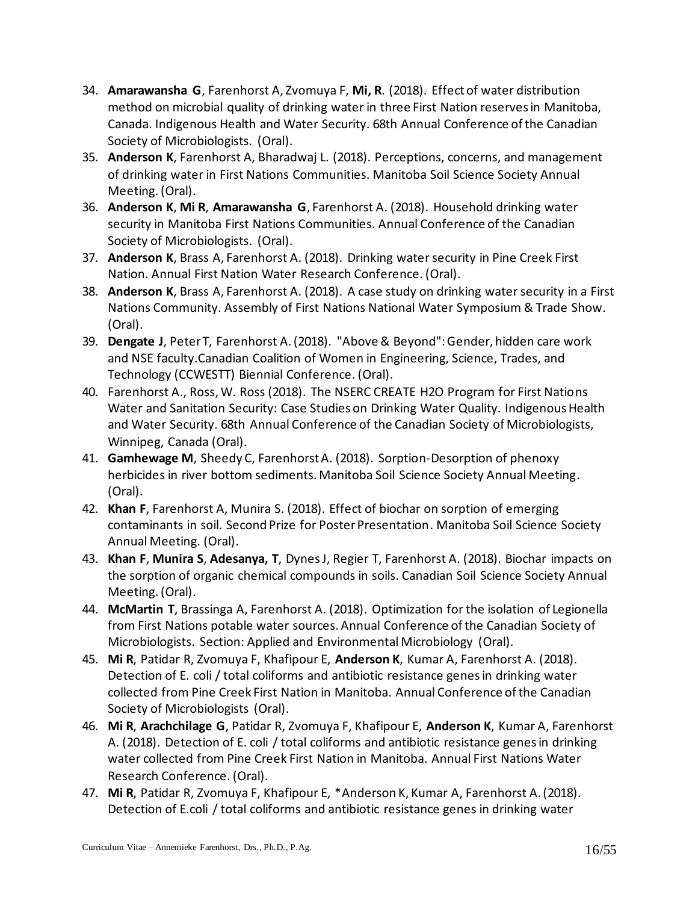- 34. **Amarawansha G**, Farenhorst A, Zvomuya F, **Mi, R**. (2018). Effect of water distribution method on microbial quality of drinking water in three First Nation reserves in Manitoba, Canada. Indigenous Health and Water Security. 68th Annual Conference of the Canadian Society of Microbiologists. (Oral).
- 35. **Anderson K**, Farenhorst A, Bharadwaj L. (2018). Perceptions, concerns, and management of drinking water in First Nations Communities. Manitoba Soil Science Society Annual Meeting. (Oral).
- 36. **Anderson K**, **Mi R**, **Amarawansha G**, Farenhorst A. (2018). Household drinking water security in Manitoba First Nations Communities. Annual Conference of the Canadian Society of Microbiologists. (Oral).
- 37. **Anderson K**, Brass A, Farenhorst A. (2018). Drinking water security in Pine Creek First Nation. Annual First Nation Water Research Conference. (Oral).
- 38. **Anderson K**, Brass A, Farenhorst A. (2018). A case study on drinking water security in a First Nations Community. Assembly of First Nations National Water Symposium & Trade Show. (Oral).
- 39. **Dengate J**, Peter T, Farenhorst A. (2018). "Above & Beyond": Gender, hidden care work and NSE faculty.Canadian Coalition of Women in Engineering, Science, Trades, and Technology (CCWESTT) Biennial Conference. (Oral).
- 40. Farenhorst A., Ross, W. Ross (2018). The NSERC CREATE H2O Program for First Nations Water and Sanitation Security: Case Studies on Drinking Water Quality. Indigenous Health and Water Security. 68th Annual Conference of the Canadian Society of Microbiologists, Winnipeg, Canada (Oral).
- 41. **Gamhewage M**, Sheedy C, Farenhorst A. (2018). Sorption-Desorption of phenoxy herbicides in river bottom sediments. Manitoba Soil Science Society Annual Meeting. (Oral).
- 42. **Khan F**, Farenhorst A, Munira S. (2018). Effect of biochar on sorption of emerging contaminants in soil. Second Prize for Poster Presentation. Manitoba Soil Science Society Annual Meeting. (Oral).
- 43. **Khan F**, **Munira S**, **Adesanya, T**, Dynes J, Regier T, Farenhorst A. (2018). Biochar impacts on the sorption of organic chemical compounds in soils. Canadian Soil Science Society Annual Meeting. (Oral).
- 44. **McMartin T**, Brassinga A, Farenhorst A. (2018). Optimization for the isolation of Legionella from First Nations potable water sources. Annual Conference of the Canadian Society of Microbiologists. Section: Applied and Environmental Microbiology (Oral).
- 45. **Mi R**, Patidar R, Zvomuya F, Khafipour E, **Anderson K**, Kumar A, Farenhorst A. (2018). Detection of E. coli / total coliforms and antibiotic resistance genes in drinking water collected from Pine Creek First Nation in Manitoba. Annual Conference of the Canadian Society of Microbiologists (Oral).
- 46. **Mi R**, **Arachchilage G**, Patidar R, Zvomuya F, Khafipour E, **Anderson K**, Kumar A, Farenhorst A. (2018). Detection of E. coli / total coliforms and antibiotic resistance genes in drinking water collected from Pine Creek First Nation in Manitoba. Annual First Nations Water Research Conference. (Oral).
- 47. **Mi R**, Patidar R, Zvomuya F, Khafipour E, \*Anderson K, Kumar A, Farenhorst A. (2018). Detection of E.coli / total coliforms and antibiotic resistance genes in drinking water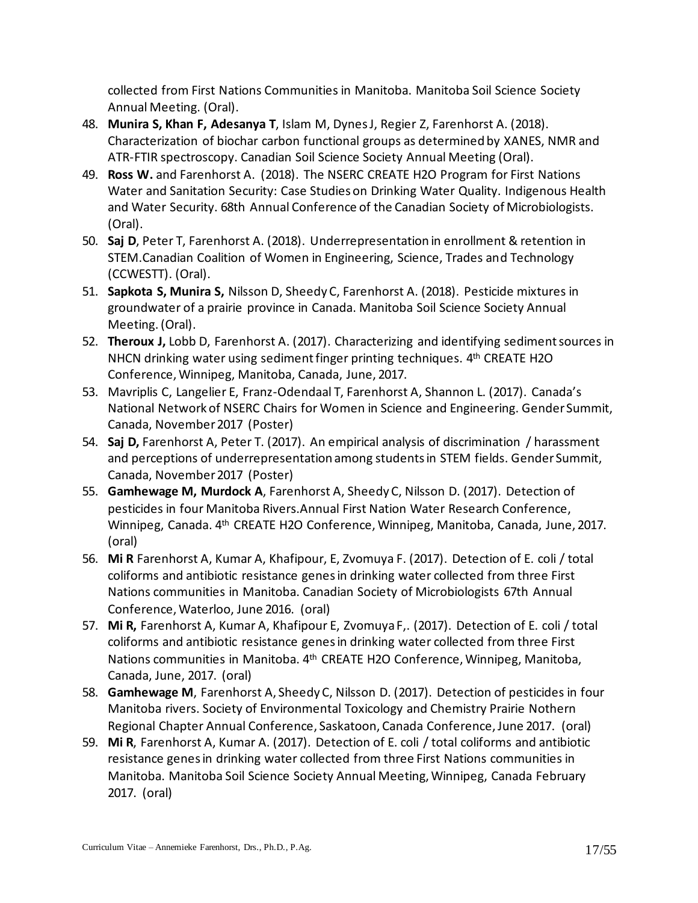collected from First Nations Communities in Manitoba. Manitoba Soil Science Society Annual Meeting. (Oral).

- 48. **Munira S, Khan F, Adesanya T**, Islam M, Dynes J, Regier Z, Farenhorst A. (2018). Characterization of biochar carbon functional groups as determined by XANES, NMR and ATR-FTIR spectroscopy. Canadian Soil Science Society Annual Meeting (Oral).
- 49. **Ross W.** and Farenhorst A. (2018). The NSERC CREATE H2O Program for First Nations Water and Sanitation Security: Case Studies on Drinking Water Quality. Indigenous Health and Water Security. 68th Annual Conference of the Canadian Society of Microbiologists. (Oral).
- 50. **Saj D**, Peter T, Farenhorst A. (2018). Underrepresentation in enrollment & retention in STEM.Canadian Coalition of Women in Engineering, Science, Trades and Technology (CCWESTT). (Oral).
- 51. **Sapkota S, Munira S,** Nilsson D, Sheedy C, Farenhorst A. (2018). Pesticide mixtures in groundwater of a prairie province in Canada. Manitoba Soil Science Society Annual Meeting. (Oral).
- 52. **Theroux J,** Lobb D, Farenhorst A. (2017). Characterizing and identifying sediment sources in NHCN drinking water using sediment finger printing techniques. 4<sup>th</sup> CREATE H2O Conference, Winnipeg, Manitoba, Canada, June, 2017.
- 53. Mavriplis C, Langelier E, Franz-Odendaal T, Farenhorst A, Shannon L. (2017). Canada's National Network of NSERC Chairs for Women in Science and Engineering. Gender Summit, Canada, November 2017 (Poster)
- 54. **Saj D,** Farenhorst A, Peter T. (2017). An empirical analysis of discrimination / harassment and perceptions of underrepresentation among students in STEM fields. Gender Summit, Canada, November 2017 (Poster)
- 55. **Gamhewage M, Murdock A**, Farenhorst A, Sheedy C, Nilsson D. (2017). Detection of pesticides in four Manitoba Rivers.Annual First Nation Water Research Conference, Winnipeg, Canada. 4th CREATE H2O Conference, Winnipeg, Manitoba, Canada, June, 2017. (oral)
- 56. **Mi R** Farenhorst A, Kumar A, Khafipour, E, Zvomuya F. (2017). Detection of E. coli / total coliforms and antibiotic resistance genes in drinking water collected from three First Nations communities in Manitoba. Canadian Society of Microbiologists 67th Annual Conference, Waterloo, June 2016. (oral)
- 57. **Mi R,** Farenhorst A, Kumar A, Khafipour E, Zvomuya F,. (2017). Detection of E. coli / total coliforms and antibiotic resistance genes in drinking water collected from three First Nations communities in Manitoba. 4th CREATE H2O Conference, Winnipeg, Manitoba, Canada, June, 2017. (oral)
- 58. **Gamhewage M**, Farenhorst A, Sheedy C, Nilsson D. (2017). Detection of pesticides in four Manitoba rivers. Society of Environmental Toxicology and Chemistry Prairie Nothern Regional Chapter Annual Conference, Saskatoon, Canada Conference, June 2017. (oral)
- 59. **Mi R**, Farenhorst A, Kumar A. (2017). Detection of E. coli / total coliforms and antibiotic resistance genes in drinking water collected from three First Nations communities in Manitoba. Manitoba Soil Science Society Annual Meeting, Winnipeg, Canada February 2017. (oral)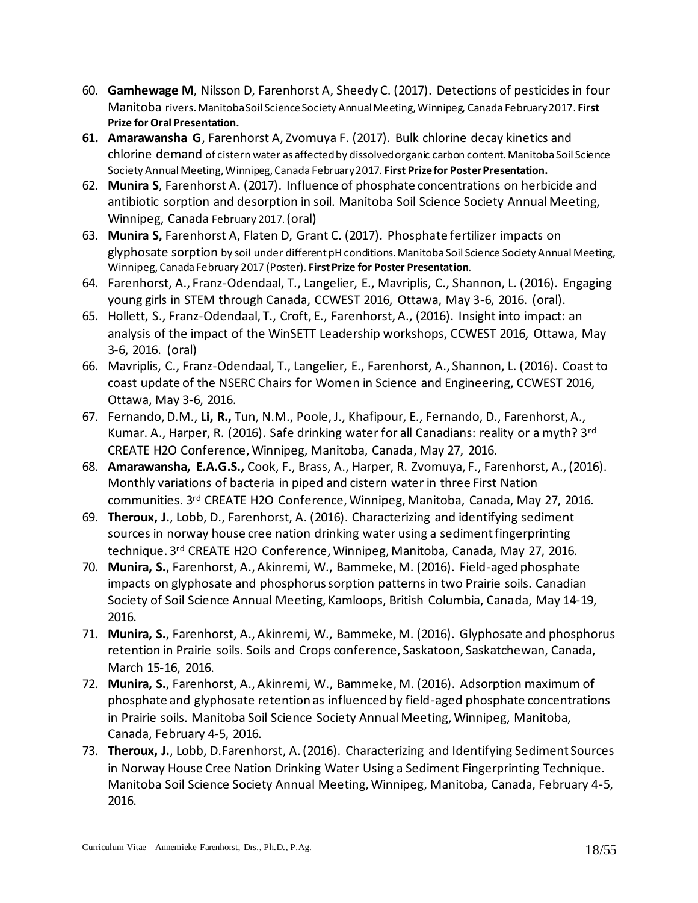- 60. **Gamhewage M**, Nilsson D, Farenhorst A, Sheedy C. (2017). Detections of pesticides in four Manitoba rivers. Manitoba Soil Science Society Annual Meeting, Winnipeg, Canada February 2017. **First Prize for Oral Presentation.**
- **61. Amarawansha G**, Farenhorst A, Zvomuya F. (2017). Bulk chlorine decay kinetics and chlorine demand of cistern water as affected by dissolved organic carbon content. Manitoba Soil Science Society Annual Meeting, Winnipeg, Canada February 2017. **First Prize for Poster Presentation.**
- 62. **Munira S**, Farenhorst A. (2017). Influence of phosphate concentrations on herbicide and antibiotic sorption and desorption in soil. Manitoba Soil Science Society Annual Meeting, Winnipeg, Canada February 2017.(oral)
- 63. **Munira S,** Farenhorst A, Flaten D, Grant C. (2017). Phosphate fertilizer impacts on glyphosate sorption by soil under different pH conditions. Manitoba Soil Science Society Annual Meeting, Winnipeg, Canada February 2017 (Poster). **First Prize for Poster Presentation**.
- 64. Farenhorst, A., Franz-Odendaal, T., Langelier, E., Mavriplis, C., Shannon, L. (2016). Engaging young girls in STEM through Canada, CCWEST 2016, Ottawa, May 3-6, 2016. (oral).
- 65. Hollett, S., Franz-Odendaal, T., Croft, E., Farenhorst, A., (2016). Insight into impact: an analysis of the impact of the WinSETT Leadership workshops, CCWEST 2016, Ottawa, May 3-6, 2016. (oral)
- 66. Mavriplis, C., Franz-Odendaal, T., Langelier, E., Farenhorst, A., Shannon, L. (2016). Coast to coast update of the NSERC Chairs for Women in Science and Engineering, CCWEST 2016, Ottawa, May 3-6, 2016.
- 67. Fernando, D.M., **Li, R.,** Tun, N.M., Poole, J., Khafipour, E., Fernando, D., Farenhorst, A., Kumar. A., Harper, R. (2016). Safe drinking water for all Canadians: reality or a myth? 3<sup>rd</sup> CREATE H2O Conference, Winnipeg, Manitoba, Canada, May 27, 2016.
- 68. **Amarawansha, E.A.G.S.,** Cook, F., Brass, A., Harper, R. Zvomuya, F., Farenhorst, A., (2016). Monthly variations of bacteria in piped and cistern water in three First Nation communities. 3rd CREATE H2O Conference, Winnipeg, Manitoba, Canada, May 27, 2016.
- 69. **Theroux, J.**, Lobb, D., Farenhorst, A. (2016). Characterizing and identifying sediment sources in norway house cree nation drinking water using a sediment fingerprinting technique. 3rd CREATE H2O Conference, Winnipeg, Manitoba, Canada, May 27, 2016.
- 70. **Munira, S.**, Farenhorst, A., Akinremi, W., Bammeke, M. (2016). Field-aged phosphate impacts on glyphosate and phosphorus sorption patterns in two Prairie soils. Canadian Society of Soil Science Annual Meeting, Kamloops, British Columbia, Canada, May 14-19, 2016.
- 71. **Munira, S.**, Farenhorst, A., Akinremi, W., Bammeke, M. (2016). Glyphosate and phosphorus retention in Prairie soils. Soils and Crops conference, Saskatoon, Saskatchewan, Canada, March 15-16, 2016.
- 72. **Munira, S.**, Farenhorst, A., Akinremi, W., Bammeke, M. (2016). Adsorption maximum of phosphate and glyphosate retention as influenced by field-aged phosphate concentrations in Prairie soils. Manitoba Soil Science Society Annual Meeting, Winnipeg, Manitoba, Canada, February 4-5, 2016.
- 73. **Theroux, J.**, Lobb, D.Farenhorst, A. (2016). Characterizing and Identifying Sediment Sources in Norway House Cree Nation Drinking Water Using a Sediment Fingerprinting Technique. Manitoba Soil Science Society Annual Meeting, Winnipeg, Manitoba, Canada, February 4-5, 2016.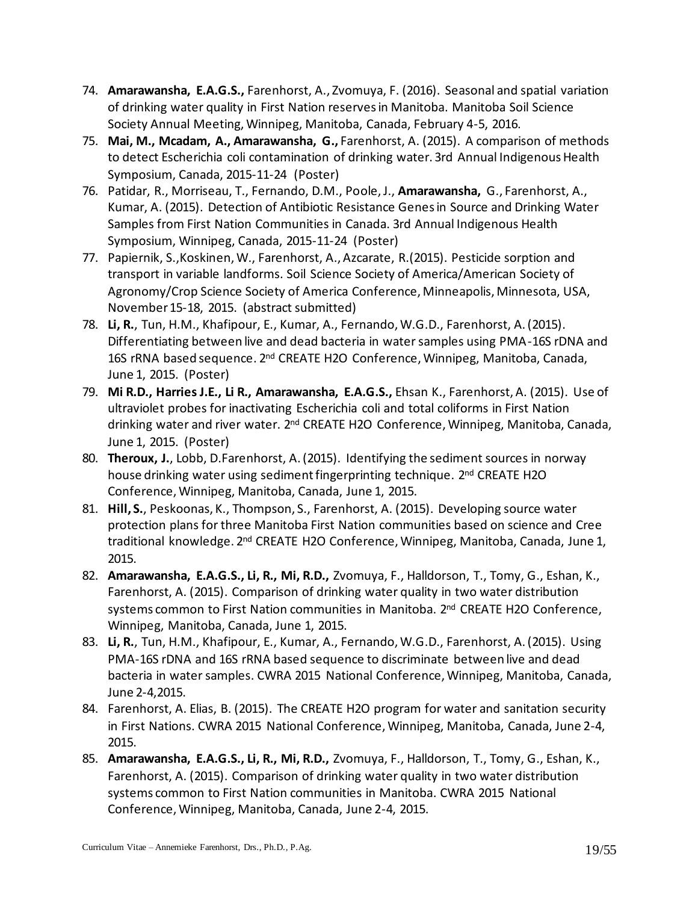- 74. **Amarawansha, E.A.G.S.,** Farenhorst, A., Zvomuya, F. (2016). Seasonal and spatial variation of drinking water quality in First Nation reserves in Manitoba. Manitoba Soil Science Society Annual Meeting, Winnipeg, Manitoba, Canada, February 4-5, 2016.
- 75. **Mai, M., Mcadam, A., Amarawansha, G.,** Farenhorst, A. (2015). A comparison of methods to detect Escherichia coli contamination of drinking water. 3rd Annual Indigenous Health Symposium, Canada, 2015-11-24 (Poster)
- 76. Patidar, R., Morriseau, T., Fernando, D.M., Poole, J., **Amarawansha,** G., Farenhorst, A., Kumar, A. (2015). Detection of Antibiotic Resistance Genes in Source and Drinking Water Samples from First Nation Communities in Canada. 3rd Annual Indigenous Health Symposium, Winnipeg, Canada, 2015-11-24 (Poster)
- 77. Papiernik, S.,Koskinen, W., Farenhorst, A., Azcarate, R.(2015). Pesticide sorption and transport in variable landforms. Soil Science Society of America/American Society of Agronomy/Crop Science Society of America Conference, Minneapolis, Minnesota, USA, November 15-18, 2015. (abstract submitted)
- 78. **Li, R.**, Tun, H.M., Khafipour, E., Kumar, A., Fernando, W.G.D., Farenhorst, A. (2015). Differentiating between live and dead bacteria in water samples using PMA-16S rDNA and 16S rRNA based sequence. 2<sup>nd</sup> CREATE H2O Conference, Winnipeg, Manitoba, Canada, June 1, 2015. (Poster)
- 79. **Mi R.D., Harries J.E., Li R., Amarawansha, E.A.G.S.,** Ehsan K., Farenhorst, A. (2015). Use of ultraviolet probes for inactivating Escherichia coli and total coliforms in First Nation drinking water and river water. 2<sup>nd</sup> CREATE H2O Conference, Winnipeg, Manitoba, Canada, June 1, 2015. (Poster)
- 80. **Theroux, J.**, Lobb, D.Farenhorst, A. (2015). Identifying the sediment sources in norway house drinking water using sediment fingerprinting technique. 2<sup>nd</sup> CREATE H2O Conference, Winnipeg, Manitoba, Canada, June 1, 2015.
- 81. **Hill, S.**, Peskoonas, K., Thompson, S., Farenhorst, A. (2015). Developing source water protection plans for three Manitoba First Nation communities based on science and Cree traditional knowledge. 2<sup>nd</sup> CREATE H2O Conference, Winnipeg, Manitoba, Canada, June 1, 2015.
- 82. **Amarawansha, E.A.G.S., Li, R., Mi, R.D.,** Zvomuya, F., Halldorson, T., Tomy, G., Eshan, K., Farenhorst, A. (2015). Comparison of drinking water quality in two water distribution systems common to First Nation communities in Manitoba. 2<sup>nd</sup> CREATE H2O Conference, Winnipeg, Manitoba, Canada, June 1, 2015.
- 83. **Li, R.**, Tun, H.M., Khafipour, E., Kumar, A., Fernando, W.G.D., Farenhorst, A. (2015). Using PMA-16S rDNA and 16S rRNA based sequence to discriminate between live and dead bacteria in water samples. CWRA 2015 National Conference, Winnipeg, Manitoba, Canada, June 2-4,2015.
- 84. Farenhorst, A. Elias, B. (2015). The CREATE H2O program for water and sanitation security in First Nations. CWRA 2015 National Conference, Winnipeg, Manitoba, Canada, June 2-4, 2015.
- 85. **Amarawansha, E.A.G.S., Li, R., Mi, R.D.,** Zvomuya, F., Halldorson, T., Tomy, G., Eshan, K., Farenhorst, A. (2015). Comparison of drinking water quality in two water distribution systems common to First Nation communities in Manitoba. CWRA 2015 National Conference, Winnipeg, Manitoba, Canada, June 2-4, 2015.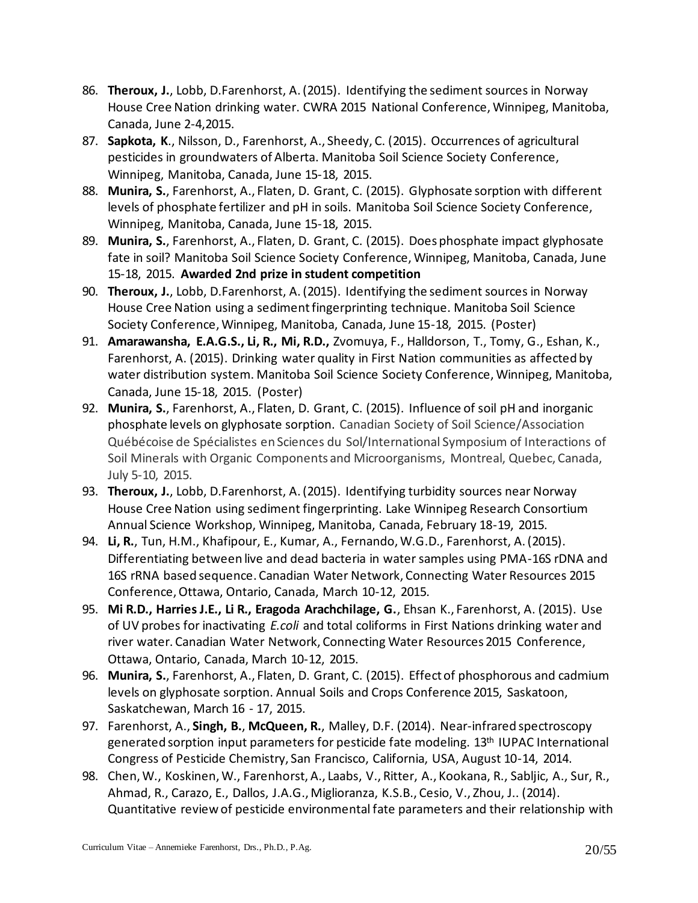- 86. **Theroux, J.**, Lobb, D.Farenhorst, A. (2015). Identifying the sediment sources in Norway House Cree Nation drinking water. CWRA 2015 National Conference, Winnipeg, Manitoba, Canada, June 2-4,2015.
- 87. **Sapkota, K**., Nilsson, D., Farenhorst, A., Sheedy, C. (2015). Occurrences of agricultural pesticides in groundwaters of Alberta. Manitoba Soil Science Society Conference, Winnipeg, Manitoba, Canada, June 15-18, 2015.
- 88. **Munira, S.**, Farenhorst, A., Flaten, D. Grant, C. (2015). Glyphosate sorption with different levels of phosphate fertilizer and pH in soils. Manitoba Soil Science Society Conference, Winnipeg, Manitoba, Canada, June 15-18, 2015.
- 89. **Munira, S.**, Farenhorst, A., Flaten, D. Grant, C. (2015). Does phosphate impact glyphosate fate in soil? Manitoba Soil Science Society Conference, Winnipeg, Manitoba, Canada, June 15-18, 2015. **Awarded 2nd prize in student competition**
- 90. **Theroux, J.**, Lobb, D.Farenhorst, A. (2015). Identifying the sediment sources in Norway House Cree Nation using a sediment fingerprinting technique. Manitoba Soil Science Society Conference, Winnipeg, Manitoba, Canada, June 15-18, 2015. (Poster)
- 91. **Amarawansha, E.A.G.S., Li, R., Mi, R.D.,** Zvomuya, F., Halldorson, T., Tomy, G., Eshan, K., Farenhorst, A. (2015). Drinking water quality in First Nation communities as affected by water distribution system. Manitoba Soil Science Society Conference, Winnipeg, Manitoba, Canada, June 15-18, 2015. (Poster)
- 92. **Munira, S.**, Farenhorst, A., Flaten, D. Grant, C. (2015). Influence of soil pH and inorganic phosphate levels on glyphosate sorption. Canadian Society of Soil Science/Association Québécoise de Spécialistes en Sciences du Sol/International Symposium of Interactions of Soil Minerals with Organic Components and Microorganisms, Montreal, Quebec, Canada, July 5-10, 2015.
- 93. **Theroux, J.**, Lobb, D.Farenhorst, A. (2015). Identifying turbidity sources near Norway House Cree Nation using sediment fingerprinting. Lake Winnipeg Research Consortium Annual Science Workshop, Winnipeg, Manitoba, Canada, February 18-19, 2015.
- 94. **Li, R.**, Tun, H.M., Khafipour, E., Kumar, A., Fernando, W.G.D., Farenhorst, A. (2015). Differentiating between live and dead bacteria in water samples using PMA-16S rDNA and 16S rRNA based sequence. Canadian Water Network, Connecting Water Resources 2015 Conference, Ottawa, Ontario, Canada, March 10-12, 2015.
- 95. **Mi R.D., Harries J.E., Li R., Eragoda Arachchilage, G.**, Ehsan K., Farenhorst, A. (2015). Use of UV probes for inactivating *E.coli* and total coliforms in First Nations drinking water and river water. Canadian Water Network, Connecting Water Resources 2015 Conference, Ottawa, Ontario, Canada, March 10-12, 2015.
- 96. **Munira, S.**, Farenhorst, A., Flaten, D. Grant, C. (2015). Effect of phosphorous and cadmium levels on glyphosate sorption. Annual Soils and Crops Conference 2015, Saskatoon, Saskatchewan, March 16 - 17, 2015.
- 97. Farenhorst, A., **Singh, B.**, **McQueen, R.**, Malley, D.F. (2014). Near-infrared spectroscopy generated sorption input parameters for pesticide fate modeling. 13<sup>th</sup> IUPAC International Congress of Pesticide Chemistry, San Francisco, California, USA, August 10-14, 2014.
- 98. Chen, W., Koskinen, W., Farenhorst, A., Laabs, V., Ritter, A., Kookana, R., Sabljic, A., Sur, R., Ahmad, R., Carazo, E., Dallos, J.A.G., Miglioranza, K.S.B., Cesio, V., Zhou, J.. (2014). Quantitative review of pesticide environmental fate parameters and their relationship with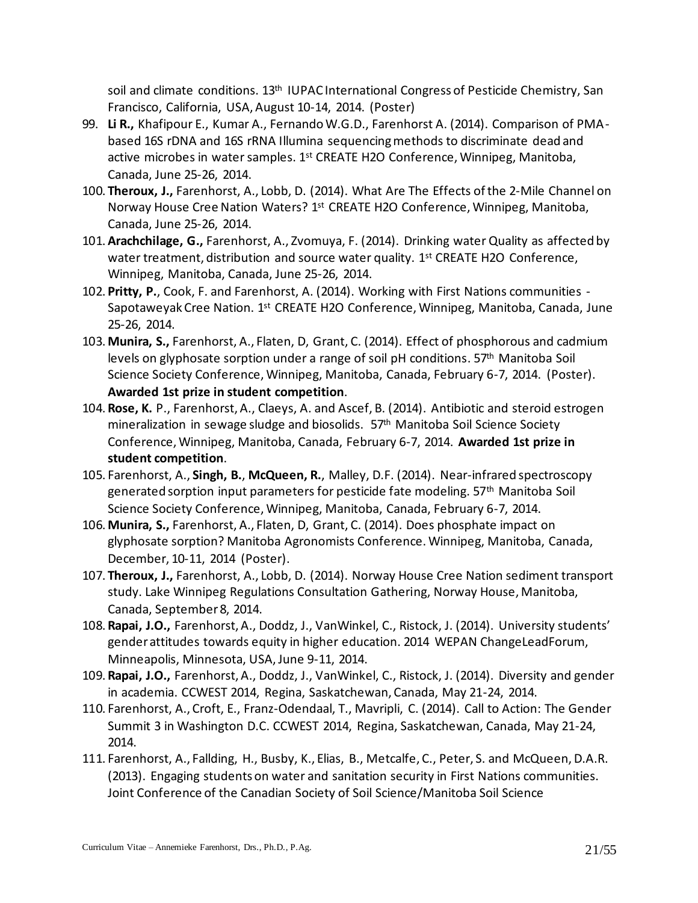soil and climate conditions. 13<sup>th</sup> IUPAC International Congress of Pesticide Chemistry, San Francisco, California, USA, August 10-14, 2014. (Poster)

- 99. **Li R.,** Khafipour E., Kumar A., Fernando W.G.D., Farenhorst A. (2014). Comparison of PMAbased 16S rDNA and 16S rRNA Illumina sequencing methods to discriminate dead and active microbes in water samples. 1<sup>st</sup> CREATE H2O Conference, Winnipeg, Manitoba, Canada, June 25-26, 2014.
- 100.**Theroux, J.,** Farenhorst, A., Lobb, D. (2014). What Are The Effects of the 2-Mile Channel on Norway House Cree Nation Waters? 1<sup>st</sup> CREATE H2O Conference, Winnipeg, Manitoba, Canada, June 25-26, 2014.
- 101.**Arachchilage, G.,** Farenhorst, A., Zvomuya, F. (2014). Drinking water Quality as affected by water treatment, distribution and source water quality. 1<sup>st</sup> CREATE H2O Conference, Winnipeg, Manitoba, Canada, June 25-26, 2014.
- 102. **Pritty, P.**, Cook, F. and Farenhorst, A. (2014). Working with First Nations communities Sapotaweyak Cree Nation. 1<sup>st</sup> CREATE H2O Conference, Winnipeg, Manitoba, Canada, June 25-26, 2014.
- 103. **Munira, S.,** Farenhorst, A., Flaten, D, Grant, C. (2014). Effect of phosphorous and cadmium levels on glyphosate sorption under a range of soil pH conditions.  $57<sup>th</sup>$  Manitoba Soil Science Society Conference, Winnipeg, Manitoba, Canada, February 6-7, 2014. (Poster). **Awarded 1st prize in student competition**.
- 104. **Rose, K.** P., Farenhorst, A., Claeys, A. and Ascef, B. (2014). Antibiotic and steroid estrogen mineralization in sewage sludge and biosolids.  $57<sup>th</sup>$  Manitoba Soil Science Society Conference, Winnipeg, Manitoba, Canada, February 6-7, 2014. **Awarded 1st prize in student competition**.
- 105. Farenhorst, A., **Singh, B.**, **McQueen, R.**, Malley, D.F. (2014). Near-infrared spectroscopy generated sorption input parameters for pesticide fate modeling. 57<sup>th</sup> Manitoba Soil Science Society Conference, Winnipeg, Manitoba, Canada, February 6-7, 2014.
- 106. **Munira, S.,** Farenhorst, A., Flaten, D, Grant, C. (2014). Does phosphate impact on glyphosate sorption? Manitoba Agronomists Conference. Winnipeg, Manitoba, Canada, December, 10-11, 2014 (Poster).
- 107.**Theroux, J.,** Farenhorst, A., Lobb, D. (2014). Norway House Cree Nation sediment transport study. Lake Winnipeg Regulations Consultation Gathering, Norway House, Manitoba, Canada, September 8, 2014.
- 108. **Rapai, J.O.,** Farenhorst, A., Doddz, J., VanWinkel, C., Ristock, J. (2014). University students' gender attitudes towards equity in higher education. 2014 WEPAN ChangeLeadForum, Minneapolis, Minnesota, USA, June 9-11, 2014.
- 109. **Rapai, J.O.,** Farenhorst, A., Doddz, J., VanWinkel, C., Ristock, J. (2014). Diversity and gender in academia. CCWEST 2014, Regina, Saskatchewan, Canada, May 21-24, 2014.
- 110. Farenhorst, A., Croft, E., Franz‐Odendaal, T., Mavripli, C. (2014). Call to Action: The Gender Summit 3 in Washington D.C. CCWEST 2014, Regina, Saskatchewan, Canada, May 21-24, 2014.
- 111. Farenhorst, A., Fallding, H., Busby, K., Elias, B., Metcalfe, C., Peter, S. and McQueen, D.A.R. (2013). Engaging students on water and sanitation security in First Nations communities. Joint Conference of the Canadian Society of Soil Science/Manitoba Soil Science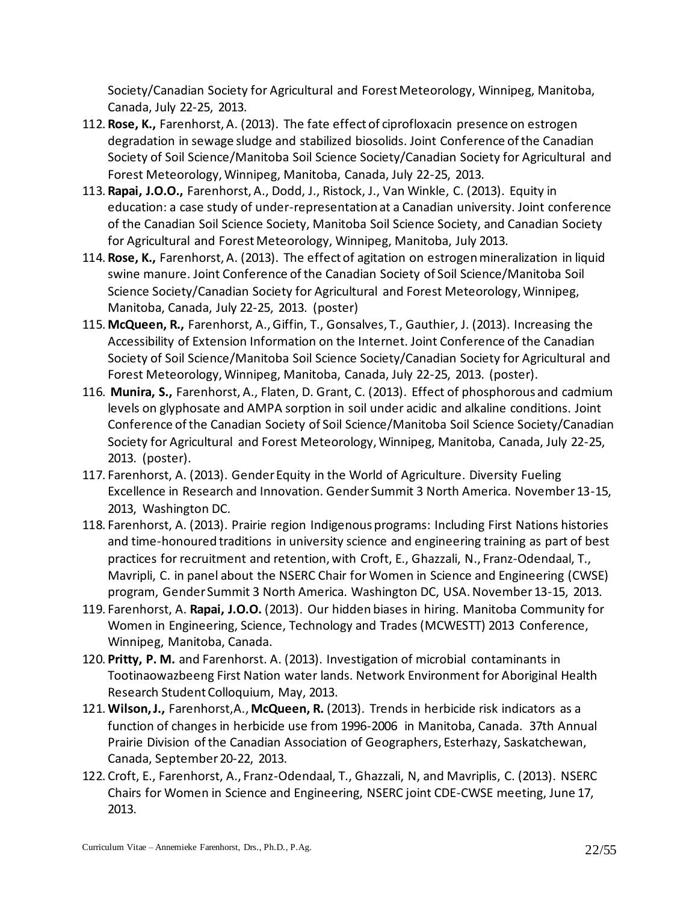Society/Canadian Society for Agricultural and Forest Meteorology, Winnipeg, Manitoba, Canada, July 22-25, 2013.

- 112. **Rose, K.,** Farenhorst, A. (2013). The fate effect of ciprofloxacin presence on estrogen degradation in sewage sludge and stabilized biosolids. Joint Conference of the Canadian Society of Soil Science/Manitoba Soil Science Society/Canadian Society for Agricultural and Forest Meteorology, Winnipeg, Manitoba, Canada, July 22-25, 2013.
- 113. **Rapai, J.O.O.,** Farenhorst, A., Dodd, J., Ristock, J., Van Winkle, C. (2013). Equity in education: a case study of under-representation at a Canadian university. Joint conference of the Canadian Soil Science Society, Manitoba Soil Science Society, and Canadian Society for Agricultural and Forest Meteorology, Winnipeg, Manitoba, July 2013.
- 114. **Rose, K.,** Farenhorst, A. (2013). The effect of agitation on estrogen mineralization in liquid swine manure. Joint Conference of the Canadian Society of Soil Science/Manitoba Soil Science Society/Canadian Society for Agricultural and Forest Meteorology, Winnipeg, Manitoba, Canada, July 22-25, 2013. (poster)
- 115. **McQueen, R.,** Farenhorst, A., Giffin, T., Gonsalves, T., Gauthier, J. (2013). Increasing the Accessibility of Extension Information on the Internet. Joint Conference of the Canadian Society of Soil Science/Manitoba Soil Science Society/Canadian Society for Agricultural and Forest Meteorology, Winnipeg, Manitoba, Canada, July 22-25, 2013. (poster).
- 116. **Munira, S.,** Farenhorst, A., Flaten, D. Grant, C. (2013). Effect of phosphorous and cadmium levels on glyphosate and AMPA sorption in soil under acidic and alkaline conditions. Joint Conference of the Canadian Society of Soil Science/Manitoba Soil Science Society/Canadian Society for Agricultural and Forest Meteorology, Winnipeg, Manitoba, Canada, July 22-25, 2013. (poster).
- 117. Farenhorst, A. (2013). Gender Equity in the World of Agriculture. Diversity Fueling Excellence in Research and Innovation. Gender Summit 3 North America. November 13-15, 2013, Washington DC.
- 118. Farenhorst, A. (2013). Prairie region Indigenous programs: Including First Nations histories and time-honoured traditions in university science and engineering training as part of best practices for recruitment and retention, with Croft, E., Ghazzali, N., Franz‐Odendaal, T., Mavripli, C. in panel about the NSERC Chair for Women in Science and Engineering (CWSE) program, Gender Summit 3 North America. Washington DC, USA. November 13-15, 2013.
- 119. Farenhorst, A. **Rapai, J.O.O.** (2013). Our hidden biases in hiring. Manitoba Community for Women in Engineering, Science, Technology and Trades (MCWESTT) 2013 Conference, Winnipeg, Manitoba, Canada.
- 120. **Pritty, P. M.** and Farenhorst. A. (2013). Investigation of microbial contaminants in Tootinaowazbeeng First Nation water lands. Network Environment for Aboriginal Health Research Student Colloquium, May, 2013.
- 121.**Wilson, J.,** Farenhorst,A., **McQueen, R.** (2013). Trends in herbicide risk indicators as a function of changes in herbicide use from 1996-2006 in Manitoba, Canada. 37th Annual Prairie Division of the Canadian Association of Geographers, Esterhazy, Saskatchewan, Canada, September 20-22, 2013.
- 122. Croft, E., Farenhorst, A., Franz-Odendaal, T., Ghazzali, N, and Mavriplis, C. (2013). NSERC Chairs for Women in Science and Engineering, NSERC joint CDE-CWSE meeting, June 17, 2013.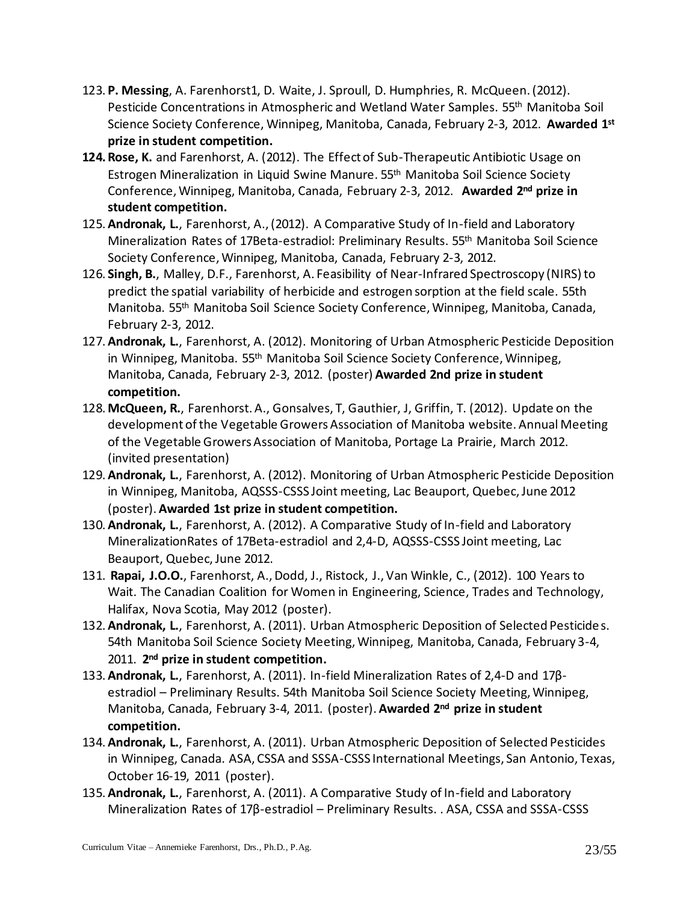- 123. **P. Messing**, A. Farenhorst1, D. Waite, J. Sproull, D. Humphries, R. McQueen. (2012). Pesticide Concentrations in Atmospheric and Wetland Water Samples. 55<sup>th</sup> Manitoba Soil Science Society Conference, Winnipeg, Manitoba, Canada, February 2-3, 2012. **Awarded 1st prize in student competition.**
- **124.Rose, K.** and Farenhorst, A. (2012). The Effect of Sub-Therapeutic Antibiotic Usage on Estrogen Mineralization in Liquid Swine Manure. 55th Manitoba Soil Science Society Conference, Winnipeg, Manitoba, Canada, February 2-3, 2012. **Awarded 2nd prize in student competition.**
- 125.**Andronak, L.**, Farenhorst, A., (2012). A Comparative Study of In-field and Laboratory Mineralization Rates of 17Beta-estradiol: Preliminary Results. 55th Manitoba Soil Science Society Conference, Winnipeg, Manitoba, Canada, February 2-3, 2012.
- 126. **Singh, B.**, Malley, D.F., Farenhorst, A. Feasibility of Near-Infrared Spectroscopy (NIRS) to predict the spatial variability of herbicide and estrogen sorption at the field scale. 55th Manitoba. 55th Manitoba Soil Science Society Conference, Winnipeg, Manitoba, Canada, February 2-3, 2012.
- 127.**Andronak, L.**, Farenhorst, A. (2012). Monitoring of Urban Atmospheric Pesticide Deposition in Winnipeg, Manitoba. 55<sup>th</sup> Manitoba Soil Science Society Conference, Winnipeg, Manitoba, Canada, February 2-3, 2012. (poster) **Awarded 2nd prize in student competition.**
- 128. **McQueen, R.**, Farenhorst. A., Gonsalves, T, Gauthier, J, Griffin, T. (2012). Update on the development of the Vegetable Growers Association of Manitoba website. Annual Meeting of the Vegetable Growers Association of Manitoba, Portage La Prairie, March 2012. (invited presentation)
- 129.**Andronak, L.**, Farenhorst, A. (2012). Monitoring of Urban Atmospheric Pesticide Deposition in Winnipeg, Manitoba, AQSSS-CSSS Joint meeting, Lac Beauport, Quebec, June 2012 (poster). **Awarded 1st prize in student competition.**
- 130.**Andronak, L.**, Farenhorst, A. (2012). A Comparative Study of In-field and Laboratory MineralizationRates of 17Beta-estradiol and 2,4-D, AQSSS-CSSS Joint meeting, Lac Beauport, Quebec, June 2012.
- 131. **Rapai, J.O.O.**, Farenhorst, A., Dodd, J., Ristock, J., Van Winkle, C., (2012). 100 Years to Wait. The Canadian Coalition for Women in Engineering, Science, Trades and Technology, Halifax, Nova Scotia, May 2012 (poster).
- 132.**Andronak, L.**, Farenhorst, A. (2011). Urban Atmospheric Deposition of Selected Pesticides. 54th Manitoba Soil Science Society Meeting, Winnipeg, Manitoba, Canada, February 3-4, 2011. **2 nd prize in student competition.**
- 133.**Andronak, L.**, Farenhorst, A. (2011). In-field Mineralization Rates of 2,4-D and 17βestradiol – Preliminary Results. 54th Manitoba Soil Science Society Meeting, Winnipeg, Manitoba, Canada, February 3-4, 2011. (poster). **Awarded 2nd prize in student competition.**
- 134.**Andronak, L.**, Farenhorst, A. (2011). Urban Atmospheric Deposition of Selected Pesticides in Winnipeg, Canada. ASA, CSSA and SSSA-CSSS International Meetings, San Antonio, Texas, October 16-19, 2011 (poster).
- 135.**Andronak, L.**, Farenhorst, A. (2011). A Comparative Study of In-field and Laboratory Mineralization Rates of 17β-estradiol – Preliminary Results. . ASA, CSSA and SSSA-CSSS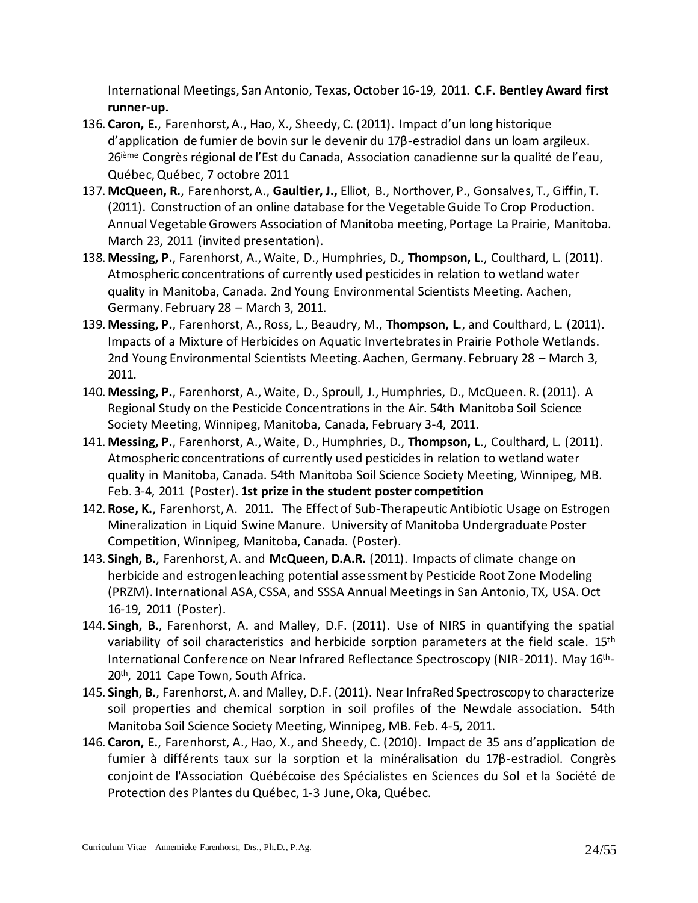International Meetings, San Antonio, Texas, October 16-19, 2011. **C.F. Bentley Award first runner-up.**

- 136. **Caron, E.**, Farenhorst, A., Hao, X., Sheedy, C. (2011). Impact d'un long historique d'application de fumier de bovin sur le devenir du 17β-estradiol dans un loam argileux. 26<sup>ième</sup> Congrès régional de l'Est du Canada, Association canadienne sur la qualité de l'eau, Québec, Québec, 7 octobre 2011
- 137. **McQueen, R.**, Farenhorst, A., **Gaultier, J.,** Elliot, B., Northover, P., Gonsalves, T., Giffin, T. (2011). Construction of an online database for the Vegetable Guide To Crop Production. Annual Vegetable Growers Association of Manitoba meeting, Portage La Prairie, Manitoba. March 23, 2011 (invited presentation).
- 138. **Messing, P.**, Farenhorst, A., Waite, D., Humphries, D., **Thompson, L**., Coulthard, L. (2011). Atmospheric concentrations of currently used pesticides in relation to wetland water quality in Manitoba, Canada. 2nd Young Environmental Scientists Meeting. Aachen, Germany. February 28 – March 3, 2011.
- 139. **Messing, P.**, Farenhorst, A., Ross, L., Beaudry, M., **Thompson, L**., and Coulthard, L. (2011). Impacts of a Mixture of Herbicides on Aquatic Invertebrates in Prairie Pothole Wetlands. 2nd Young Environmental Scientists Meeting. Aachen, Germany. February 28 – March 3, 2011.
- 140. **Messing, P.**, Farenhorst, A., Waite, D., Sproull, J., Humphries, D., McQueen. R. (2011). A Regional Study on the Pesticide Concentrations in the Air. 54th Manitoba Soil Science Society Meeting, Winnipeg, Manitoba, Canada, February 3-4, 2011.
- 141. **Messing, P.**, Farenhorst, A., Waite, D., Humphries, D., **Thompson, L**., Coulthard, L. (2011). Atmospheric concentrations of currently used pesticides in relation to wetland water quality in Manitoba, Canada. 54th Manitoba Soil Science Society Meeting, Winnipeg, MB. Feb. 3-4, 2011 (Poster). **1st prize in the student poster competition**
- 142. **Rose, K.**, Farenhorst, A. 2011. The Effect of Sub-Therapeutic Antibiotic Usage on Estrogen Mineralization in Liquid Swine Manure. University of Manitoba Undergraduate Poster Competition, Winnipeg, Manitoba, Canada. (Poster).
- 143. **Singh, B.**, Farenhorst, A. and **McQueen, D.A.R.** (2011). Impacts of climate change on herbicide and estrogen leaching potential assessment by Pesticide Root Zone Modeling (PRZM). International ASA, CSSA, and SSSA Annual Meetings in San Antonio, TX, USA. Oct 16-19, 2011 (Poster).
- 144. **Singh, B.**, Farenhorst, A. and Malley, D.F. (2011). Use of NIRS in quantifying the spatial variability of soil characteristics and herbicide sorption parameters at the field scale. 15<sup>th</sup> International Conference on Near Infrared Reflectance Spectroscopy (NIR-2011). May 16th-20<sup>th</sup>, 2011 Cape Town, South Africa.
- 145. **Singh, B.**, Farenhorst, A. and Malley, D.F. (2011). Near InfraRed Spectroscopy to characterize soil properties and chemical sorption in soil profiles of the Newdale association. 54th Manitoba Soil Science Society Meeting, Winnipeg, MB. Feb. 4-5, 2011.
- 146. **Caron, E.**, Farenhorst, A., Hao, X., and Sheedy, C. (2010). Impact de 35 ans d'application de fumier à différents taux sur la sorption et la minéralisation du 17β-estradiol. Congrès conjoint de l'Association Québécoise des Spécialistes en Sciences du Sol et la Société de Protection des Plantes du Québec, 1-3 June, Oka, Québec.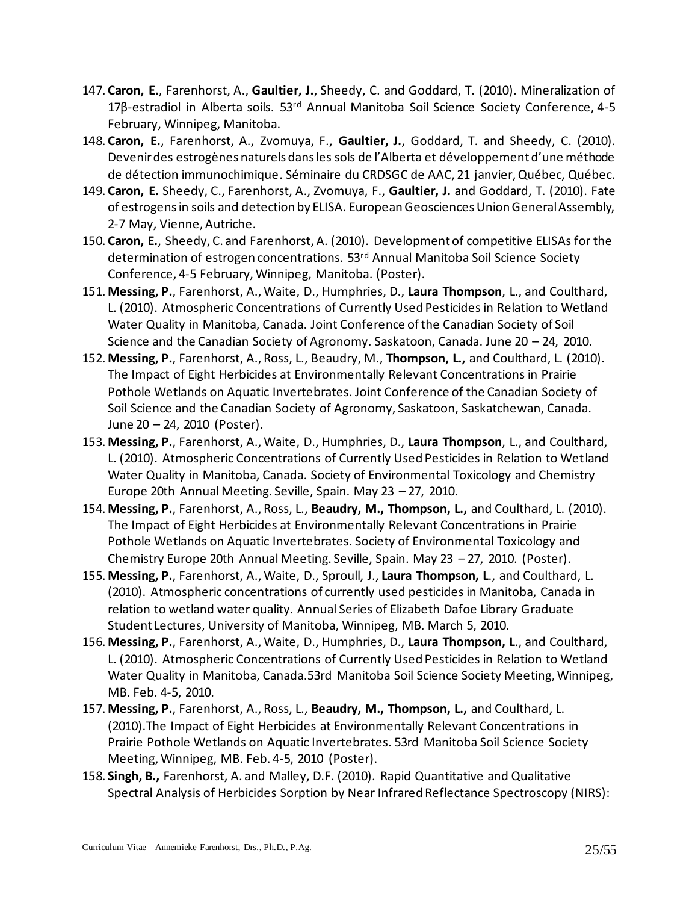- 147. **Caron, E.**, Farenhorst, A., **Gaultier, J.**, Sheedy, C. and Goddard, T. (2010). Mineralization of 17β-estradiol in Alberta soils. 53<sup>rd</sup> Annual Manitoba Soil Science Society Conference, 4-5 February, Winnipeg, Manitoba.
- 148. **Caron, E.**, Farenhorst, A., Zvomuya, F., **Gaultier, J.**, Goddard, T. and Sheedy, C. (2010). Devenir des estrogènes naturels dans les sols de l'Alberta et développement d'une méthode de détection immunochimique. Séminaire du CRDSGC de AAC, 21 janvier, Québec, Québec.
- 149. **Caron, E.** Sheedy, C., Farenhorst, A., Zvomuya, F., **Gaultier, J.** and Goddard, T. (2010). Fate of estrogens in soils and detection by ELISA. European Geosciences Union General Assembly, 2-7 May, Vienne, Autriche.
- 150. **Caron, E.**, Sheedy, C. and Farenhorst, A. (2010). Development of competitive ELISAs for the determination of estrogen concentrations. 53<sup>rd</sup> Annual Manitoba Soil Science Society Conference, 4-5 February, Winnipeg, Manitoba. (Poster).
- 151. **Messing, P.**, Farenhorst, A., Waite, D., Humphries, D., **Laura Thompson**, L., and Coulthard, L. (2010). Atmospheric Concentrations of Currently Used Pesticides in Relation to Wetland Water Quality in Manitoba, Canada. Joint Conference of the Canadian Society of Soil Science and the Canadian Society of Agronomy. Saskatoon, Canada. June 20 – 24, 2010.
- 152. **Messing, P.**, Farenhorst, A., Ross, L., Beaudry, M., **Thompson, L.,** and Coulthard, L. (2010). The Impact of Eight Herbicides at Environmentally Relevant Concentrations in Prairie Pothole Wetlands on Aquatic Invertebrates. Joint Conference of the Canadian Society of Soil Science and the Canadian Society of Agronomy, Saskatoon, Saskatchewan, Canada. June 20 – 24, 2010 (Poster).
- 153. **Messing, P.**, Farenhorst, A., Waite, D., Humphries, D., **Laura Thompson**, L., and Coulthard, L. (2010). Atmospheric Concentrations of Currently Used Pesticides in Relation to Wetland Water Quality in Manitoba, Canada. Society of Environmental Toxicology and Chemistry Europe 20th Annual Meeting. Seville, Spain. May 23 – 27, 2010.
- 154. **Messing, P.**, Farenhorst, A., Ross, L., **Beaudry, M., Thompson, L.,** and Coulthard, L. (2010). The Impact of Eight Herbicides at Environmentally Relevant Concentrations in Prairie Pothole Wetlands on Aquatic Invertebrates. Society of Environmental Toxicology and Chemistry Europe 20th Annual Meeting. Seville, Spain. May 23 – 27, 2010. (Poster).
- 155. **Messing, P.**, Farenhorst, A., Waite, D., Sproull, J., **Laura Thompson, L**., and Coulthard, L. (2010). Atmospheric concentrations of currently used pesticides in Manitoba, Canada in relation to wetland water quality. Annual Series of Elizabeth Dafoe Library Graduate Student Lectures, University of Manitoba, Winnipeg, MB. March 5, 2010.
- 156. **Messing, P.**, Farenhorst, A., Waite, D., Humphries, D., **Laura Thompson, L**., and Coulthard, L. (2010). Atmospheric Concentrations of Currently Used Pesticides in Relation to Wetland Water Quality in Manitoba, Canada.53rd Manitoba Soil Science Society Meeting, Winnipeg, MB. Feb. 4-5, 2010.
- 157. **Messing, P.**, Farenhorst, A., Ross, L., **Beaudry, M., Thompson, L.,** and Coulthard, L. (2010).The Impact of Eight Herbicides at Environmentally Relevant Concentrations in Prairie Pothole Wetlands on Aquatic Invertebrates. 53rd Manitoba Soil Science Society Meeting, Winnipeg, MB. Feb. 4-5, 2010 (Poster).
- 158. **Singh, B.,** Farenhorst, A. and Malley, D.F. (2010). Rapid Quantitative and Qualitative Spectral Analysis of Herbicides Sorption by Near Infrared Reflectance Spectroscopy (NIRS):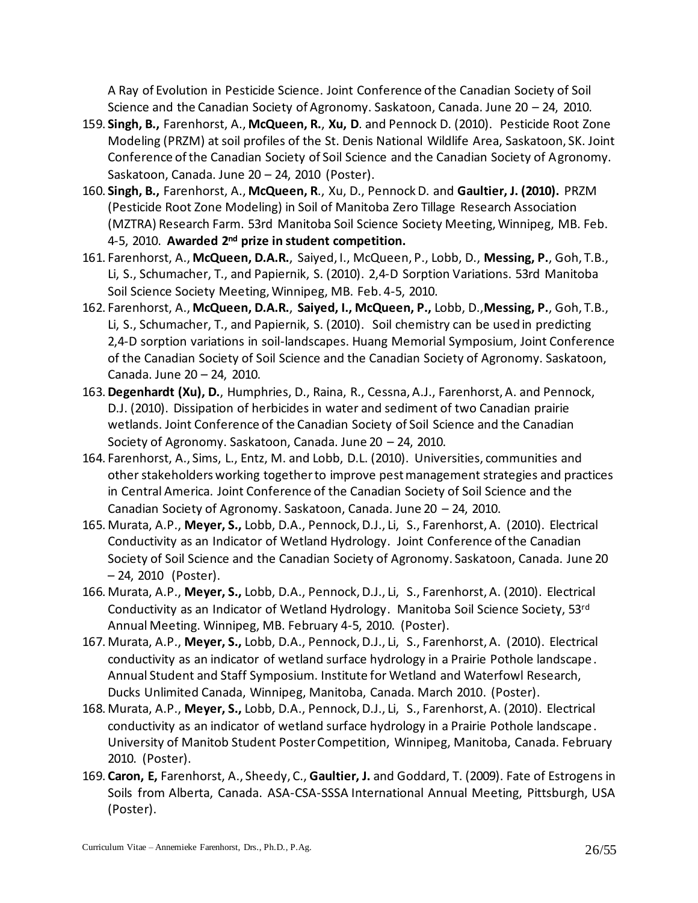A Ray of Evolution in Pesticide Science. Joint Conference of the Canadian Society of Soil Science and the Canadian Society of Agronomy. Saskatoon, Canada. June 20 – 24, 2010.

- 159. **Singh, B.,** Farenhorst, A., **McQueen, R.**, **Xu, D**. and Pennock D. (2010). Pesticide Root Zone Modeling (PRZM) at soil profiles of the St. Denis National Wildlife Area, Saskatoon, SK. Joint Conference of the Canadian Society of Soil Science and the Canadian Society of Agronomy. Saskatoon, Canada. June 20 – 24, 2010 (Poster).
- 160. **Singh, B.,** Farenhorst, A., **McQueen, R**., Xu, D., Pennock D. and **Gaultier, J. (2010).** PRZM (Pesticide Root Zone Modeling) in Soil of Manitoba Zero Tillage Research Association (MZTRA) Research Farm. 53rd Manitoba Soil Science Society Meeting, Winnipeg, MB. Feb. 4-5, 2010. **Awarded 2nd prize in student competition.**
- 161. Farenhorst, A., **McQueen, D.A.R.**, Saiyed, I., McQueen, P., Lobb, D., **Messing, P.**, Goh, T.B., Li, S., Schumacher, T., and Papiernik, S. (2010). 2,4-D Sorption Variations. 53rd Manitoba Soil Science Society Meeting, Winnipeg, MB. Feb. 4-5, 2010.
- 162. Farenhorst, A., **McQueen, D.A.R.**, **Saiyed, I., McQueen, P.,** Lobb, D.,**Messing, P.**, Goh, T.B., Li, S., Schumacher, T., and Papiernik, S. (2010). Soil chemistry can be used in predicting 2,4-D sorption variations in soil-landscapes. Huang Memorial Symposium, Joint Conference of the Canadian Society of Soil Science and the Canadian Society of Agronomy. Saskatoon, Canada. June 20 – 24, 2010.
- 163.**Degenhardt (Xu), D.**, Humphries, D., Raina, R., Cessna, A.J., Farenhorst, A. and Pennock, D.J. (2010). Dissipation of herbicides in water and sediment of two Canadian prairie wetlands. Joint Conference of the Canadian Society of Soil Science and the Canadian Society of Agronomy. Saskatoon, Canada. June 20 – 24, 2010.
- 164. Farenhorst, A., Sims, L., Entz, M. and Lobb, D.L. (2010). Universities, communities and other stakeholders working together to improve pest management strategies and practices in Central America. Joint Conference of the Canadian Society of Soil Science and the Canadian Society of Agronomy. Saskatoon, Canada. June 20 – 24, 2010.
- 165. Murata, A.P., **Meyer, S.,** Lobb, D.A., Pennock, D.J., Li, S., Farenhorst, A. (2010). Electrical Conductivity as an Indicator of Wetland Hydrology. Joint Conference of the Canadian Society of Soil Science and the Canadian Society of Agronomy. Saskatoon, Canada. June 20 – 24, 2010 (Poster).
- 166. Murata, A.P., **Meyer, S.,** Lobb, D.A., Pennock, D.J., Li, S., Farenhorst, A. (2010). Electrical Conductivity as an Indicator of Wetland Hydrology. Manitoba Soil Science Society, 53rd Annual Meeting. Winnipeg, MB. February 4-5, 2010. (Poster).
- 167. Murata, A.P., **Meyer, S.,** Lobb, D.A., Pennock, D.J., Li, S., Farenhorst, A. (2010). Electrical conductivity as an indicator of wetland surface hydrology in a Prairie Pothole landscape. Annual Student and Staff Symposium. Institute for Wetland and Waterfowl Research, Ducks Unlimited Canada, Winnipeg, Manitoba, Canada. March 2010. (Poster).
- 168. Murata, A.P., **Meyer, S.,** Lobb, D.A., Pennock, D.J., Li, S., Farenhorst, A. (2010). Electrical conductivity as an indicator of wetland surface hydrology in a Prairie Pothole landscape. University of Manitob Student Poster Competition, Winnipeg, Manitoba, Canada. February 2010. (Poster).
- 169. **Caron, E,** Farenhorst, A., Sheedy, C., **Gaultier, J.** and Goddard, T. (2009). Fate of Estrogens in Soils from Alberta, Canada. ASA-CSA-SSSA International Annual Meeting, Pittsburgh, USA (Poster).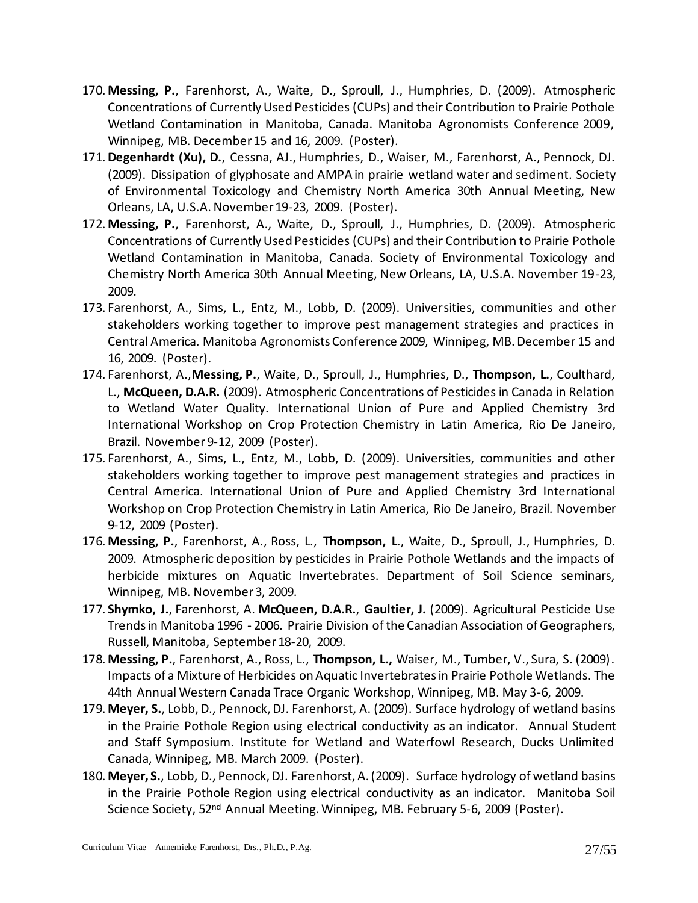- 170. **Messing, P.**, Farenhorst, A., Waite, D., Sproull, J., Humphries, D. (2009). Atmospheric Concentrations of Currently Used Pesticides (CUPs) and their Contribution to Prairie Pothole Wetland Contamination in Manitoba, Canada. Manitoba Agronomists Conference 2009, Winnipeg, MB. December 15 and 16, 2009. (Poster).
- 171.**Degenhardt (Xu), D.**, Cessna, AJ., Humphries, D., Waiser, M., Farenhorst, A., Pennock, DJ. (2009). Dissipation of glyphosate and AMPA in prairie wetland water and sediment. Society of Environmental Toxicology and Chemistry North America 30th Annual Meeting, New Orleans, LA, U.S.A. November 19-23, 2009. (Poster).
- 172. **Messing, P.**, Farenhorst, A., Waite, D., Sproull, J., Humphries, D. (2009). Atmospheric Concentrations of Currently Used Pesticides (CUPs) and their Contribution to Prairie Pothole Wetland Contamination in Manitoba, Canada. Society of Environmental Toxicology and Chemistry North America 30th Annual Meeting, New Orleans, LA, U.S.A. November 19-23, 2009.
- 173. Farenhorst, A., Sims, L., Entz, M., Lobb, D. (2009). Universities, communities and other stakeholders working together to improve pest management strategies and practices in Central America. Manitoba Agronomists Conference 2009, Winnipeg, MB. December 15 and 16, 2009. (Poster).
- 174. Farenhorst, A.,**Messing, P.**, Waite, D., Sproull, J., Humphries, D., **Thompson, L.**, Coulthard, L., **McQueen, D.A.R.** (2009). Atmospheric Concentrations of Pesticides in Canada in Relation to Wetland Water Quality. International Union of Pure and Applied Chemistry 3rd International Workshop on Crop Protection Chemistry in Latin America, Rio De Janeiro, Brazil. November 9-12, 2009 (Poster).
- 175. Farenhorst, A., Sims, L., Entz, M., Lobb, D. (2009). Universities, communities and other stakeholders working together to improve pest management strategies and practices in Central America. International Union of Pure and Applied Chemistry 3rd International Workshop on Crop Protection Chemistry in Latin America, Rio De Janeiro, Brazil. November 9-12, 2009 (Poster).
- 176. **Messing, P.**, Farenhorst, A., Ross, L., **Thompson, L**., Waite, D., Sproull, J., Humphries, D. 2009. Atmospheric deposition by pesticides in Prairie Pothole Wetlands and the impacts of herbicide mixtures on Aquatic Invertebrates. Department of Soil Science seminars, Winnipeg, MB. November 3, 2009.
- 177. **Shymko, J.**, Farenhorst, A. **McQueen, D.A.R.**, **Gaultier, J.** (2009). Agricultural Pesticide Use Trends in Manitoba 1996 - 2006. Prairie Division of the Canadian Association of Geographers, Russell, Manitoba, September 18-20, 2009.
- 178. **Messing, P.**, Farenhorst, A., Ross, L., **Thompson, L.,** Waiser, M., Tumber, V., Sura, S. (2009). Impacts of a Mixture of Herbicides on Aquatic Invertebrates in Prairie Pothole Wetlands. The 44th Annual Western Canada Trace Organic Workshop, Winnipeg, MB. May 3-6, 2009.
- 179. **Meyer, S.**, Lobb, D., Pennock, DJ. Farenhorst, A. (2009). Surface hydrology of wetland basins in the Prairie Pothole Region using electrical conductivity as an indicator. Annual Student and Staff Symposium. Institute for Wetland and Waterfowl Research, Ducks Unlimited Canada, Winnipeg, MB. March 2009. (Poster).
- 180. **Meyer, S.**, Lobb, D., Pennock, DJ. Farenhorst, A. (2009). Surface hydrology of wetland basins in the Prairie Pothole Region using electrical conductivity as an indicator. Manitoba Soil Science Society, 52<sup>nd</sup> Annual Meeting. Winnipeg, MB. February 5-6, 2009 (Poster).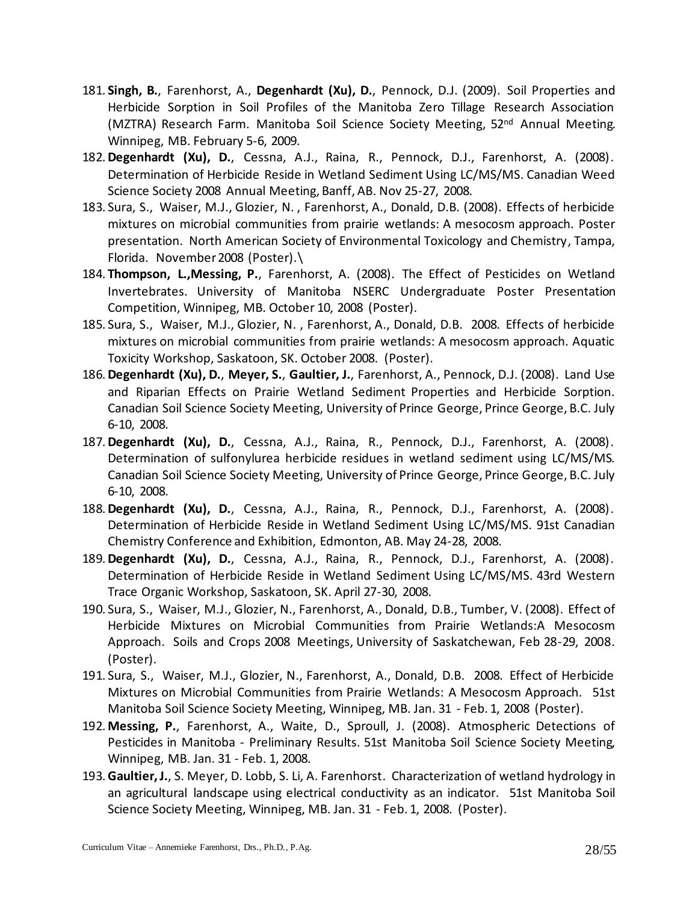- 181. **Singh, B.**, Farenhorst, A., **Degenhardt (Xu), D.**, Pennock, D.J. (2009). Soil Properties and Herbicide Sorption in Soil Profiles of the Manitoba Zero Tillage Research Association (MZTRA) Research Farm. Manitoba Soil Science Society Meeting, 52nd Annual Meeting. Winnipeg, MB. February 5-6, 2009.
- 182.**Degenhardt (Xu), D.**, Cessna, A.J., Raina, R., Pennock, D.J., Farenhorst, A. (2008). Determination of Herbicide Reside in Wetland Sediment Using LC/MS/MS. Canadian Weed Science Society 2008 Annual Meeting, Banff, AB. Nov 25-27, 2008.
- 183. Sura, S., Waiser, M.J., Glozier, N. , Farenhorst, A., Donald, D.B. (2008). Effects of herbicide mixtures on microbial communities from prairie wetlands: A mesocosm approach. Poster presentation. North American Society of Environmental Toxicology and Chemistry, Tampa, Florida. November 2008 (Poster).\
- 184.**Thompson, L.,Messing, P.**, Farenhorst, A. (2008). The Effect of Pesticides on Wetland Invertebrates. University of Manitoba NSERC Undergraduate Poster Presentation Competition, Winnipeg, MB. October 10, 2008 (Poster).
- 185. Sura, S., Waiser, M.J., Glozier, N. , Farenhorst, A., Donald, D.B. 2008. Effects of herbicide mixtures on microbial communities from prairie wetlands: A mesocosm approach. Aquatic Toxicity Workshop, Saskatoon, SK. October 2008. (Poster).
- 186.**Degenhardt (Xu), D.**, **Meyer, S.**, **Gaultier, J.**, Farenhorst, A., Pennock, D.J. (2008). Land Use and Riparian Effects on Prairie Wetland Sediment Properties and Herbicide Sorption. Canadian Soil Science Society Meeting, University of Prince George, Prince George, B.C. July 6-10, 2008.
- 187.**Degenhardt (Xu), D.**, Cessna, A.J., Raina, R., Pennock, D.J., Farenhorst, A. (2008). Determination of sulfonylurea herbicide residues in wetland sediment using LC/MS/MS. Canadian Soil Science Society Meeting, University of Prince George, Prince George, B.C. July 6-10, 2008.
- 188.**Degenhardt (Xu), D.**, Cessna, A.J., Raina, R., Pennock, D.J., Farenhorst, A. (2008). Determination of Herbicide Reside in Wetland Sediment Using LC/MS/MS. 91st Canadian Chemistry Conference and Exhibition, Edmonton, AB. May 24-28, 2008.
- 189.**Degenhardt (Xu), D.**, Cessna, A.J., Raina, R., Pennock, D.J., Farenhorst, A. (2008). Determination of Herbicide Reside in Wetland Sediment Using LC/MS/MS. 43rd Western Trace Organic Workshop, Saskatoon, SK. April 27-30, 2008.
- 190. Sura, S., Waiser, M.J., Glozier, N., Farenhorst, A., Donald, D.B., Tumber, V. (2008). Effect of Herbicide Mixtures on Microbial Communities from Prairie Wetlands:A Mesocosm Approach. Soils and Crops 2008 Meetings, University of Saskatchewan, Feb 28-29, 2008. (Poster).
- 191. Sura, S., Waiser, M.J., Glozier, N., Farenhorst, A., Donald, D.B. 2008. Effect of Herbicide Mixtures on Microbial Communities from Prairie Wetlands: A Mesocosm Approach. 51st Manitoba Soil Science Society Meeting, Winnipeg, MB. Jan. 31 - Feb. 1, 2008 (Poster).
- 192. **Messing, P.**, Farenhorst, A., Waite, D., Sproull, J. (2008). Atmospheric Detections of Pesticides in Manitoba - Preliminary Results. 51st Manitoba Soil Science Society Meeting, Winnipeg, MB. Jan. 31 - Feb. 1, 2008.
- 193.**Gaultier, J.**, S. Meyer, D. Lobb, S. Li, A. Farenhorst. Characterization of wetland hydrology in an agricultural landscape using electrical conductivity as an indicator. 51st Manitoba Soil Science Society Meeting, Winnipeg, MB. Jan. 31 - Feb. 1, 2008. (Poster).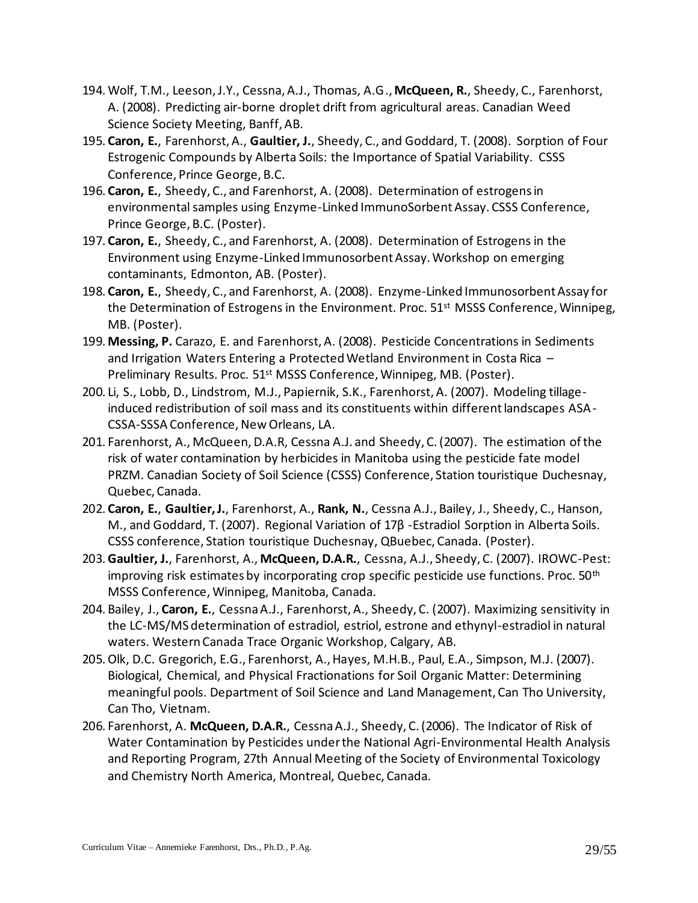- 194. Wolf, T.M., Leeson, J.Y., Cessna, A.J., Thomas, A.G., **McQueen, R.**, Sheedy, C., Farenhorst, A. (2008). Predicting air-borne droplet drift from agricultural areas. Canadian Weed Science Society Meeting, Banff, AB.
- 195. **Caron, E.**, Farenhorst, A., **Gaultier, J.**, Sheedy, C., and Goddard, T. (2008). Sorption of Four Estrogenic Compounds by Alberta Soils: the Importance of Spatial Variability. CSSS Conference, Prince George, B.C.
- 196. **Caron, E.**, Sheedy, C., and Farenhorst, A. (2008). Determination of estrogens in environmental samples using Enzyme-Linked ImmunoSorbent Assay. CSSS Conference, Prince George, B.C. (Poster).
- 197. **Caron, E.**, Sheedy, C., and Farenhorst, A. (2008). Determination of Estrogens in the Environment using Enzyme-Linked Immunosorbent Assay. Workshop on emerging contaminants, Edmonton, AB. (Poster).
- 198. **Caron, E.**, Sheedy, C., and Farenhorst, A. (2008). Enzyme-Linked Immunosorbent Assay for the Determination of Estrogens in the Environment. Proc. 51<sup>st</sup> MSSS Conference, Winnipeg, MB. (Poster).
- 199. **Messing, P.** Carazo, E. and Farenhorst, A. (2008). Pesticide Concentrations in Sediments and Irrigation Waters Entering a Protected Wetland Environment in Costa Rica – Preliminary Results. Proc. 51<sup>st</sup> MSSS Conference, Winnipeg, MB. (Poster).
- 200. Li, S., Lobb, D., Lindstrom, M.J., Papiernik, S.K., Farenhorst, A. (2007). Modeling tillageinduced redistribution of soil mass and its constituents within different landscapes ASA-CSSA-SSSA Conference, New Orleans, LA.
- 201. Farenhorst, A., McQueen, D.A.R, Cessna A.J. and Sheedy, C. (2007). The estimation of the risk of water contamination by herbicides in Manitoba using the pesticide fate model PRZM. Canadian Society of Soil Science (CSSS) Conference, Station touristique Duchesnay, Quebec, Canada.
- 202. **Caron, E.**, **Gaultier, J.**, Farenhorst, A., **Rank, N.**, Cessna A.J., Bailey, J., Sheedy, C., Hanson, M., and Goddard, T. (2007). Regional Variation of 17β -Estradiol Sorption in Alberta Soils. CSSS conference, Station touristique Duchesnay, QBuebec, Canada. (Poster).
- 203.**Gaultier, J.**, Farenhorst, A., **McQueen, D.A.R.**, Cessna, A.J., Sheedy, C. (2007). IROWC-Pest: improving risk estimates by incorporating crop specific pesticide use functions. Proc.  $50<sup>th</sup>$ MSSS Conference, Winnipeg, Manitoba, Canada.
- 204. Bailey, J., **Caron, E.**, Cessna A.J., Farenhorst, A., Sheedy, C. (2007). Maximizing sensitivity in the LC-MS/MS determination of estradiol, estriol, estrone and ethynyl-estradiol in natural waters. Western Canada Trace Organic Workshop, Calgary, AB.
- 205.Olk, D.C. Gregorich, E.G., Farenhorst, A., Hayes, M.H.B., Paul, E.A., Simpson, M.J. (2007). Biological, Chemical, and Physical Fractionations for Soil Organic Matter: Determining meaningful pools. Department of Soil Science and Land Management, Can Tho University, Can Tho, Vietnam.
- 206. Farenhorst, A. **McQueen, D.A.R.**, Cessna A.J., Sheedy, C. (2006). The Indicator of Risk of Water Contamination by Pesticides under the National Agri-Environmental Health Analysis and Reporting Program, 27th Annual Meeting of the Society of Environmental Toxicology and Chemistry North America, Montreal, Quebec, Canada.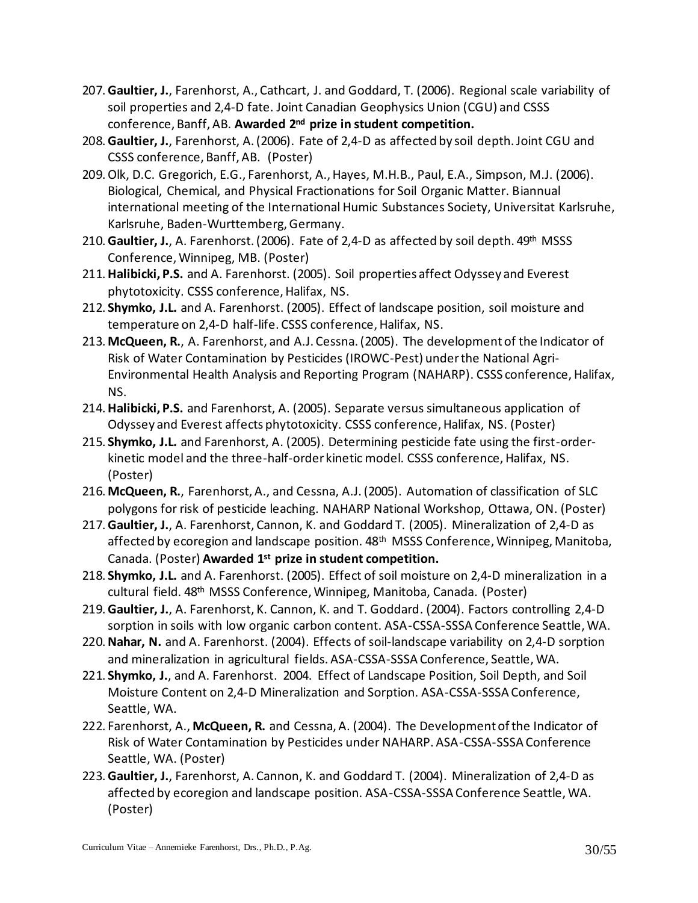- 207.**Gaultier, J.**, Farenhorst, A., Cathcart, J. and Goddard, T. (2006). Regional scale variability of soil properties and 2,4-D fate. Joint Canadian Geophysics Union (CGU) and CSSS conference, Banff, AB. **Awarded 2nd prize in student competition.**
- 208.**Gaultier, J.**, Farenhorst, A. (2006). Fate of 2,4-D as affected by soil depth. Joint CGU and CSSS conference, Banff, AB. (Poster)
- 209.Olk, D.C. Gregorich, E.G., Farenhorst, A., Hayes, M.H.B., Paul, E.A., Simpson, M.J. (2006). Biological, Chemical, and Physical Fractionations for Soil Organic Matter. Biannual international meeting of the International Humic Substances Society, Universitat Karlsruhe, Karlsruhe, Baden-Wurttemberg, Germany.
- 210.**Gaultier, J.**, A. Farenhorst. (2006). Fate of 2,4-D as affected by soil depth. 49th MSSS Conference, Winnipeg, MB. (Poster)
- 211.**Halibicki, P.S.** and A. Farenhorst. (2005). Soil properties affect Odyssey and Everest phytotoxicity. CSSS conference, Halifax, NS.
- 212. **Shymko, J.L.** and A. Farenhorst. (2005). Effect of landscape position, soil moisture and temperature on 2,4-D half-life. CSSS conference, Halifax, NS.
- 213. **McQueen, R.**, A. Farenhorst, and A.J. Cessna. (2005). The development of the Indicator of Risk of Water Contamination by Pesticides (IROWC-Pest) under the National Agri-Environmental Health Analysis and Reporting Program (NAHARP). CSSS conference, Halifax, NS.
- 214.**Halibicki, P.S.** and Farenhorst, A. (2005). Separate versus simultaneous application of Odyssey and Everest affects phytotoxicity. CSSS conference, Halifax, NS. (Poster)
- 215. **Shymko, J.L.** and Farenhorst, A. (2005). Determining pesticide fate using the first-orderkinetic model and the three-half-order kinetic model. CSSS conference, Halifax, NS. (Poster)
- 216. **McQueen, R.**, Farenhorst, A., and Cessna, A.J. (2005). Automation of classification of SLC polygons for risk of pesticide leaching. NAHARP National Workshop, Ottawa, ON. (Poster)
- 217.**Gaultier, J.**, A. Farenhorst, Cannon, K. and Goddard T. (2005). Mineralization of 2,4-D as affected by ecoregion and landscape position. 48<sup>th</sup> MSSS Conference, Winnipeg, Manitoba, Canada. (Poster) **Awarded 1st prize in student competition.**
- 218. **Shymko, J.L.** and A. Farenhorst. (2005). Effect of soil moisture on 2,4-D mineralization in a cultural field. 48<sup>th</sup> MSSS Conference, Winnipeg, Manitoba, Canada. (Poster)
- 219.**Gaultier, J.**, A. Farenhorst, K. Cannon, K. and T. Goddard. (2004). Factors controlling 2,4-D sorption in soils with low organic carbon content. ASA-CSSA-SSSA Conference Seattle, WA.
- 220.**Nahar, N.** and A. Farenhorst. (2004). Effects of soil-landscape variability on 2,4-D sorption and mineralization in agricultural fields. ASA-CSSA-SSSA Conference, Seattle, WA.
- 221. **Shymko, J.**, and A. Farenhorst. 2004. Effect of Landscape Position, Soil Depth, and Soil Moisture Content on 2,4-D Mineralization and Sorption. ASA-CSSA-SSSA Conference, Seattle, WA.
- 222. Farenhorst, A., **McQueen, R.** and Cessna, A. (2004). The Development of the Indicator of Risk of Water Contamination by Pesticides under NAHARP. ASA-CSSA-SSSA Conference Seattle, WA. (Poster)
- 223.**Gaultier, J.**, Farenhorst, A. Cannon, K. and Goddard T. (2004). Mineralization of 2,4-D as affected by ecoregion and landscape position. ASA-CSSA-SSSA Conference Seattle, WA. (Poster)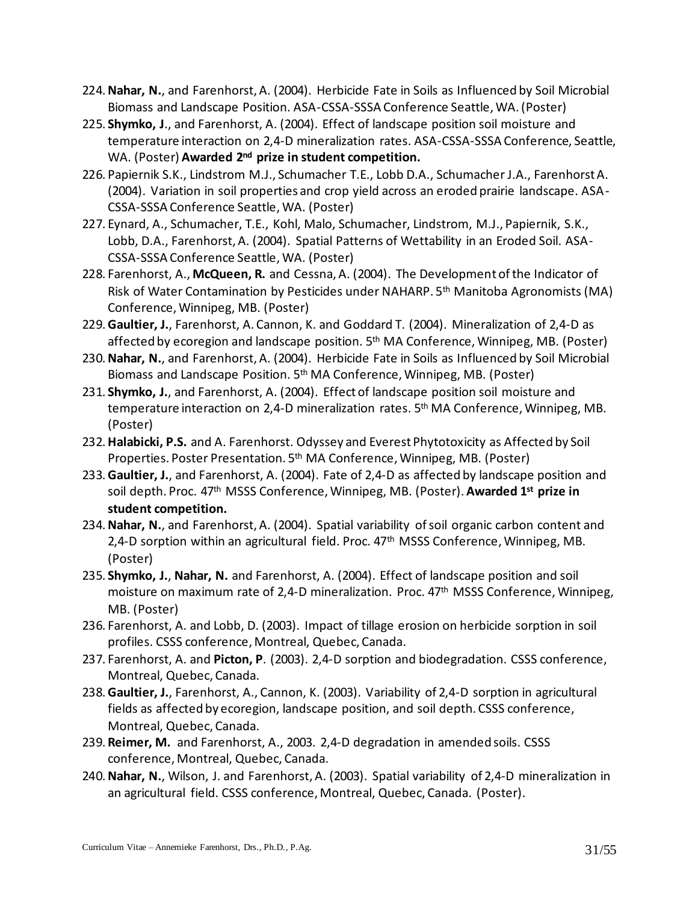- 224.**Nahar, N.**, and Farenhorst, A. (2004). Herbicide Fate in Soils as Influenced by Soil Microbial Biomass and Landscape Position. ASA-CSSA-SSSA Conference Seattle, WA. (Poster)
- 225. **Shymko, J**., and Farenhorst, A. (2004). Effect of landscape position soil moisture and temperature interaction on 2,4-D mineralization rates. ASA-CSSA-SSSA Conference, Seattle, WA. (Poster) **Awarded 2nd prize in student competition.**
- 226. Papiernik S.K., Lindstrom M.J., Schumacher T.E., Lobb D.A., Schumacher J.A., Farenhorst A. (2004). Variation in soil properties and crop yield across an eroded prairie landscape. ASA-CSSA-SSSA Conference Seattle, WA. (Poster)
- 227. Eynard, A., Schumacher, T.E., Kohl, Malo, Schumacher, Lindstrom, M.J., Papiernik, S.K., Lobb, D.A., Farenhorst, A. (2004). Spatial Patterns of Wettability in an Eroded Soil. ASA-CSSA-SSSA Conference Seattle, WA. (Poster)
- 228. Farenhorst, A., **McQueen, R.** and Cessna, A. (2004). The Development of the Indicator of Risk of Water Contamination by Pesticides under NAHARP. 5<sup>th</sup> Manitoba Agronomists (MA) Conference, Winnipeg, MB. (Poster)
- 229.**Gaultier, J.**, Farenhorst, A. Cannon, K. and Goddard T. (2004). Mineralization of 2,4-D as affected by ecoregion and landscape position. 5<sup>th</sup> MA Conference, Winnipeg, MB. (Poster)
- 230.**Nahar, N.**, and Farenhorst, A. (2004). Herbicide Fate in Soils as Influenced by Soil Microbial Biomass and Landscape Position. 5th MA Conference, Winnipeg, MB. (Poster)
- 231. **Shymko, J.**, and Farenhorst, A. (2004). Effect of landscape position soil moisture and temperature interaction on 2,4-D mineralization rates. 5<sup>th</sup> MA Conference, Winnipeg, MB. (Poster)
- 232.**Halabicki, P.S.** and A. Farenhorst. Odyssey and Everest Phytotoxicity as Affected by Soil Properties. Poster Presentation. 5<sup>th</sup> MA Conference, Winnipeg, MB. (Poster)
- 233.**Gaultier, J.**, and Farenhorst, A. (2004). Fate of 2,4-D as affected by landscape position and soil depth. Proc. 47th MSSS Conference, Winnipeg, MB. (Poster). **Awarded 1st prize in student competition.**
- 234.**Nahar, N.**, and Farenhorst, A. (2004). Spatial variability of soil organic carbon content and 2,4-D sorption within an agricultural field. Proc. 47<sup>th</sup> MSSS Conference, Winnipeg, MB. (Poster)
- 235. **Shymko, J.**, **Nahar, N.** and Farenhorst, A. (2004). Effect of landscape position and soil moisture on maximum rate of 2,4-D mineralization. Proc. 47<sup>th</sup> MSSS Conference, Winnipeg, MB. (Poster)
- 236. Farenhorst, A. and Lobb, D. (2003). Impact of tillage erosion on herbicide sorption in soil profiles. CSSS conference, Montreal, Quebec, Canada.
- 237. Farenhorst, A. and **Picton, P**. (2003). 2,4-D sorption and biodegradation. CSSS conference, Montreal, Quebec, Canada.
- 238.**Gaultier, J.**, Farenhorst, A., Cannon, K. (2003). Variability of 2,4-D sorption in agricultural fields as affected by ecoregion, landscape position, and soil depth. CSSS conference, Montreal, Quebec, Canada.
- 239. **Reimer, M.** and Farenhorst, A., 2003. 2,4-D degradation in amended soils. CSSS conference, Montreal, Quebec, Canada.
- 240.**Nahar, N.**, Wilson, J. and Farenhorst, A. (2003). Spatial variability of 2,4-D mineralization in an agricultural field. CSSS conference, Montreal, Quebec, Canada. (Poster).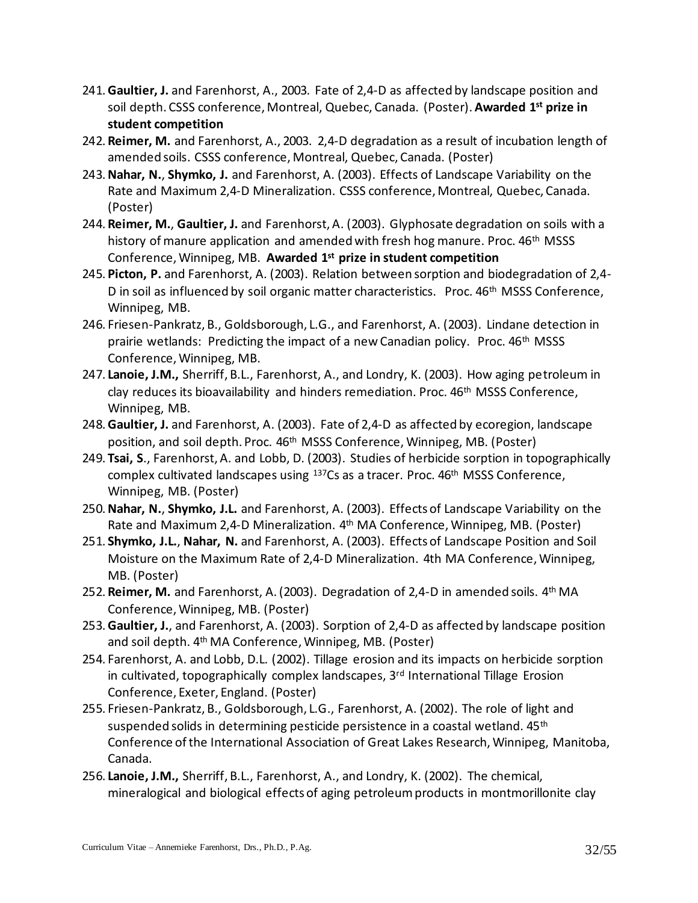- 241.**Gaultier, J.** and Farenhorst, A., 2003. Fate of 2,4-D as affected by landscape position and soil depth. CSSS conference, Montreal, Quebec, Canada. (Poster). **Awarded 1st prize in student competition**
- 242. **Reimer, M.** and Farenhorst, A., 2003. 2,4-D degradation as a result of incubation length of amended soils. CSSS conference, Montreal, Quebec, Canada. (Poster)
- 243.**Nahar, N.**, **Shymko, J.** and Farenhorst, A. (2003). Effects of Landscape Variability on the Rate and Maximum 2,4-D Mineralization. CSSS conference, Montreal, Quebec, Canada. (Poster)
- 244. **Reimer, M.**, **Gaultier, J.** and Farenhorst, A. (2003). Glyphosate degradation on soils with a history of manure application and amended with fresh hog manure. Proc. 46<sup>th</sup> MSSS Conference, Winnipeg, MB. **Awarded 1st prize in student competition**
- 245. **Picton, P.** and Farenhorst, A. (2003). Relation between sorption and biodegradation of 2,4- D in soil as influenced by soil organic matter characteristics. Proc. 46<sup>th</sup> MSSS Conference, Winnipeg, MB.
- 246. Friesen-Pankratz, B., Goldsborough, L.G., and Farenhorst, A. (2003). Lindane detection in prairie wetlands: Predicting the impact of a new Canadian policy. Proc. 46<sup>th</sup> MSSS Conference, Winnipeg, MB.
- 247. **Lanoie, J.M.,** Sherriff, B.L., Farenhorst, A., and Londry, K. (2003). How aging petroleum in clay reduces its bioavailability and hinders remediation. Proc. 46<sup>th</sup> MSSS Conference, Winnipeg, MB.
- 248.**Gaultier, J.** and Farenhorst, A. (2003). Fate of 2,4-D as affected by ecoregion, landscape position, and soil depth. Proc. 46th MSSS Conference, Winnipeg, MB. (Poster)
- 249.**Tsai, S**., Farenhorst, A. and Lobb, D. (2003). Studies of herbicide sorption in topographically complex cultivated landscapes using <sup>137</sup>Cs as a tracer. Proc. 46<sup>th</sup> MSSS Conference, Winnipeg, MB. (Poster)
- 250.**Nahar, N.**, **Shymko, J.L.** and Farenhorst, A. (2003). Effects of Landscape Variability on the Rate and Maximum 2,4-D Mineralization. 4th MA Conference, Winnipeg, MB. (Poster)
- 251. **Shymko, J.L.**, **Nahar, N.** and Farenhorst, A. (2003). Effects of Landscape Position and Soil Moisture on the Maximum Rate of 2,4-D Mineralization. 4th MA Conference, Winnipeg, MB. (Poster)
- 252. Reimer, M. and Farenhorst, A. (2003). Degradation of 2,4-D in amended soils. 4<sup>th</sup> MA Conference, Winnipeg, MB. (Poster)
- 253.**Gaultier, J.**, and Farenhorst, A. (2003). Sorption of 2,4-D as affected by landscape position and soil depth. 4<sup>th</sup> MA Conference, Winnipeg, MB. (Poster)
- 254. Farenhorst, A. and Lobb, D.L. (2002). Tillage erosion and its impacts on herbicide sorption in cultivated, topographically complex landscapes,  $3<sup>rd</sup>$  International Tillage Erosion Conference, Exeter, England. (Poster)
- 255. Friesen-Pankratz, B., Goldsborough, L.G., Farenhorst, A. (2002). The role of light and suspended solids in determining pesticide persistence in a coastal wetland.  $45<sup>th</sup>$ Conference of the International Association of Great Lakes Research, Winnipeg, Manitoba, Canada.
- 256. **Lanoie, J.M.,** Sherriff, B.L., Farenhorst, A., and Londry, K. (2002). The chemical, mineralogical and biological effects of aging petroleum products in montmorillonite clay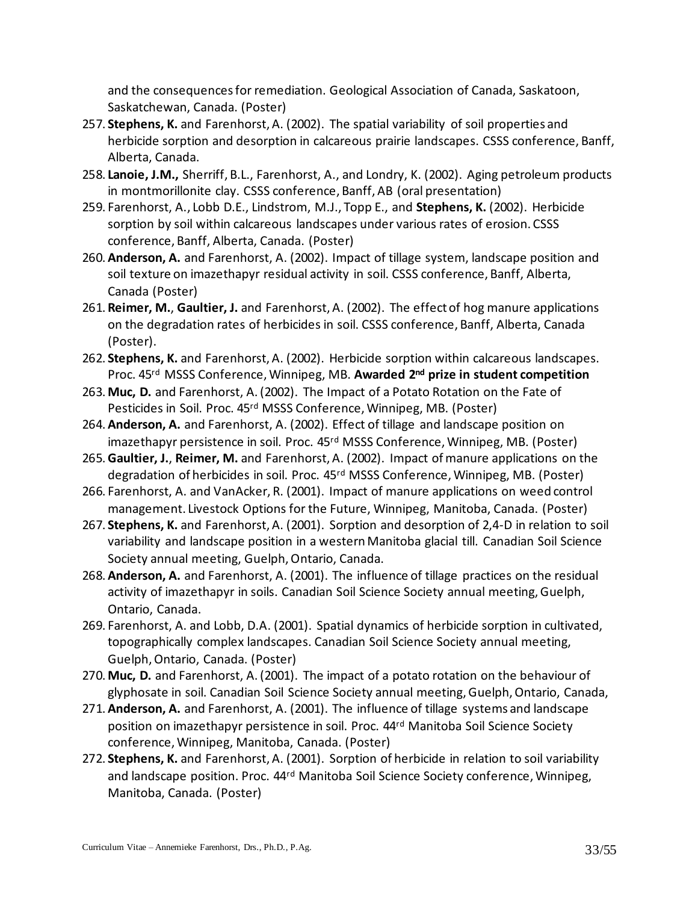and the consequences for remediation. Geological Association of Canada, Saskatoon, Saskatchewan, Canada. (Poster)

- 257. **Stephens, K.** and Farenhorst, A. (2002). The spatial variability of soil properties and herbicide sorption and desorption in calcareous prairie landscapes. CSSS conference, Banff, Alberta, Canada.
- 258. **Lanoie, J.M.,** Sherriff, B.L., Farenhorst, A., and Londry, K. (2002). Aging petroleum products in montmorillonite clay. CSSS conference, Banff, AB (oral presentation)
- 259. Farenhorst, A., Lobb D.E., Lindstrom, M.J., Topp E., and **Stephens, K.** (2002). Herbicide sorption by soil within calcareous landscapes under various rates of erosion. CSSS conference, Banff, Alberta, Canada. (Poster)
- 260.**Anderson, A.** and Farenhorst, A. (2002). Impact of tillage system, landscape position and soil texture on imazethapyr residual activity in soil. CSSS conference, Banff, Alberta, Canada (Poster)
- 261. **Reimer, M.**, **Gaultier, J.** and Farenhorst, A. (2002). The effect of hog manure applications on the degradation rates of herbicides in soil. CSSS conference, Banff, Alberta, Canada (Poster).
- 262. **Stephens, K.** and Farenhorst, A. (2002). Herbicide sorption within calcareous landscapes. Proc. 45rd MSSS Conference, Winnipeg, MB. **Awarded 2nd prize in student competition**
- 263. **Muc, D.** and Farenhorst, A. (2002). The Impact of a Potato Rotation on the Fate of Pesticides in Soil. Proc. 45rd MSSS Conference, Winnipeg, MB. (Poster)
- 264.**Anderson, A.** and Farenhorst, A. (2002). Effect of tillage and landscape position on imazethapyr persistence in soil. Proc. 45rd MSSS Conference, Winnipeg, MB. (Poster)
- 265.**Gaultier, J.**, **Reimer, M.** and Farenhorst, A. (2002). Impact of manure applications on the degradation of herbicides in soil. Proc. 45rd MSSS Conference, Winnipeg, MB. (Poster)
- 266. Farenhorst, A. and VanAcker, R. (2001). Impact of manure applications on weed control management. Livestock Options for the Future, Winnipeg, Manitoba, Canada. (Poster)
- 267. **Stephens, K.** and Farenhorst, A. (2001). Sorption and desorption of 2,4-D in relation to soil variability and landscape position in a western Manitoba glacial till. Canadian Soil Science Society annual meeting, Guelph, Ontario, Canada.
- 268.**Anderson, A.** and Farenhorst, A. (2001). The influence of tillage practices on the residual activity of imazethapyr in soils. Canadian Soil Science Society annual meeting, Guelph, Ontario, Canada.
- 269. Farenhorst, A. and Lobb, D.A. (2001). Spatial dynamics of herbicide sorption in cultivated, topographically complex landscapes. Canadian Soil Science Society annual meeting, Guelph, Ontario, Canada. (Poster)
- 270. **Muc, D.** and Farenhorst, A. (2001). The impact of a potato rotation on the behaviour of glyphosate in soil. Canadian Soil Science Society annual meeting, Guelph, Ontario, Canada,
- 271.**Anderson, A.** and Farenhorst, A. (2001). The influence of tillage systems and landscape position on imazethapyr persistence in soil. Proc. 44<sup>rd</sup> Manitoba Soil Science Society conference, Winnipeg, Manitoba, Canada. (Poster)
- 272. **Stephens, K.** and Farenhorst, A. (2001). Sorption of herbicide in relation to soil variability and landscape position. Proc. 44<sup>rd</sup> Manitoba Soil Science Society conference, Winnipeg, Manitoba, Canada. (Poster)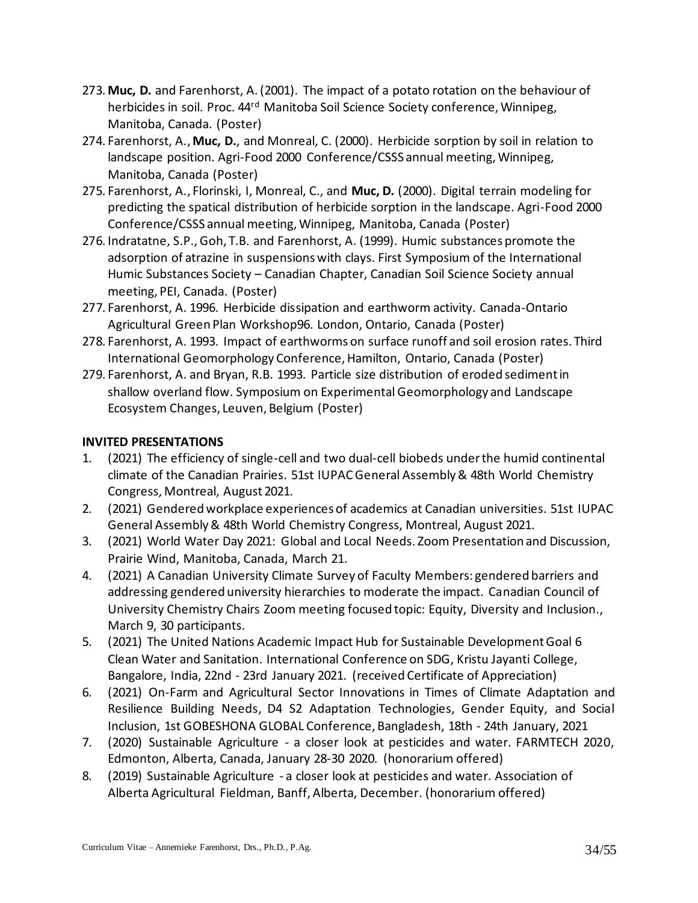- 273. **Muc, D.** and Farenhorst, A. (2001). The impact of a potato rotation on the behaviour of herbicides in soil. Proc. 44<sup>rd</sup> Manitoba Soil Science Society conference, Winnipeg, Manitoba, Canada. (Poster)
- 274. Farenhorst, A., **Muc, D.**, and Monreal, C. (2000). Herbicide sorption by soil in relation to landscape position. Agri-Food 2000 Conference/CSSS annual meeting, Winnipeg, Manitoba, Canada (Poster)
- 275. Farenhorst, A., Florinski, I, Monreal, C., and **Muc, D.** (2000). Digital terrain modeling for predicting the spatical distribution of herbicide sorption in the landscape. Agri-Food 2000 Conference/CSSS annual meeting, Winnipeg, Manitoba, Canada (Poster)
- 276. Indratatne, S.P., Goh, T.B. and Farenhorst, A. (1999). Humic substances promote the adsorption of atrazine in suspensions with clays. First Symposium of the International Humic Substances Society – Canadian Chapter, Canadian Soil Science Society annual meeting, PEI, Canada. (Poster)
- 277. Farenhorst, A. 1996. Herbicide dissipation and earthworm activity. Canada-Ontario Agricultural Green Plan Workshop96. London, Ontario, Canada (Poster)
- 278. Farenhorst, A. 1993. Impact of earthworms on surface runoff and soil erosion rates. Third International Geomorphology Conference, Hamilton, Ontario, Canada (Poster)
- 279. Farenhorst, A. and Bryan, R.B. 1993. Particle size distribution of eroded sediment in shallow overland flow. Symposium on Experimental Geomorphology and Landscape Ecosystem Changes, Leuven, Belgium (Poster)

# **INVITED PRESENTATIONS**

- 1. (2021) The efficiency of single-cell and two dual-cell biobeds under the humid continental climate of the Canadian Prairies. 51st IUPAC General Assembly & 48th World Chemistry Congress, Montreal, August 2021.
- 2. (2021) Gendered workplace experiences of academics at Canadian universities. 51st IUPAC General Assembly & 48th World Chemistry Congress, Montreal, August 2021.
- 3. (2021) World Water Day 2021: Global and Local Needs. Zoom Presentation and Discussion, Prairie Wind, Manitoba, Canada, March 21.
- 4. (2021) A Canadian University Climate Survey of Faculty Members: gendered barriers and addressing gendered university hierarchies to moderate the impact. Canadian Council of University Chemistry Chairs Zoom meeting focused topic: Equity, Diversity and Inclusion., March 9, 30 participants.
- 5. (2021) The United Nations Academic Impact Hub for Sustainable Development Goal 6 Clean Water and Sanitation. International Conference on SDG, Kristu Jayanti College, Bangalore, India, 22nd - 23rd January 2021. (received Certificate of Appreciation)
- 6. (2021) On-Farm and Agricultural Sector Innovations in Times of Climate Adaptation and Resilience Building Needs, D4 S2 Adaptation Technologies, Gender Equity, and Social Inclusion, 1st GOBESHONA GLOBAL Conference, Bangladesh, 18th - 24th January, 2021
- 7. (2020) Sustainable Agriculture a closer look at pesticides and water. FARMTECH 2020, Edmonton, Alberta, Canada, January 28-30 2020. (honorarium offered)
- 8. (2019) Sustainable Agriculture a closer look at pesticides and water. Association of Alberta Agricultural Fieldman, Banff, Alberta, December. (honorarium offered)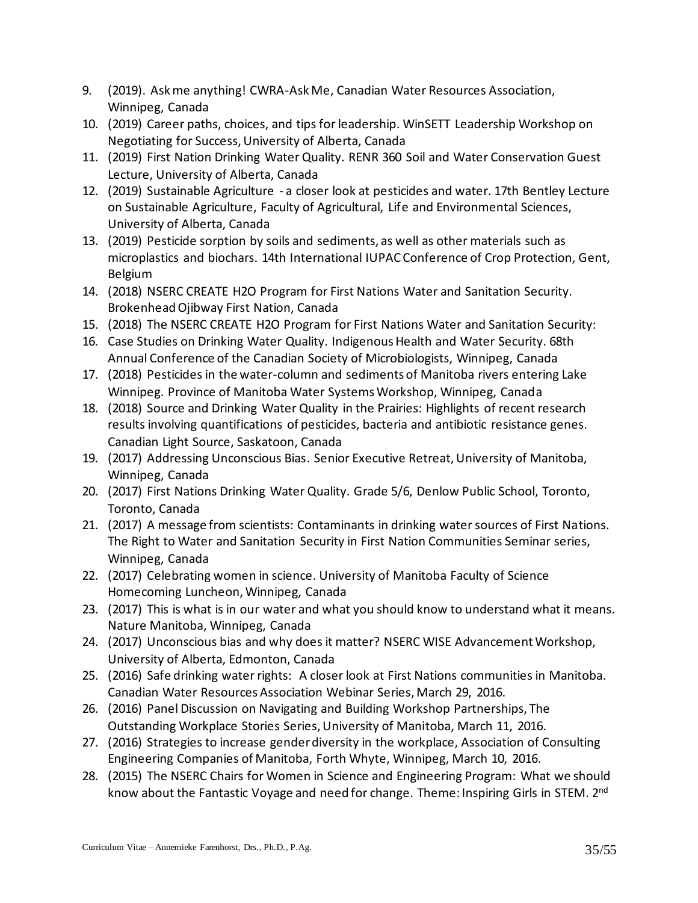- 9. (2019). Ask me anything! CWRA-Ask Me, Canadian Water Resources Association, Winnipeg, Canada
- 10. (2019) Career paths, choices, and tips for leadership. WinSETT Leadership Workshop on Negotiating for Success, University of Alberta, Canada
- 11. (2019) First Nation Drinking Water Quality. RENR 360 Soil and Water Conservation Guest Lecture, University of Alberta, Canada
- 12. (2019) Sustainable Agriculture a closer look at pesticides and water. 17th Bentley Lecture on Sustainable Agriculture, Faculty of Agricultural, Life and Environmental Sciences, University of Alberta, Canada
- 13. (2019) Pesticide sorption by soils and sediments, as well as other materials such as microplastics and biochars. 14th International IUPAC Conference of Crop Protection, Gent, Belgium
- 14. (2018) NSERC CREATE H2O Program for First Nations Water and Sanitation Security. Brokenhead Ojibway First Nation, Canada
- 15. (2018) The NSERC CREATE H2O Program for First Nations Water and Sanitation Security:
- 16. Case Studies on Drinking Water Quality. Indigenous Health and Water Security. 68th Annual Conference of the Canadian Society of Microbiologists, Winnipeg, Canada
- 17. (2018) Pesticides in the water-column and sediments of Manitoba rivers entering Lake Winnipeg. Province of Manitoba Water Systems Workshop, Winnipeg, Canada
- 18. (2018) Source and Drinking Water Quality in the Prairies: Highlights of recent research results involving quantifications of pesticides, bacteria and antibiotic resistance genes. Canadian Light Source, Saskatoon, Canada
- 19. (2017) Addressing Unconscious Bias. Senior Executive Retreat, University of Manitoba, Winnipeg, Canada
- 20. (2017) First Nations Drinking Water Quality. Grade 5/6, Denlow Public School, Toronto, Toronto, Canada
- 21. (2017) A message from scientists: Contaminants in drinking water sources of First Nations. The Right to Water and Sanitation Security in First Nation Communities Seminar series, Winnipeg, Canada
- 22. (2017) Celebrating women in science. University of Manitoba Faculty of Science Homecoming Luncheon, Winnipeg, Canada
- 23. (2017) This is what is in our water and what you should know to understand what it means. Nature Manitoba, Winnipeg, Canada
- 24. (2017) Unconscious bias and why does it matter? NSERC WISE Advancement Workshop, University of Alberta, Edmonton, Canada
- 25. (2016) Safe drinking water rights: A closer look at First Nations communities in Manitoba. Canadian Water Resources Association Webinar Series, March 29, 2016.
- 26. (2016) Panel Discussion on Navigating and Building Workshop Partnerships, The Outstanding Workplace Stories Series, University of Manitoba, March 11, 2016.
- 27. (2016) Strategies to increase gender diversity in the workplace, Association of Consulting Engineering Companies of Manitoba, Forth Whyte, Winnipeg, March 10, 2016.
- 28. (2015) The NSERC Chairs for Women in Science and Engineering Program: What we should know about the Fantastic Voyage and need for change. Theme: Inspiring Girls in STEM. 2<sup>nd</sup>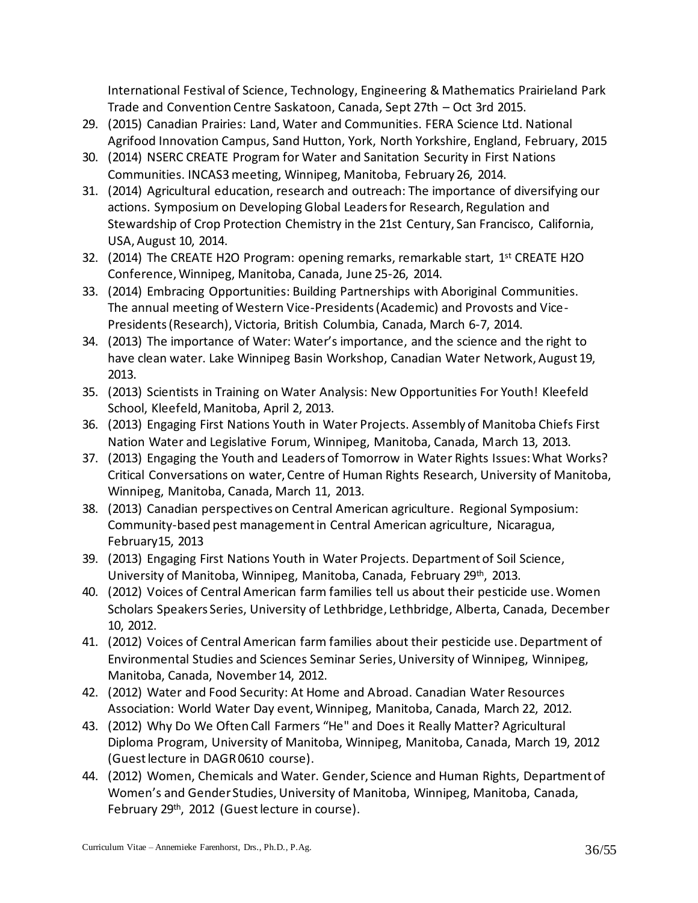International Festival of Science, Technology, Engineering & Mathematics Prairieland Park Trade and Convention Centre Saskatoon, Canada, Sept 27th – Oct 3rd 2015.

- 29. (2015) Canadian Prairies: Land, Water and Communities. FERA Science Ltd. National Agrifood Innovation Campus, Sand Hutton, York, North Yorkshire, England, February, 2015
- 30. (2014) NSERC CREATE Program for Water and Sanitation Security in First Nations Communities. INCAS3 meeting, Winnipeg, Manitoba, February 26, 2014.
- 31. (2014) Agricultural education, research and outreach: The importance of diversifying our actions. Symposium on Developing Global Leaders for Research, Regulation and Stewardship of Crop Protection Chemistry in the 21st Century, San Francisco, California, USA, August 10, 2014.
- 32. (2014) The CREATE H2O Program: opening remarks, remarkable start, 1<sup>st</sup> CREATE H2O Conference, Winnipeg, Manitoba, Canada, June 25-26, 2014.
- 33. (2014) Embracing Opportunities: Building Partnerships with Aboriginal Communities. The annual meeting of Western Vice-Presidents (Academic) and Provosts and Vice-Presidents (Research), Victoria, British Columbia, Canada, March 6-7, 2014.
- 34. (2013) The importance of Water: Water's importance, and the science and the right to have clean water. Lake Winnipeg Basin Workshop, Canadian Water Network, August 19, 2013.
- 35. (2013) Scientists in Training on Water Analysis: New Opportunities For Youth! Kleefeld School, Kleefeld, Manitoba, April 2, 2013.
- 36. (2013) Engaging First Nations Youth in Water Projects. Assembly of Manitoba Chiefs First Nation Water and Legislative Forum, Winnipeg, Manitoba, Canada, March 13, 2013.
- 37. (2013) Engaging the Youth and Leaders of Tomorrow in Water Rights Issues: What Works? Critical Conversations on water, Centre of Human Rights Research, University of Manitoba, Winnipeg, Manitoba, Canada, March 11, 2013.
- 38. (2013) Canadian perspectives on Central American agriculture. Regional Symposium: Community-based pest management in Central American agriculture, Nicaragua, February15, 2013
- 39. (2013) Engaging First Nations Youth in Water Projects. Department of Soil Science, University of Manitoba, Winnipeg, Manitoba, Canada, February 29th, 2013.
- 40. (2012) Voices of Central American farm families tell us about their pesticide use. Women Scholars Speakers Series, University of Lethbridge, Lethbridge, Alberta, Canada, December 10, 2012.
- 41. (2012) Voices of Central American farm families about their pesticide use. Department of Environmental Studies and Sciences Seminar Series, University of Winnipeg, Winnipeg, Manitoba, Canada, November 14, 2012.
- 42. (2012) Water and Food Security: At Home and Abroad. Canadian Water Resources Association: World Water Day event, Winnipeg, Manitoba, Canada, March 22, 2012.
- 43. (2012) Why Do We Often Call Farmers "He" and Does it Really Matter? Agricultural Diploma Program, University of Manitoba, Winnipeg, Manitoba, Canada, March 19, 2012 (Guest lecture in DAGR 0610 course).
- 44. (2012) Women, Chemicals and Water. Gender, Science and Human Rights, Department of Women's and Gender Studies, University of Manitoba, Winnipeg, Manitoba, Canada, February 29<sup>th</sup>, 2012 (Guest lecture in course).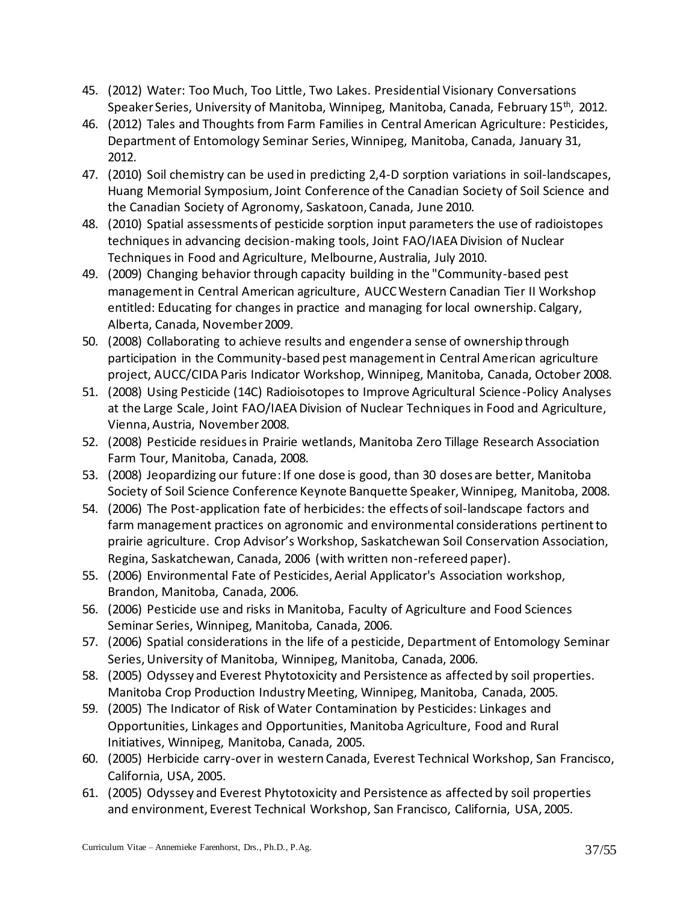- 45. (2012) Water: Too Much, Too Little, Two Lakes. Presidential Visionary Conversations Speaker Series, University of Manitoba, Winnipeg, Manitoba, Canada, February 15<sup>th</sup>, 2012.
- 46. (2012) Tales and Thoughts from Farm Families in Central American Agriculture: Pesticides, Department of Entomology Seminar Series, Winnipeg, Manitoba, Canada, January 31, 2012.
- 47. (2010) Soil chemistry can be used in predicting 2,4-D sorption variations in soil-landscapes, Huang Memorial Symposium, Joint Conference of the Canadian Society of Soil Science and the Canadian Society of Agronomy, Saskatoon, Canada, June 2010.
- 48. (2010) Spatial assessments of pesticide sorption input parameters the use of radioistopes techniques in advancing decision-making tools, Joint FAO/IAEA Division of Nuclear Techniques in Food and Agriculture, Melbourne, Australia, July 2010.
- 49. (2009) Changing behavior through capacity building in the "Community-based pest management in Central American agriculture, AUCC Western Canadian Tier II Workshop entitled: Educating for changes in practice and managing for local ownership. Calgary, Alberta, Canada, November 2009.
- 50. (2008) Collaborating to achieve results and engender a sense of ownership through participation in the Community-based pest management in Central American agriculture project, AUCC/CIDA Paris Indicator Workshop, Winnipeg, Manitoba, Canada, October 2008.
- 51. (2008) Using Pesticide (14C) Radioisotopes to Improve Agricultural Science-Policy Analyses at the Large Scale, Joint FAO/IAEA Division of Nuclear Techniques in Food and Agriculture, Vienna, Austria, November 2008.
- 52. (2008) Pesticide residues in Prairie wetlands, Manitoba Zero Tillage Research Association Farm Tour, Manitoba, Canada, 2008.
- 53. (2008) Jeopardizing our future: If one dose is good, than 30 doses are better, Manitoba Society of Soil Science Conference Keynote Banquette Speaker, Winnipeg, Manitoba, 2008.
- 54. (2006) The Post-application fate of herbicides: the effects of soil-landscape factors and farm management practices on agronomic and environmental considerations pertinent to prairie agriculture. Crop Advisor's Workshop, Saskatchewan Soil Conservation Association, Regina, Saskatchewan, Canada, 2006 (with written non-refereed paper).
- 55. (2006) Environmental Fate of Pesticides, Aerial Applicator's Association workshop, Brandon, Manitoba, Canada, 2006.
- 56. (2006) Pesticide use and risks in Manitoba, Faculty of Agriculture and Food Sciences Seminar Series, Winnipeg, Manitoba, Canada, 2006.
- 57. (2006) Spatial considerations in the life of a pesticide, Department of Entomology Seminar Series, University of Manitoba, Winnipeg, Manitoba, Canada, 2006.
- 58. (2005) Odyssey and Everest Phytotoxicity and Persistence as affected by soil properties. Manitoba Crop Production Industry Meeting, Winnipeg, Manitoba, Canada, 2005.
- 59. (2005) The Indicator of Risk of Water Contamination by Pesticides: Linkages and Opportunities, Linkages and Opportunities, Manitoba Agriculture, Food and Rural Initiatives, Winnipeg, Manitoba, Canada, 2005.
- 60. (2005) Herbicide carry-over in western Canada, Everest Technical Workshop, San Francisco, California, USA, 2005.
- 61. (2005) Odyssey and Everest Phytotoxicity and Persistence as affected by soil properties and environment, Everest Technical Workshop, San Francisco, California, USA, 2005.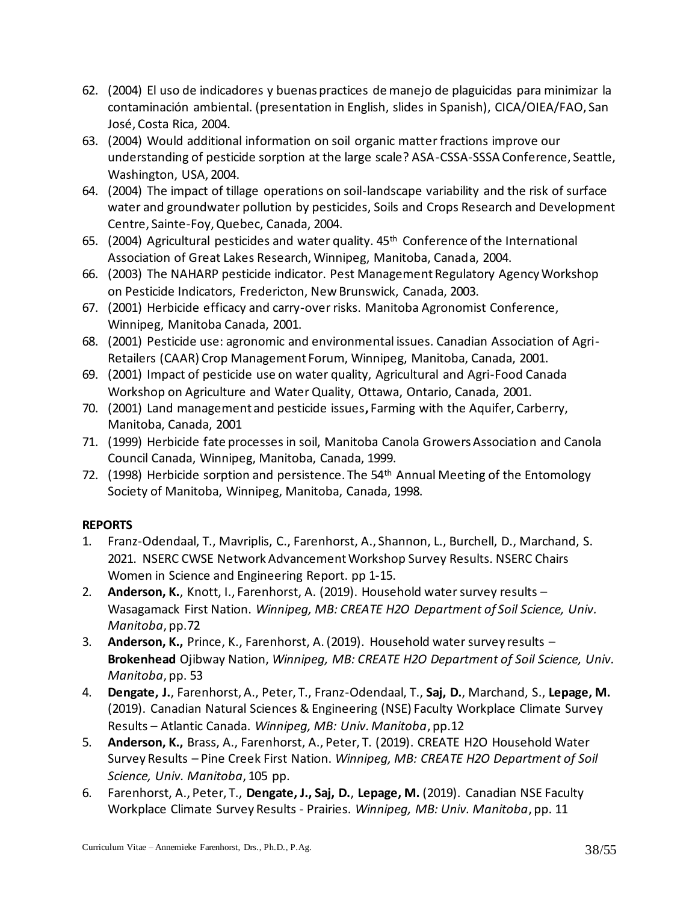- 62. (2004) El uso de indicadores y buenas practices de manejo de plaguicidas para minimizar la contaminación ambiental. (presentation in English, slides in Spanish), CICA/OIEA/FAO, San José, Costa Rica, 2004.
- 63. (2004) Would additional information on soil organic matter fractions improve our understanding of pesticide sorption at the large scale? ASA-CSSA-SSSA Conference, Seattle, Washington, USA, 2004.
- 64. (2004) The impact of tillage operations on soil-landscape variability and the risk of surface water and groundwater pollution by pesticides, Soils and Crops Research and Development Centre, Sainte-Foy, Quebec, Canada, 2004.
- 65. (2004) Agricultural pesticides and water quality.  $45<sup>th</sup>$  Conference of the International Association of Great Lakes Research, Winnipeg, Manitoba, Canada, 2004.
- 66. (2003) The NAHARP pesticide indicator. Pest Management Regulatory Agency Workshop on Pesticide Indicators, Fredericton, New Brunswick, Canada, 2003.
- 67. (2001) Herbicide efficacy and carry-over risks. Manitoba Agronomist Conference, Winnipeg, Manitoba Canada, 2001.
- 68. (2001) Pesticide use: agronomic and environmental issues. Canadian Association of Agri-Retailers (CAAR) Crop Management Forum, Winnipeg, Manitoba, Canada, 2001.
- 69. (2001) Impact of pesticide use on water quality, Agricultural and Agri-Food Canada Workshop on Agriculture and Water Quality, Ottawa, Ontario, Canada, 2001.
- 70. (2001) Land management and pesticide issues**,** Farming with the Aquifer, Carberry, Manitoba, Canada, 2001
- 71. (1999) Herbicide fate processes in soil, Manitoba Canola Growers Association and Canola Council Canada, Winnipeg, Manitoba, Canada, 1999.
- 72. (1998) Herbicide sorption and persistence. The 54<sup>th</sup> Annual Meeting of the Entomology Society of Manitoba, Winnipeg, Manitoba, Canada, 1998.

# **REPORTS**

- 1. Franz-Odendaal, T., Mavriplis, C., Farenhorst, A., Shannon, L., Burchell, D., Marchand, S. 2021. NSERC CWSE Network Advancement Workshop Survey Results. NSERC Chairs Women in Science and Engineering Report. pp 1-15.
- 2. **Anderson, K.**, Knott, I., Farenhorst, A. (2019). Household water survey results Wasagamack First Nation. *Winnipeg, MB: CREATE H2O Department of Soil Science, Univ. Manitoba*, pp.72
- 3. **Anderson, K.,** Prince, K., Farenhorst, A. (2019). Household water survey results **Brokenhead** Ojibway Nation, *Winnipeg, MB: CREATE H2O Department of Soil Science, Univ. Manitoba*, pp. 53
- 4. **Dengate, J.**, Farenhorst, A., Peter, T., Franz-Odendaal, T., **Saj, D.**, Marchand, S., **Lepage, M.** (2019). Canadian Natural Sciences & Engineering (NSE) Faculty Workplace Climate Survey Results – Atlantic Canada. *Winnipeg, MB: Univ. Manitoba*, pp.12
- 5. **Anderson, K.,** Brass, A., Farenhorst, A., Peter, T. (2019). CREATE H2O Household Water Survey Results – Pine Creek First Nation. *Winnipeg, MB: CREATE H2O Department of Soil Science, Univ. Manitoba*, 105 pp.
- 6. Farenhorst, A., Peter, T., **Dengate, J., Saj, D.**, **Lepage, M.** (2019). Canadian NSE Faculty Workplace Climate Survey Results - Prairies. *Winnipeg, MB: Univ. Manitoba*, pp. 11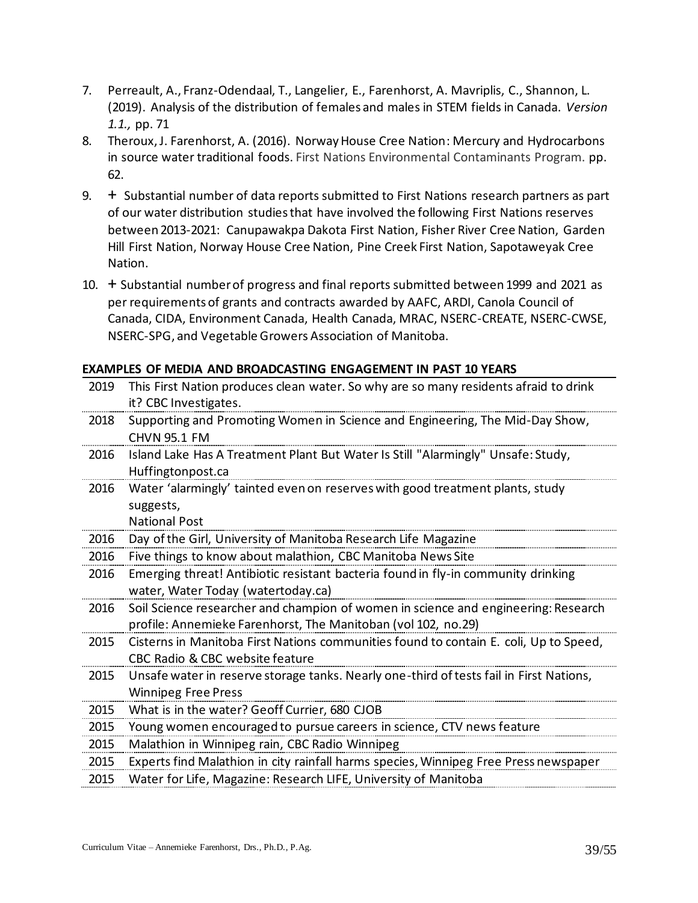- 7. Perreault, A., Franz-Odendaal, T., Langelier, E., Farenhorst, A. Mavriplis, C., Shannon, L. (2019). Analysis of the distribution of females and males in STEM fields in Canada. *Version 1.1.,* pp. 71
- 8. Theroux, J. Farenhorst, A. (2016). Norway House Cree Nation: Mercury and Hydrocarbons in source water traditional foods. First Nations Environmental Contaminants Program. pp. 62.
- 9. + Substantial number of data reports submitted to First Nations research partners as part of our water distribution studies that have involved the following First Nations reserves between 2013-2021: Canupawakpa Dakota First Nation, Fisher River Cree Nation, Garden Hill First Nation, Norway House Cree Nation, Pine Creek First Nation, Sapotaweyak Cree Nation.
- 10. + Substantial number of progress and final reports submitted between 1999 and 2021 as per requirements of grants and contracts awarded by AAFC, ARDI, Canola Council of Canada, CIDA, Environment Canada, Health Canada, MRAC, NSERC-CREATE, NSERC-CWSE, NSERC-SPG, and Vegetable Growers Association of Manitoba.

**EXAMPLES OF MEDIA AND BROADCASTING ENGAGEMENT IN PAST 10 YEARS**

| 2019 | This First Nation produces clean water. So why are so many residents afraid to drink    |
|------|-----------------------------------------------------------------------------------------|
|      | it? CBC Investigates.                                                                   |
| 2018 | Supporting and Promoting Women in Science and Engineering, The Mid-Day Show,            |
|      | <b>CHVN 95.1 FM</b>                                                                     |
| 2016 | Island Lake Has A Treatment Plant But Water Is Still "Alarmingly" Unsafe: Study,        |
|      | Huffingtonpost.ca                                                                       |
| 2016 | Water 'alarmingly' tainted even on reserves with good treatment plants, study           |
|      | suggests,                                                                               |
|      | <b>National Post</b>                                                                    |
| 2016 | Day of the Girl, University of Manitoba Research Life Magazine                          |
| 2016 | Five things to know about malathion, CBC Manitoba News Site                             |
| 2016 | Emerging threat! Antibiotic resistant bacteria found in fly-in community drinking       |
|      | water, Water Today (watertoday.ca)                                                      |
| 2016 | Soil Science researcher and champion of women in science and engineering: Research      |
|      | profile: Annemieke Farenhorst, The Manitoban (vol 102, no.29)                           |
| 2015 | Cisterns in Manitoba First Nations communities found to contain E. coli, Up to Speed,   |
|      | CBC Radio & CBC website feature                                                         |
| 2015 | Unsafe water in reserve storage tanks. Nearly one-third of tests fail in First Nations, |
|      | <b>Winnipeg Free Press</b>                                                              |
| 2015 | What is in the water? Geoff Currier, 680 CJOB                                           |
| 2015 | Young women encouraged to pursue careers in science, CTV news feature                   |
| 2015 | Malathion in Winnipeg rain, CBC Radio Winnipeg                                          |
| 2015 | Experts find Malathion in city rainfall harms species, Winnipeg Free Press newspaper    |
| 2015 | Water for Life, Magazine: Research LIFE, University of Manitoba                         |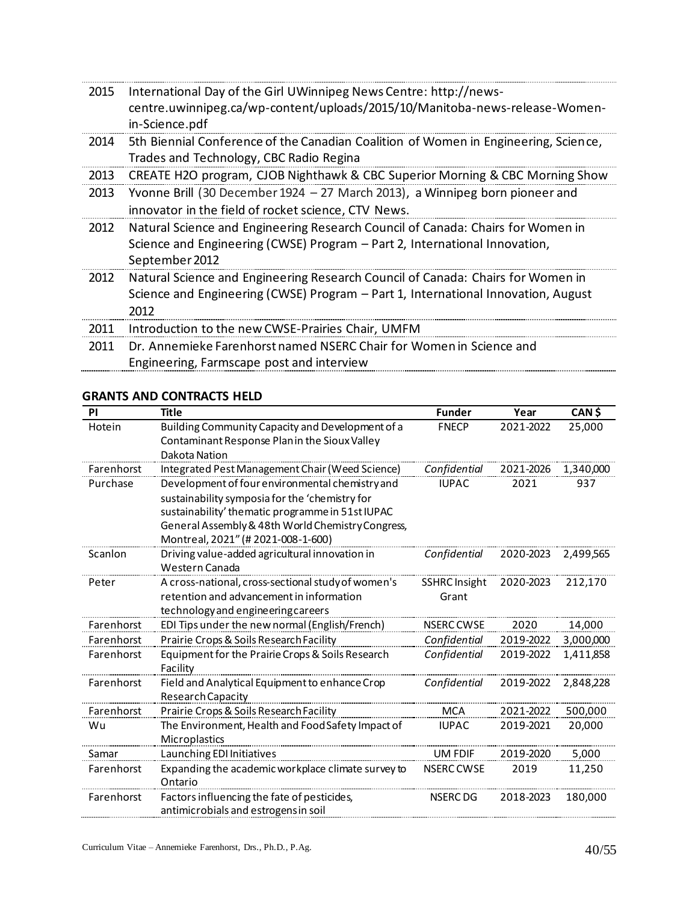| 2015 | International Day of the Girl UWinnipeg News Centre: http://news-<br>centre.uwinnipeg.ca/wp-content/uploads/2015/10/Manitoba-news-release-Women-<br>in-Science.pdf |
|------|--------------------------------------------------------------------------------------------------------------------------------------------------------------------|
| 2014 | 5th Biennial Conference of the Canadian Coalition of Women in Engineering, Science,<br>Trades and Technology, CBC Radio Regina                                     |
| 2013 | CREATE H2O program, CJOB Nighthawk & CBC Superior Morning & CBC Morning Show                                                                                       |
| 2013 | Yvonne Brill (30 December 1924 – 27 March 2013), a Winnipeg born pioneer and                                                                                       |
|      | innovator in the field of rocket science, CTV News.                                                                                                                |
| 2012 | Natural Science and Engineering Research Council of Canada: Chairs for Women in                                                                                    |
|      | Science and Engineering (CWSE) Program – Part 2, International Innovation,<br>September 2012                                                                       |
| 2012 | Natural Science and Engineering Research Council of Canada: Chairs for Women in                                                                                    |
|      | Science and Engineering (CWSE) Program - Part 1, International Innovation, August                                                                                  |
|      | 2012                                                                                                                                                               |
| 2011 | Introduction to the new CWSE-Prairies Chair, UMFM                                                                                                                  |
| 2011 | Dr. Annemieke Farenhorst named NSERC Chair for Women in Science and                                                                                                |
|      | Engineering, Farmscape post and interview                                                                                                                          |

#### **GRANTS AND CONTRACTS HELD**

| PI         | <b>Title</b>                                                 | <b>Funder</b>        | Year      | CAN \$    |
|------------|--------------------------------------------------------------|----------------------|-----------|-----------|
| Hotein     | Building Community Capacity and Development of a             | <b>FNECP</b>         | 2021-2022 | 25,000    |
|            | Contaminant Response Planin the Sioux Valley                 |                      |           |           |
|            | Dakota Nation                                                |                      |           |           |
| Farenhorst | Integrated Pest Management Chair (Weed Science)              | Confidential         | 2021-2026 | 1,340,000 |
| Purchase   | Development of four environmental chemistry and              | <b>IUPAC</b>         | 2021      | 937       |
|            | sustainability symposia for the 'chemistry for               |                      |           |           |
|            | sustainability' thematic programme in 51st IUPAC             |                      |           |           |
|            | General Assembly & 48th World Chemistry Congress,            |                      |           |           |
|            | Montreal, 2021" (# 2021-008-1-600)                           |                      |           |           |
| Scanlon    | Driving value-added agricultural innovation in               | Confidential         | 2020-2023 | 2,499,565 |
|            | Western Canada                                               |                      |           |           |
| Peter      | A cross-national, cross-sectional study of women's           | <b>SSHRC Insight</b> | 2020-2023 | 212,170   |
|            | retention and advancement in information                     | Grant                |           |           |
|            | technology and engineering careers                           |                      |           |           |
| Farenhorst | EDI Tips under the new normal (English/French)               | <b>NSERC CWSE</b>    | 2020      | 14,000    |
| Farenhorst | Prairie Crops & Soils Research Facility                      | Confidential         | 2019-2022 | 3,000,000 |
| Farenhorst | Equipment for the Prairie Crops & Soils Research<br>Facility | Confidential         | 2019-2022 | 1,411,858 |
| Farenhorst | Field and Analytical Equipment to enhance Crop               | Confidential         | 2019-2022 | 2,848,228 |
|            | Research Capacity                                            |                      |           |           |
| Farenhorst | Prairie Crops & Soils Research Facility                      | <b>MCA</b>           | 2021-2022 | 500,000   |
| Wu         | The Environment, Health and Food Safety Impact of            | <b>IUPAC</b>         | 2019-2021 | 20,000    |
|            | Microplastics                                                |                      |           |           |
| Samar      | Launching EDI Initiatives                                    | UM FDIF              | 2019-2020 | 5,000     |
| Farenhorst | Expanding the academic workplace climate survey to           | <b>NSERC CWSE</b>    | 2019      | 11,250    |
|            | Ontario                                                      |                      |           |           |
| Farenhorst | Factors influencing the fate of pesticides,                  | <b>NSERC DG</b>      | 2018-2023 | 180,000   |
|            | antimicrobials and estrogens in soil                         |                      |           |           |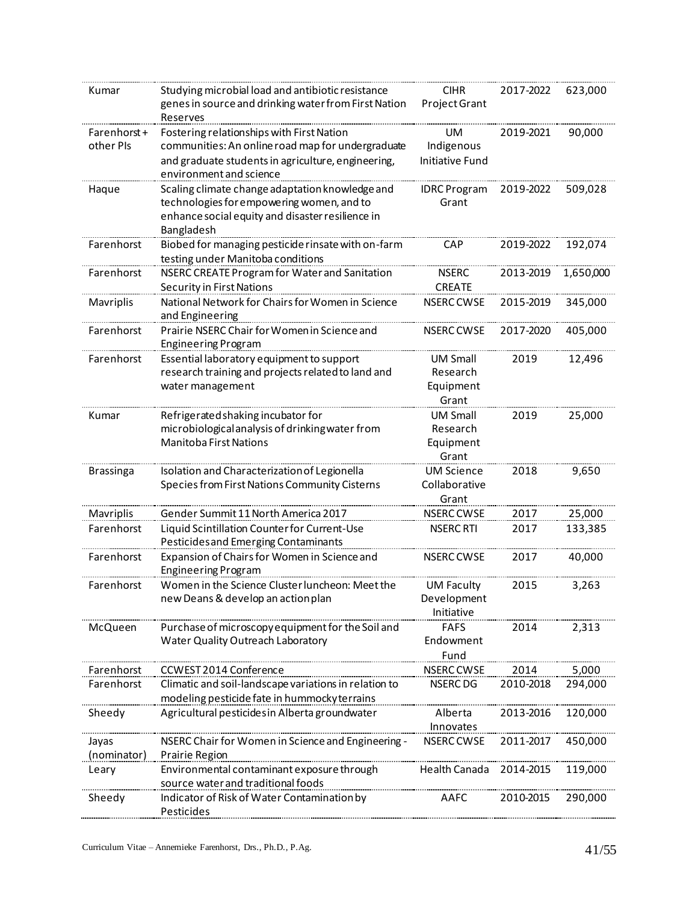| Kumar                    | Studying microbial load and antibiotic resistance                                            | <b>CIHR</b>                          | 2017-2022 | 623,000   |
|--------------------------|----------------------------------------------------------------------------------------------|--------------------------------------|-----------|-----------|
|                          | genes in source and drinking water from First Nation                                         | Project Grant                        |           |           |
|                          | Reserves                                                                                     |                                      |           |           |
| Farenhorst+              | Fostering relationships with First Nation                                                    | UM                                   | 2019-2021 | 90,000    |
| other PIs                | communities: An online road map for undergraduate                                            | Indigenous                           |           |           |
|                          | and graduate students in agriculture, engineering,<br>environment and science                | <b>Initiative Fund</b>               |           |           |
|                          |                                                                                              |                                      |           |           |
| Haque                    | Scaling climate change adaptation knowledge and<br>technologies for empowering women, and to | <b>IDRC Program</b><br>Grant         | 2019-2022 | 509,028   |
|                          | enhance social equity and disaster resilience in                                             |                                      |           |           |
|                          | Bangladesh                                                                                   |                                      |           |           |
| Farenhorst               | Biobed for managing pesticide rinsate with on-farm                                           | <b>CAP</b>                           | 2019-2022 | 192,074   |
|                          | testing under Manitoba conditions                                                            |                                      |           |           |
| Farenhorst               | NSERC CREATE Program for Water and Sanitation                                                | <b>NSERC</b>                         | 2013-2019 | 1,650,000 |
|                          | Security in First Nations                                                                    | <b>CREATE</b>                        |           |           |
| <b>Mavriplis</b>         | National Network for Chairs for Women in Science                                             | <b>NSERC CWSE</b>                    | 2015-2019 | 345,000   |
|                          | and Engineering                                                                              |                                      |           |           |
| Farenhorst               | Prairie NSERC Chair for Women in Science and                                                 | <b>NSERC CWSE</b>                    | 2017-2020 | 405,000   |
|                          | <b>Engineering Program</b>                                                                   |                                      |           |           |
| Farenhorst               | Essential laboratory equipment to support                                                    | <b>UM Small</b>                      | 2019      | 12,496    |
|                          | research training and projects related to land and                                           | Research                             |           |           |
|                          | water management                                                                             | Equipment                            |           |           |
|                          |                                                                                              | Grant                                |           |           |
| Kumar                    | Refrigerated shaking incubator for                                                           | <b>UM Small</b>                      | 2019      | 25,000    |
|                          | microbiological analysis of drinking water from<br><b>Manitoba First Nations</b>             | Research<br>Equipment                |           |           |
|                          |                                                                                              | Grant                                |           |           |
| <b>Brassinga</b>         | Isolation and Characterization of Legionella                                                 | <b>UM Science</b>                    | 2018      | 9,650     |
|                          | Species from First Nations Community Cisterns                                                | Collaborative                        |           |           |
|                          |                                                                                              | Grant                                |           |           |
| Mavriplis                | Gender Summit 11 North America 2017                                                          | NSERC CWSE                           | 2017      | 25,000    |
| Farenhorst               | Liquid Scintillation Counter for Current-Use                                                 | <b>NSERC RTI</b>                     | 2017      | 133,385   |
|                          | Pesticides and Emerging Contaminants                                                         |                                      |           |           |
| Farenhorst               | Expansion of Chairs for Women in Science and                                                 | NSERC CWSE                           | 2017      | 40,000    |
|                          | <b>Engineering Program</b>                                                                   |                                      |           |           |
| Farenhorst               | Women in the Science Cluster luncheon: Meet the                                              | UM Faculty                           | 2015      | 3,263     |
|                          | new Deans & develop an action plan                                                           | Development                          |           |           |
|                          |                                                                                              | Initiative                           |           |           |
| McQueen                  | Purchase of microscopy equipment for the Soil and                                            | <b>FAFS</b>                          | 2014      | 2,313     |
|                          | Water Quality Outreach Laboratory                                                            | Endowment                            |           |           |
|                          |                                                                                              | Fund                                 | 2014      | 5,000     |
| Farenhorst<br>Farenhorst | CCWEST 2014 Conference<br>Climatic and soil-landscape variations in relation to              | <b>NSERC CWSE</b><br><b>NSERC DG</b> | 2010-2018 | 294,000   |
|                          | modeling pesticide fate in hummocky terrains                                                 |                                      |           |           |
| Sheedy                   | Agricultural pesticides in Alberta groundwater                                               | Alberta                              | 2013-2016 | 120,000   |
|                          |                                                                                              | Innovates                            |           |           |
| Jayas                    | NSERC Chair for Women in Science and Engineering -                                           | NSERC CWSE                           | 2011-2017 | 450,000   |
| (nominator)              | Prairie Region                                                                               |                                      |           |           |
| Leary                    | Environmental contaminant exposure through                                                   | Health Canada                        | 2014-2015 | 119,000   |
|                          | source water and traditional foods                                                           |                                      |           |           |
| Sheedy                   | Indicator of Risk of Water Contamination by                                                  | AAFC                                 | 2010-2015 | 290,000   |
|                          | Pesticides                                                                                   |                                      |           |           |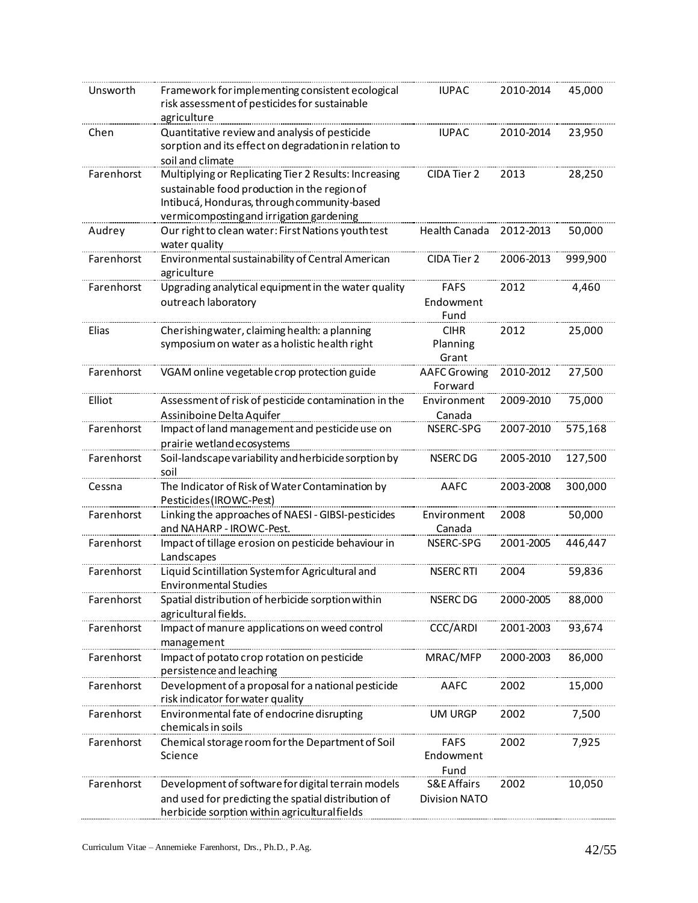| Unsworth   | Framework for implementing consistent ecological<br>risk assessment of pesticides for sustainable<br>agriculture                                                                                 | <b>IUPAC</b>                                   | 2010-2014 | 45,000  |
|------------|--------------------------------------------------------------------------------------------------------------------------------------------------------------------------------------------------|------------------------------------------------|-----------|---------|
| Chen       | Quantitative review and analysis of pesticide<br>sorption and its effect on degradation in relation to<br>soil and climate                                                                       | <b>IUPAC</b>                                   | 2010-2014 | 23,950  |
| Farenhorst | Multiplying or Replicating Tier 2 Results: Increasing<br>sustainable food production in the region of<br>Intibucá, Honduras, through community-based<br>vermicomposting and irrigation gardening | CIDA Tier 2                                    | 2013      | 28,250  |
| Audrey     | Our right to clean water: First Nations youth test<br>water quality                                                                                                                              | <b>Health Canada</b>                           | 2012-2013 | 50,000  |
| Farenhorst | Environmental sustainability of Central American<br>agriculture                                                                                                                                  | CIDA Tier 2                                    | 2006-2013 | 999,900 |
| Farenhorst | Upgrading analytical equipment in the water quality<br>outreach laboratory                                                                                                                       | <b>FAFS</b><br>Endowment<br>Fund               | 2012      | 4,460   |
| Elias      | Cherishing water, claiming health: a planning<br>symposium on water as a holistic health right                                                                                                   | <b>CIHR</b><br>Planning<br>Grant               | 2012      | 25,000  |
| Farenhorst | VGAM online vegetable crop protection guide                                                                                                                                                      | <b>AAFC</b> Growing<br>Forward                 | 2010-2012 | 27,500  |
| Elliot     | Assessment of risk of pesticide contamination in the<br>Assiniboine Delta Aquifer                                                                                                                | Environment<br>Canada                          | 2009-2010 | 75,000  |
| Farenhorst | Impact of land management and pesticide use on<br>prairie wetland ecosystems                                                                                                                     | NSERC-SPG                                      | 2007-2010 | 575,168 |
| Farenhorst | Soil-landscape variability and herbicide sorption by<br>soil                                                                                                                                     | NSERC DG                                       | 2005-2010 | 127,500 |
| Cessna     | The Indicator of Risk of Water Contamination by<br>Pesticides (IROWC-Pest)                                                                                                                       | AAFC                                           | 2003-2008 | 300,000 |
| Farenhorst | Linking the approaches of NAESI - GIBSI-pesticides<br>and NAHARP - IROWC-Pest.                                                                                                                   | Environment<br>Canada                          | 2008      | 50,000  |
| Farenhorst | Impact of tillage erosion on pesticide behaviour in<br>Landscapes                                                                                                                                | NSERC-SPG                                      | 2001-2005 | 446,447 |
| Farenhorst | Liquid Scintillation Systemfor Agricultural and<br><b>Environmental Studies</b>                                                                                                                  | NSERC RTI                                      | 2004      | 59,836  |
| Farenhorst | Spatial distribution of herbicide sorption within<br>agricultural fields.                                                                                                                        | <b>NSERC DG</b>                                | 2000-2005 | 88,000  |
| Farenhorst | Impact of manure applications on weed control<br>management                                                                                                                                      | CCC/ARDI                                       | 2001-2003 | 93,674  |
| Farenhorst | Impact of potato crop rotation on pesticide<br>persistence and leaching                                                                                                                          | MRAC/MFP                                       | 2000-2003 | 86,000  |
| Farenhorst | Development of a proposal for a national pesticide<br>risk indicator for water quality                                                                                                           | AAFC                                           | 2002      | 15,000  |
| Farenhorst | Environmental fate of endocrine disrupting<br>chemicals in soils                                                                                                                                 | <b>UM URGP</b>                                 | 2002      | 7,500   |
| Farenhorst | Chemical storage room for the Department of Soil<br>Science                                                                                                                                      | <b>FAFS</b><br>Endowment<br>Fund               | 2002      | 7,925   |
| Farenhorst | Development of software for digital terrain models<br>and used for predicting the spatial distribution of<br>herbicide sorption within agricultural fields                                       | <b>S&amp;E Affairs</b><br><b>Division NATO</b> | 2002      | 10,050  |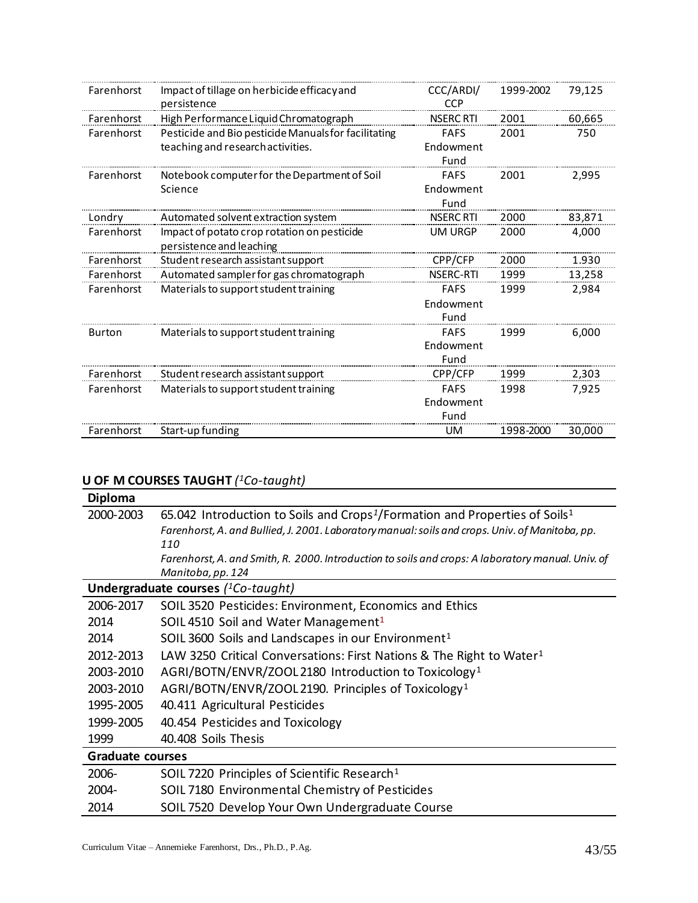| Farenhorst | Impact of tillage on herbicide efficacy and<br>persistence | CCC/ARDI/<br><b>CCP</b> | 1999-2002 | 79,125 |
|------------|------------------------------------------------------------|-------------------------|-----------|--------|
| Farenhorst | High Performance Liquid Chromatograph                      | <b>NSERC RTI</b>        | 2001      | 60,665 |
| Farenhorst | Pesticide and Bio pesticide Manuals for facilitating       | <b>FAFS</b>             | 2001      | 750    |
|            | teaching and research activities.                          | Endowment               |           |        |
|            |                                                            | Fund                    |           |        |
| Farenhorst | Notebook computer for the Department of Soil               | <b>FAFS</b>             | 2001      | 2,995  |
|            | Science                                                    | Endowment               |           |        |
|            |                                                            | Fund                    |           |        |
| Londry     | Automated solvent extraction system                        | <b>NSERC RTI</b>        | 2000      | 83,871 |
| Farenhorst | Impact of potato crop rotation on pesticide                | UM URGP                 | 2000      | 4,000  |
|            | persistence and leaching                                   |                         |           |        |
| Farenhorst | Student research assistant support                         | CPP/CFP                 | 2000      | 1.930  |
| Farenhorst | Automated sampler for gas chromatograph                    | <b>NSERC-RTI</b>        | 1999      | 13,258 |
| Farenhorst | Materials to support student training                      | <b>FAFS</b>             | 1999      | 2,984  |
|            |                                                            | Endowment               |           |        |
|            |                                                            | Fund                    |           |        |
| Burton     | Materials to support student training                      | <b>FAFS</b>             | 1999      | 6,000  |
|            |                                                            | Endowment               |           |        |
|            |                                                            | Fund                    |           |        |
| Farenhorst | Student research assistant support                         | CPP/CFP                 | 1999      | 2,303  |
| Farenhorst | Materials to support student training                      | <b>FAFS</b>             | 1998      | 7,925  |
|            |                                                            | Endowment               |           |        |
|            |                                                            | Fund                    |           |        |
| Farenhorst | Start-up funding                                           | UM                      | 1998-2000 | 30.000 |

#### **U OF M COURSES TAUGHT** *( <sup>1</sup>Co-taught)*

| Diploma                 |                                                                                                                                                                                                        |
|-------------------------|--------------------------------------------------------------------------------------------------------------------------------------------------------------------------------------------------------|
| 2000-2003               | 65.042 Introduction to Soils and Crops <sup>1</sup> /Formation and Properties of Soils <sup>1</sup><br>Farenhorst, A. and Bullied, J. 2001. Laboratory manual: soils and crops. Univ. of Manitoba, pp. |
|                         | 110                                                                                                                                                                                                    |
|                         | Farenhorst, A. and Smith, R. 2000. Introduction to soils and crops: A laboratory manual. Univ. of<br>Manitoba, pp. 124                                                                                 |
|                         | Undergraduate courses $(^{1}Co$ -taught)                                                                                                                                                               |
| 2006-2017               | SOIL 3520 Pesticides: Environment, Economics and Ethics                                                                                                                                                |
| 2014                    | SOIL 4510 Soil and Water Management <sup>1</sup>                                                                                                                                                       |
| 2014                    | SOIL 3600 Soils and Landscapes in our Environment <sup>1</sup>                                                                                                                                         |
| 2012-2013               | LAW 3250 Critical Conversations: First Nations & The Right to Water <sup>1</sup>                                                                                                                       |
| 2003-2010               | AGRI/BOTN/ENVR/ZOOL 2180 Introduction to Toxicology <sup>1</sup>                                                                                                                                       |
| 2003-2010               | AGRI/BOTN/ENVR/ZOOL 2190. Principles of Toxicology <sup>1</sup>                                                                                                                                        |
| 1995-2005               | 40.411 Agricultural Pesticides                                                                                                                                                                         |
| 1999-2005               | 40.454 Pesticides and Toxicology                                                                                                                                                                       |
| 1999                    | 40.408 Soils Thesis                                                                                                                                                                                    |
| <b>Graduate courses</b> |                                                                                                                                                                                                        |
| 2006-                   | SOIL 7220 Principles of Scientific Research <sup>1</sup>                                                                                                                                               |
| 2004-                   | SOIL 7180 Environmental Chemistry of Pesticides                                                                                                                                                        |
| 2014                    | SOIL 7520 Develop Your Own Undergraduate Course                                                                                                                                                        |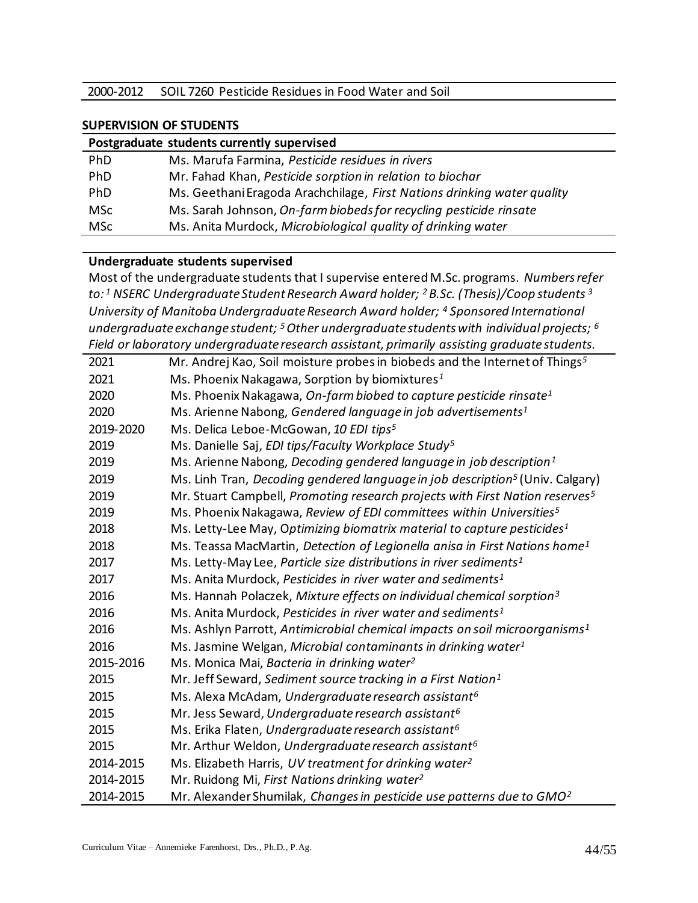|  | 2000-2012 SOIL 7260 Pesticide Residues in Food Water and Soil |
|--|---------------------------------------------------------------|
|--|---------------------------------------------------------------|

#### **SUPERVISION OF STUDENTS**

| Postgraduate students currently supervised |                                                                         |  |
|--------------------------------------------|-------------------------------------------------------------------------|--|
| PhD                                        | Ms. Marufa Farmina, Pesticide residues in rivers                        |  |
| PhD                                        | Mr. Fahad Khan, Pesticide sorption in relation to biochar               |  |
| PhD                                        | Ms. Geethani Eragoda Arachchilage, First Nations drinking water quality |  |
| <b>MSc</b>                                 | Ms. Sarah Johnson, On-farm biobeds for recycling pesticide rinsate      |  |
| <b>MSc</b>                                 | Ms. Anita Murdock, Microbiological quality of drinking water            |  |

#### **Undergraduate students supervised**

Most of the undergraduate students that I supervise entered M.Sc. programs. *Numbers refer to: <sup>1</sup> NSERC Undergraduate Student Research Award holder; <sup>2</sup>B.Sc. (Thesis)/Coop students <sup>3</sup> University of Manitoba Undergraduate Research Award holder; <sup>4</sup> Sponsored International undergraduate exchange student; <sup>5</sup>Other undergraduate students with individual projects; <sup>6</sup> Field or laboratory undergraduate research assistant, primarily assisting graduate students.*

| 2021      | Mr. Andrej Kao, Soil moisture probes in biobeds and the Internet of Things <sup>5</sup>   |
|-----------|-------------------------------------------------------------------------------------------|
| 2021      | Ms. Phoenix Nakagawa, Sorption by biomixtures <sup>1</sup>                                |
| 2020      | Ms. Phoenix Nakagawa, On-farm biobed to capture pesticide rinsate <sup>1</sup>            |
| 2020      | Ms. Arienne Nabong, Gendered language in job advertisements <sup>1</sup>                  |
| 2019-2020 | Ms. Delica Leboe-McGowan, 10 EDI tips <sup>5</sup>                                        |
| 2019      | Ms. Danielle Saj, EDI tips/Faculty Workplace Study <sup>5</sup>                           |
| 2019      | Ms. Arienne Nabong, Decoding gendered language in job description <sup>1</sup>            |
| 2019      | Ms. Linh Tran, Decoding gendered language in job description <sup>5</sup> (Univ. Calgary) |
| 2019      | Mr. Stuart Campbell, Promoting research projects with First Nation reserves <sup>5</sup>  |
| 2019      | Ms. Phoenix Nakagawa, Review of EDI committees within Universities <sup>5</sup>           |
| 2018      | Ms. Letty-Lee May, Optimizing biomatrix material to capture pesticides <sup>1</sup>       |
| 2018      | Ms. Teassa MacMartin, Detection of Legionella anisa in First Nations home <sup>1</sup>    |
| 2017      | Ms. Letty-May Lee, Particle size distributions in river sediments <sup>1</sup>            |
| 2017      | Ms. Anita Murdock, Pesticides in river water and sediments <sup>1</sup>                   |
| 2016      | Ms. Hannah Polaczek, Mixture effects on individual chemical sorption <sup>3</sup>         |
| 2016      | Ms. Anita Murdock, Pesticides in river water and sediments <sup>1</sup>                   |
| 2016      | Ms. Ashlyn Parrott, Antimicrobial chemical impacts on soil microorganisms <sup>1</sup>    |
| 2016      | Ms. Jasmine Welgan, Microbial contaminants in drinking water <sup>1</sup>                 |
| 2015-2016 | Ms. Monica Mai, Bacteria in drinking water <sup>2</sup>                                   |
| 2015      | Mr. Jeff Seward, Sediment source tracking in a First Nation <sup>1</sup>                  |
| 2015      | Ms. Alexa McAdam, Undergraduate research assistant <sup>6</sup>                           |
| 2015      | Mr. Jess Seward, Undergraduate research assistant <sup>6</sup>                            |
| 2015      | Ms. Erika Flaten, Undergraduate research assistant <sup>6</sup>                           |
| 2015      | Mr. Arthur Weldon, Undergraduate research assistant <sup>6</sup>                          |
| 2014-2015 | Ms. Elizabeth Harris, UV treatment for drinking water <sup>2</sup>                        |
| 2014-2015 | Mr. Ruidong Mi, First Nations drinking water <sup>2</sup>                                 |
| 2014-2015 | Mr. Alexander Shumilak, Changes in pesticide use patterns due to GMO <sup>2</sup>         |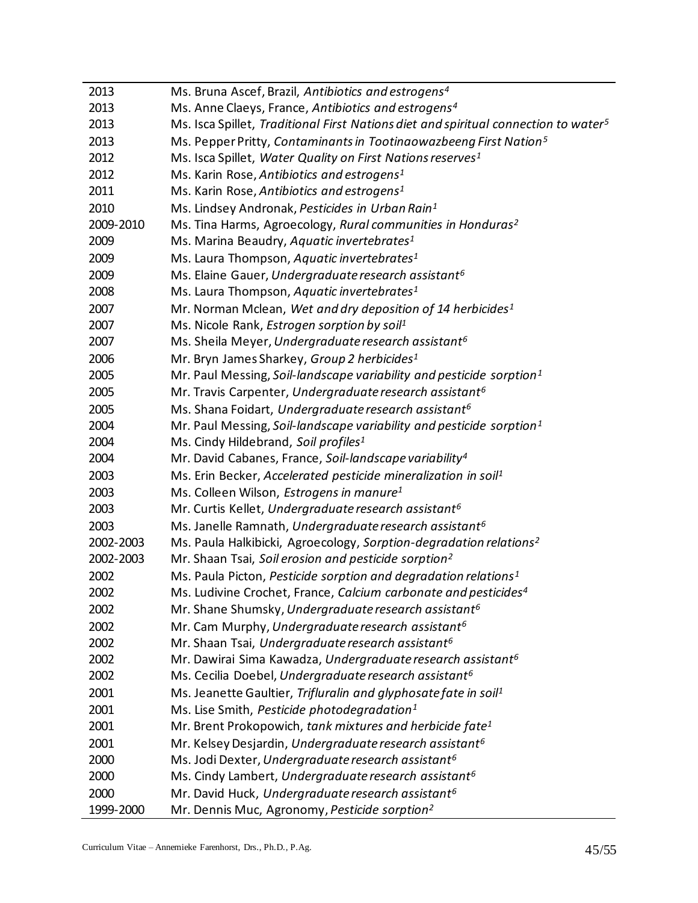| 2013      | Ms. Bruna Ascef, Brazil, Antibiotics and estrogens <sup>4</sup>                                 |
|-----------|-------------------------------------------------------------------------------------------------|
| 2013      | Ms. Anne Claeys, France, Antibiotics and estrogens <sup>4</sup>                                 |
| 2013      | Ms. Isca Spillet, Traditional First Nations diet and spiritual connection to water <sup>5</sup> |
| 2013      | Ms. Pepper Pritty, Contaminants in Tootinaowazbeeng First Nation <sup>5</sup>                   |
| 2012      | Ms. Isca Spillet, Water Quality on First Nations reserves <sup>1</sup>                          |
| 2012      | Ms. Karin Rose, Antibiotics and estrogens <sup>1</sup>                                          |
| 2011      | Ms. Karin Rose, Antibiotics and estrogens <sup>1</sup>                                          |
| 2010      | Ms. Lindsey Andronak, Pesticides in Urban Rain <sup>1</sup>                                     |
| 2009-2010 | Ms. Tina Harms, Agroecology, Rural communities in Honduras <sup>2</sup>                         |
| 2009      | Ms. Marina Beaudry, Aquatic invertebrates <sup>1</sup>                                          |
| 2009      | Ms. Laura Thompson, Aquatic invertebrates <sup>1</sup>                                          |
| 2009      | Ms. Elaine Gauer, Undergraduate research assistant <sup>6</sup>                                 |
| 2008      | Ms. Laura Thompson, Aquatic invertebrates <sup>1</sup>                                          |
| 2007      | Mr. Norman Mclean, Wet and dry deposition of 14 herbicides <sup>1</sup>                         |
| 2007      | Ms. Nicole Rank, Estrogen sorption by soil <sup>1</sup>                                         |
| 2007      | Ms. Sheila Meyer, Undergraduate research assistant <sup>6</sup>                                 |
| 2006      | Mr. Bryn James Sharkey, Group 2 herbicides <sup>1</sup>                                         |
| 2005      | Mr. Paul Messing, Soil-landscape variability and pesticide sorption <sup>1</sup>                |
| 2005      | Mr. Travis Carpenter, Undergraduate research assistant <sup>6</sup>                             |
| 2005      | Ms. Shana Foidart, Undergraduate research assistant <sup>6</sup>                                |
| 2004      | Mr. Paul Messing, Soil-landscape variability and pesticide sorption <sup>1</sup>                |
| 2004      | Ms. Cindy Hildebrand, Soil profiles <sup>1</sup>                                                |
| 2004      | Mr. David Cabanes, France, Soil-landscape variability <sup>4</sup>                              |
| 2003      | Ms. Erin Becker, Accelerated pesticide mineralization in soil <sup>1</sup>                      |
| 2003      | Ms. Colleen Wilson, <i>Estrogens in manure</i> <sup>1</sup>                                     |
| 2003      | Mr. Curtis Kellet, Undergraduate research assistant <sup>6</sup>                                |
| 2003      | Ms. Janelle Ramnath, Undergraduate research assistant <sup>6</sup>                              |
| 2002-2003 | Ms. Paula Halkibicki, Agroecology, Sorption-degradation relations <sup>2</sup>                  |
| 2002-2003 | Mr. Shaan Tsai, Soil erosion and pesticide sorption <sup>2</sup>                                |
| 2002      | Ms. Paula Picton, Pesticide sorption and degradation relations <sup>1</sup>                     |
| 2002      | Ms. Ludivine Crochet, France, Calcium carbonate and pesticides <sup>4</sup>                     |
| 2002      | Mr. Shane Shumsky, Undergraduate research assistant <sup>6</sup>                                |
| 2002      | Mr. Cam Murphy, Undergraduate research assistant <sup>6</sup>                                   |
| 2002      | Mr. Shaan Tsai, Undergraduate research assistant <sup>6</sup>                                   |
| 2002      | Mr. Dawirai Sima Kawadza, Undergraduate research assistant <sup>6</sup>                         |
| 2002      | Ms. Cecilia Doebel, Undergraduate research assistant <sup>6</sup>                               |
| 2001      | Ms. Jeanette Gaultier, Trifluralin and glyphosate fate in soil <sup>1</sup>                     |
| 2001      | Ms. Lise Smith, Pesticide photodegradation <sup>1</sup>                                         |
| 2001      | Mr. Brent Prokopowich, tank mixtures and herbicide fate <sup>1</sup>                            |
| 2001      | Mr. Kelsey Desjardin, Undergraduate research assistant <sup>6</sup>                             |
| 2000      | Ms. Jodi Dexter, Undergraduate research assistant <sup>6</sup>                                  |
| 2000      | Ms. Cindy Lambert, Undergraduate research assistant <sup>6</sup>                                |
| 2000      | Mr. David Huck, Undergraduate research assistant <sup>6</sup>                                   |
| 1999-2000 | Mr. Dennis Muc, Agronomy, Pesticide sorption <sup>2</sup>                                       |
|           |                                                                                                 |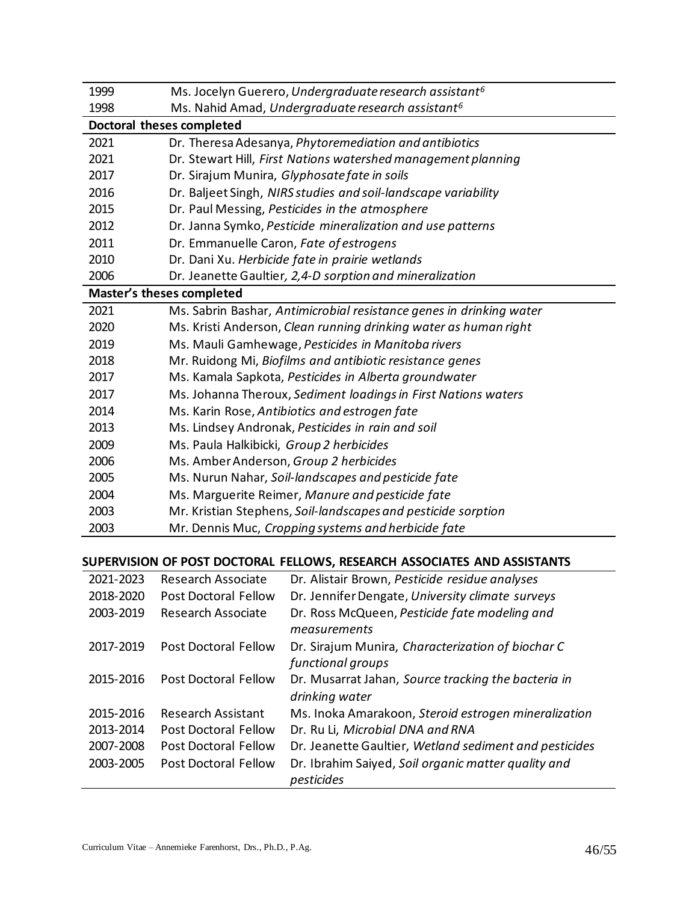| 1999 | Ms. Jocelyn Guerero, Undergraduate research assistant <sup>6</sup>  |
|------|---------------------------------------------------------------------|
| 1998 | Ms. Nahid Amad, Undergraduate research assistant <sup>6</sup>       |
|      | Doctoral theses completed                                           |
| 2021 | Dr. Theresa Adesanya, Phytoremediation and antibiotics              |
| 2021 | Dr. Stewart Hill, First Nations watershed management planning       |
| 2017 | Dr. Sirajum Munira, Glyphosate fate in soils                        |
| 2016 | Dr. Baljeet Singh, NIRS studies and soil-landscape variability      |
| 2015 | Dr. Paul Messing, Pesticides in the atmosphere                      |
| 2012 | Dr. Janna Symko, Pesticide mineralization and use patterns          |
| 2011 | Dr. Emmanuelle Caron, Fate of estrogens                             |
| 2010 | Dr. Dani Xu. Herbicide fate in prairie wetlands                     |
| 2006 | Dr. Jeanette Gaultier, 2,4-D sorption and mineralization            |
|      | <b>Master's theses completed</b>                                    |
| 2021 | Ms. Sabrin Bashar, Antimicrobial resistance genes in drinking water |
| 2020 | Ms. Kristi Anderson, Clean running drinking water as human right    |
| 2019 | Ms. Mauli Gamhewage, Pesticides in Manitoba rivers                  |
| 2018 | Mr. Ruidong Mi, Biofilms and antibiotic resistance genes            |
| 2017 | Ms. Kamala Sapkota, Pesticides in Alberta groundwater               |
| 2017 | Ms. Johanna Theroux, Sediment loadings in First Nations waters      |
| 2014 | Ms. Karin Rose, Antibiotics and estrogen fate                       |
| 2013 | Ms. Lindsey Andronak, Pesticides in rain and soil                   |
| 2009 | Ms. Paula Halkibicki, Group 2 herbicides                            |
| 2006 | Ms. Amber Anderson, Group 2 herbicides                              |
| 2005 | Ms. Nurun Nahar, Soil-landscapes and pesticide fate                 |
| 2004 | Ms. Marguerite Reimer, Manure and pesticide fate                    |
| 2003 | Mr. Kristian Stephens, Soil-landscapes and pesticide sorption       |
| 2003 | Mr. Dennis Muc, Cropping systems and herbicide fate                 |

# **SUPERVISION OF POST DOCTORAL FELLOWS, RESEARCH ASSOCIATES AND ASSISTANTS**

| 2021-2023 | <b>Research Associate</b>   | Dr. Alistair Brown, Pesticide residue analyses                         |
|-----------|-----------------------------|------------------------------------------------------------------------|
| 2018-2020 | Post Doctoral Fellow        | Dr. Jennifer Dengate, University climate surveys                       |
| 2003-2019 | Research Associate          | Dr. Ross McQueen, Pesticide fate modeling and<br>measurements          |
| 2017-2019 | Post Doctoral Fellow        | Dr. Sirajum Munira, Characterization of biochar C<br>functional groups |
| 2015-2016 | <b>Post Doctoral Fellow</b> | Dr. Musarrat Jahan, Source tracking the bacteria in<br>drinking water  |
| 2015-2016 | <b>Research Assistant</b>   | Ms. Inoka Amarakoon, Steroid estrogen mineralization                   |
| 2013-2014 | Post Doctoral Fellow        | Dr. Ru Li, Microbial DNA and RNA                                       |
| 2007-2008 | Post Doctoral Fellow        | Dr. Jeanette Gaultier, Wetland sediment and pesticides                 |
| 2003-2005 | <b>Post Doctoral Fellow</b> | Dr. Ibrahim Saiyed, Soil organic matter quality and<br>pesticides      |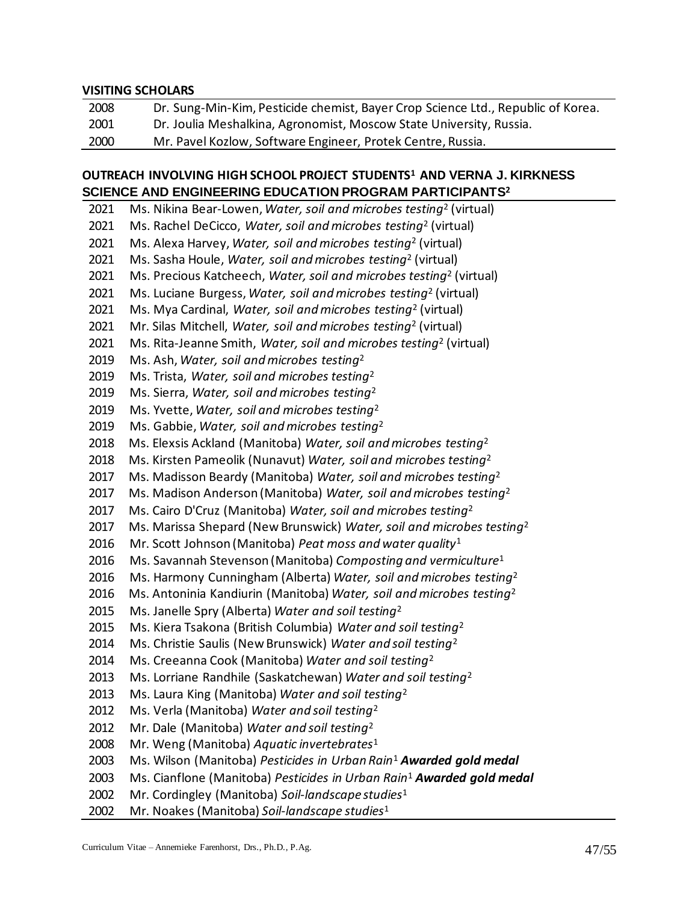#### **VISITING SCHOLARS**

| 2008 | Dr. Sung-Min-Kim, Pesticide chemist, Bayer Crop Science Ltd., Republic of Korea. |
|------|----------------------------------------------------------------------------------|
| 2001 | Dr. Joulia Meshalkina, Agronomist, Moscow State University, Russia.              |
| 2000 | Mr. Pavel Kozlow, Software Engineer, Protek Centre, Russia.                      |

# **OUTREACH INVOLVING HIGH SCHOOL PROJECT STUDENTS<sup>1</sup> AND VERNA J. KIRKNESS SCIENCE AND ENGINEERING EDUCATION PROGRAM PARTICIPANTS2**

| 2021 | Ms. Nikina Bear-Lowen, Water, soil and microbes testing <sup>2</sup> (virtual)    |
|------|-----------------------------------------------------------------------------------|
| 2021 | Ms. Rachel DeCicco, Water, soil and microbes testing <sup>2</sup> (virtual)       |
| 2021 | Ms. Alexa Harvey, Water, soil and microbes testing <sup>2</sup> (virtual)         |
| 2021 | Ms. Sasha Houle, Water, soil and microbes testing <sup>2</sup> (virtual)          |
| 2021 | Ms. Precious Katcheech, Water, soil and microbes testing <sup>2</sup> (virtual)   |
| 2021 | Ms. Luciane Burgess, Water, soil and microbes testing <sup>2</sup> (virtual)      |
| 2021 | Ms. Mya Cardinal, Water, soil and microbes testing <sup>2</sup> (virtual)         |
| 2021 | Mr. Silas Mitchell, Water, soil and microbes testing <sup>2</sup> (virtual)       |
| 2021 | Ms. Rita-Jeanne Smith, Water, soil and microbes testing <sup>2</sup> (virtual)    |
| 2019 | Ms. Ash, Water, soil and microbes testing <sup>2</sup>                            |
| 2019 | Ms. Trista, Water, soil and microbes testing <sup>2</sup>                         |
| 2019 | Ms. Sierra, Water, soil and microbes testing <sup>2</sup>                         |
| 2019 | Ms. Yvette, Water, soil and microbes testing <sup>2</sup>                         |
| 2019 | Ms. Gabbie, Water, soil and microbes testing <sup>2</sup>                         |
| 2018 | Ms. Elexsis Ackland (Manitoba) Water, soil and microbes testing <sup>2</sup>      |
| 2018 | Ms. Kirsten Pameolik (Nunavut) Water, soil and microbes testing <sup>2</sup>      |
| 2017 | Ms. Madisson Beardy (Manitoba) Water, soil and microbes testing <sup>2</sup>      |
| 2017 | Ms. Madison Anderson (Manitoba) Water, soil and microbes testing <sup>2</sup>     |
| 2017 | Ms. Cairo D'Cruz (Manitoba) Water, soil and microbes testing <sup>2</sup>         |
| 2017 | Ms. Marissa Shepard (New Brunswick) Water, soil and microbes testing <sup>2</sup> |
| 2016 | Mr. Scott Johnson (Manitoba) Peat moss and water quality <sup>1</sup>             |
| 2016 | Ms. Savannah Stevenson (Manitoba) Composting and vermiculture <sup>1</sup>        |
| 2016 | Ms. Harmony Cunningham (Alberta) Water, soil and microbes testing <sup>2</sup>    |
| 2016 | Ms. Antoninia Kandiurin (Manitoba) Water, soil and microbes testing <sup>2</sup>  |
| 2015 | Ms. Janelle Spry (Alberta) Water and soil testing <sup>2</sup>                    |
| 2015 | Ms. Kiera Tsakona (British Columbia) Water and soil testing <sup>2</sup>          |
| 2014 | Ms. Christie Saulis (New Brunswick) Water and soil testing <sup>2</sup>           |
| 2014 | Ms. Creeanna Cook (Manitoba) Water and soil testing <sup>2</sup>                  |
| 2013 | Ms. Lorriane Randhile (Saskatchewan) Water and soil testing <sup>2</sup>          |
| 2013 | Ms. Laura King (Manitoba) Water and soil testing <sup>2</sup>                     |
| 2012 | Ms. Verla (Manitoba) Water and soil testing <sup>2</sup>                          |
| 2012 | Mr. Dale (Manitoba) Water and soil testing <sup>2</sup>                           |
| 2008 | Mr. Weng (Manitoba) Aquatic invertebrates <sup>1</sup>                            |
| 2003 | Ms. Wilson (Manitoba) Pesticides in Urban Rain <sup>1</sup> Awarded gold medal    |
| 2003 | Ms. Cianflone (Manitoba) Pesticides in Urban Rain <sup>1</sup> Awarded gold medal |
| 2002 | Mr. Cordingley (Manitoba) Soil-landscape studies <sup>1</sup>                     |
| 2002 | Mr. Noakes (Manitoba) Soil-landscape studies <sup>1</sup>                         |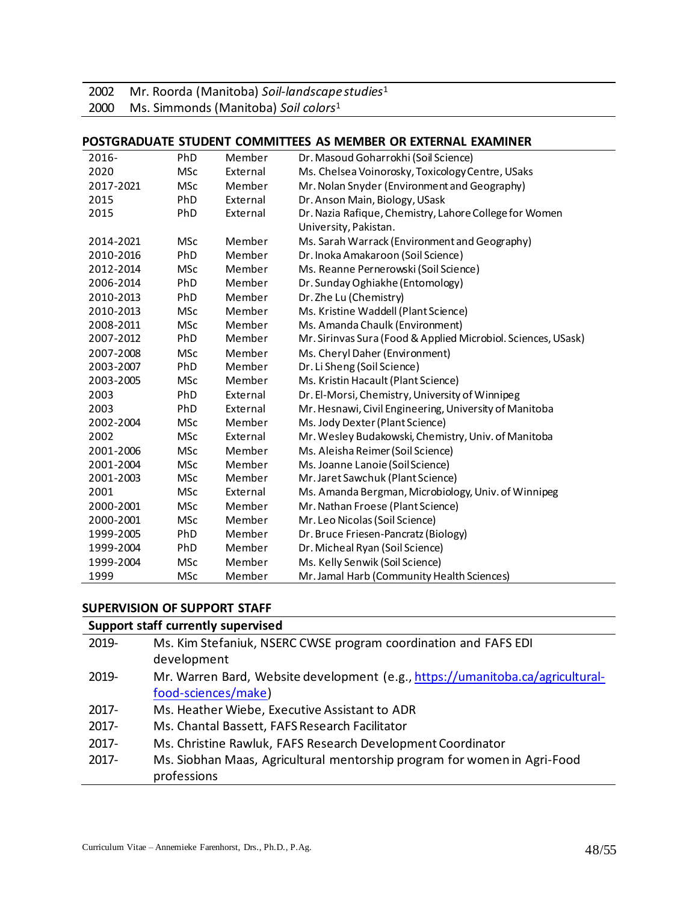2002 Mr. Roorda (Manitoba) *Soil-landscape studies*<sup>1</sup>

2000 Ms. Simmonds (Manitoba) *Soil colors*<sup>1</sup>

#### **POSTGRADUATE STUDENT COMMITTEES AS MEMBER OR EXTERNAL EXAMINER**

| 2016-     | PhD        | Member   | Dr. Masoud Goharrokhi (Soil Science)                          |
|-----------|------------|----------|---------------------------------------------------------------|
| 2020      | <b>MSc</b> | External | Ms. Chelsea Voinorosky, Toxicology Centre, USaks              |
| 2017-2021 | <b>MSc</b> | Member   | Mr. Nolan Snyder (Environment and Geography)                  |
| 2015      | PhD        | External | Dr. Anson Main, Biology, USask                                |
| 2015      | PhD        | External | Dr. Nazia Rafique, Chemistry, Lahore College for Women        |
|           |            |          | University, Pakistan.                                         |
| 2014-2021 | <b>MSc</b> | Member   | Ms. Sarah Warrack (Environment and Geography)                 |
| 2010-2016 | PhD        | Member   | Dr. Inoka Amakaroon (Soil Science)                            |
| 2012-2014 | <b>MSc</b> | Member   | Ms. Reanne Pernerowski (Soil Science)                         |
| 2006-2014 | PhD        | Member   | Dr. Sunday Oghiakhe (Entomology)                              |
| 2010-2013 | PhD        | Member   | Dr. Zhe Lu (Chemistry)                                        |
| 2010-2013 | <b>MSc</b> | Member   | Ms. Kristine Waddell (Plant Science)                          |
| 2008-2011 | <b>MSc</b> | Member   | Ms. Amanda Chaulk (Environment)                               |
| 2007-2012 | PhD        | Member   | Mr. Sirinvas Sura (Food & Applied Microbiol. Sciences, USask) |
| 2007-2008 | <b>MSc</b> | Member   | Ms. Cheryl Daher (Environment)                                |
| 2003-2007 | PhD        | Member   | Dr. Li Sheng (Soil Science)                                   |
| 2003-2005 | <b>MSc</b> | Member   | Ms. Kristin Hacault (Plant Science)                           |
| 2003      | PhD        | External | Dr. El-Morsi, Chemistry, University of Winnipeg               |
| 2003      | PhD        | External | Mr. Hesnawi, Civil Engineering, University of Manitoba        |
| 2002-2004 | <b>MSc</b> | Member   | Ms. Jody Dexter (Plant Science)                               |
| 2002      | <b>MSc</b> | External | Mr. Wesley Budakowski, Chemistry, Univ. of Manitoba           |
| 2001-2006 | <b>MSc</b> | Member   | Ms. Aleisha Reimer (Soil Science)                             |
| 2001-2004 | <b>MSc</b> | Member   | Ms. Joanne Lanoie (Soil Science)                              |
| 2001-2003 | <b>MSc</b> | Member   | Mr. Jaret Sawchuk (Plant Science)                             |
| 2001      | <b>MSc</b> | External | Ms. Amanda Bergman, Microbiology, Univ. of Winnipeg           |
| 2000-2001 | <b>MSc</b> | Member   | Mr. Nathan Froese (Plant Science)                             |
| 2000-2001 | <b>MSc</b> | Member   | Mr. Leo Nicolas (Soil Science)                                |
| 1999-2005 | PhD        | Member   | Dr. Bruce Friesen-Pancratz (Biology)                          |
| 1999-2004 | PhD        | Member   | Dr. Micheal Ryan (Soil Science)                               |
| 1999-2004 | <b>MSc</b> | Member   | Ms. Kelly Senwik (Soil Science)                               |
| 1999      | <b>MSc</b> | Member   | Mr. Jamal Harb (Community Health Sciences)                    |

#### **SUPERVISION OF SUPPORT STAFF**

|          | Support staff currently supervised                                                                    |
|----------|-------------------------------------------------------------------------------------------------------|
| 2019-    | Ms. Kim Stefaniuk, NSERC CWSE program coordination and FAFS EDI<br>development                        |
| 2019-    | Mr. Warren Bard, Website development (e.g., https://umanitoba.ca/agricultural-<br>food-sciences/make) |
| $2017 -$ | Ms. Heather Wiebe, Executive Assistant to ADR                                                         |
| $2017 -$ | Ms. Chantal Bassett, FAFS Research Facilitator                                                        |
| $2017 -$ | Ms. Christine Rawluk, FAFS Research Development Coordinator                                           |
| $2017 -$ | Ms. Siobhan Maas, Agricultural mentorship program for women in Agri-Food<br>professions               |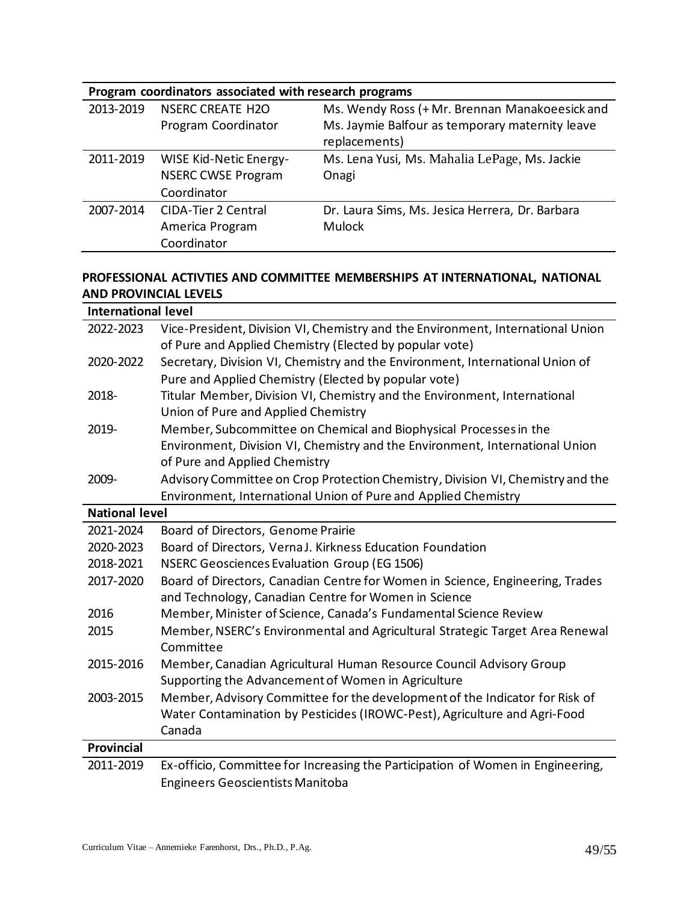| Program coordinators associated with research programs |                               |                                                 |
|--------------------------------------------------------|-------------------------------|-------------------------------------------------|
| 2013-2019                                              | <b>NSERC CREATE H2O</b>       | Ms. Wendy Ross (+ Mr. Brennan Manakoeesick and  |
|                                                        | Program Coordinator           | Ms. Jaymie Balfour as temporary maternity leave |
|                                                        |                               | replacements)                                   |
| 2011-2019                                              | <b>WISE Kid-Netic Energy-</b> | Ms. Lena Yusi, Ms. Mahalia LePage, Ms. Jackie   |
|                                                        | <b>NSERC CWSE Program</b>     | Onagi                                           |
|                                                        | Coordinator                   |                                                 |
| 2007-2014                                              | <b>CIDA-Tier 2 Central</b>    | Dr. Laura Sims, Ms. Jesica Herrera, Dr. Barbara |
|                                                        | America Program               | <b>Mulock</b>                                   |
|                                                        | Coordinator                   |                                                 |

# **PROFESSIONAL ACTIVTIES AND COMMITTEE MEMBERSHIPS AT INTERNATIONAL, NATIONAL AND PROVINCIAL LEVELS**

| <b>International level</b> |                                                                                 |  |
|----------------------------|---------------------------------------------------------------------------------|--|
| 2022-2023                  | Vice-President, Division VI, Chemistry and the Environment, International Union |  |
|                            | of Pure and Applied Chemistry (Elected by popular vote)                         |  |
| 2020-2022                  | Secretary, Division VI, Chemistry and the Environment, International Union of   |  |
|                            | Pure and Applied Chemistry (Elected by popular vote)                            |  |
| 2018-                      | Titular Member, Division VI, Chemistry and the Environment, International       |  |
|                            | Union of Pure and Applied Chemistry                                             |  |
| 2019-                      | Member, Subcommittee on Chemical and Biophysical Processes in the               |  |
|                            | Environment, Division VI, Chemistry and the Environment, International Union    |  |
|                            | of Pure and Applied Chemistry                                                   |  |
| 2009-                      | Advisory Committee on Crop Protection Chemistry, Division VI, Chemistry and the |  |
|                            | Environment, International Union of Pure and Applied Chemistry                  |  |
| <b>National level</b>      |                                                                                 |  |
| 2021-2024                  | Board of Directors, Genome Prairie                                              |  |
| 2020-2023                  | Board of Directors, Verna J. Kirkness Education Foundation                      |  |
| 2018-2021                  | <b>NSERC Geosciences Evaluation Group (EG 1506)</b>                             |  |
| 2017-2020                  | Board of Directors, Canadian Centre for Women in Science, Engineering, Trades   |  |
|                            | and Technology, Canadian Centre for Women in Science                            |  |
| 2016                       | Member, Minister of Science, Canada's Fundamental Science Review                |  |
| 2015                       | Member, NSERC's Environmental and Agricultural Strategic Target Area Renewal    |  |
|                            | Committee                                                                       |  |
| 2015-2016                  | Member, Canadian Agricultural Human Resource Council Advisory Group             |  |
|                            | Supporting the Advancement of Women in Agriculture                              |  |
| 2003-2015                  | Member, Advisory Committee for the development of the Indicator for Risk of     |  |
|                            | Water Contamination by Pesticides (IROWC-Pest), Agriculture and Agri-Food       |  |
|                            | Canada                                                                          |  |
| <b>Provincial</b>          |                                                                                 |  |
| 2011-2019                  | Ex-officio, Committee for Increasing the Participation of Women in Engineering, |  |
|                            | <b>Engineers Geoscientists Manitoba</b>                                         |  |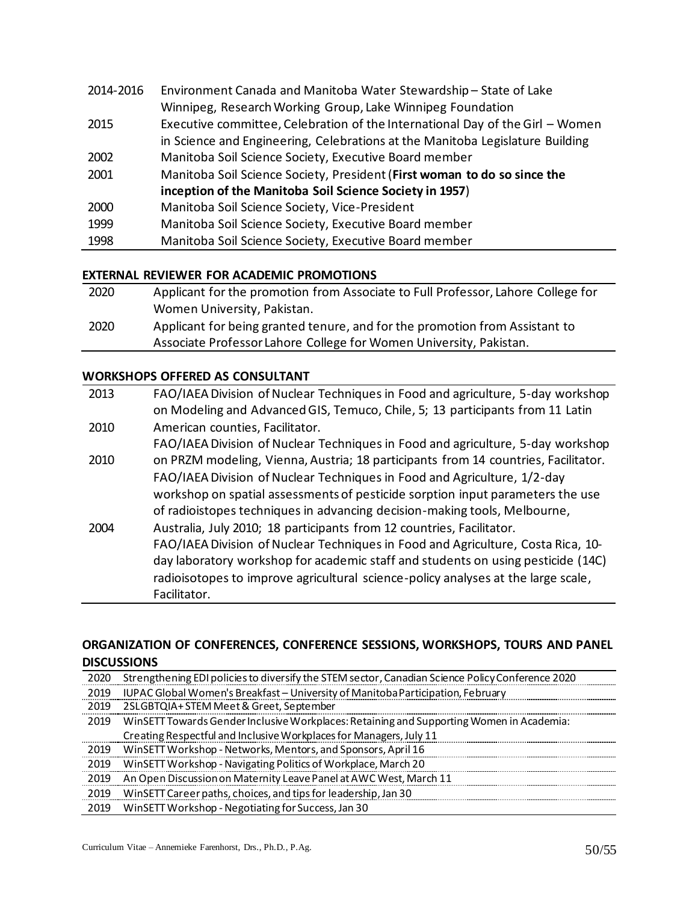| 2014-2016 | Environment Canada and Manitoba Water Stewardship-State of Lake               |
|-----------|-------------------------------------------------------------------------------|
|           | Winnipeg, Research Working Group, Lake Winnipeg Foundation                    |
| 2015      | Executive committee, Celebration of the International Day of the Girl - Women |
|           | in Science and Engineering, Celebrations at the Manitoba Legislature Building |
| 2002      | Manitoba Soil Science Society, Executive Board member                         |
| 2001      | Manitoba Soil Science Society, President (First woman to do so since the      |
|           | inception of the Manitoba Soil Science Society in 1957)                       |
| 2000      | Manitoba Soil Science Society, Vice-President                                 |
| 1999      | Manitoba Soil Science Society, Executive Board member                         |
| 1998      | Manitoba Soil Science Society, Executive Board member                         |

#### **EXTERNAL REVIEWER FOR ACADEMIC PROMOTIONS**

| 2020 | Applicant for the promotion from Associate to Full Professor, Lahore College for |
|------|----------------------------------------------------------------------------------|
|      | Women University, Pakistan.                                                      |
| 2020 | Applicant for being granted tenure, and for the promotion from Assistant to      |
|      | Associate Professor Lahore College for Women University, Pakistan.               |

#### **WORKSHOPS OFFERED AS CONSULTANT**

| 2013 | FAO/IAEA Division of Nuclear Techniques in Food and agriculture, 5-day workshop    |
|------|------------------------------------------------------------------------------------|
|      | on Modeling and Advanced GIS, Temuco, Chile, 5; 13 participants from 11 Latin      |
| 2010 | American counties, Facilitator.                                                    |
|      | FAO/IAEA Division of Nuclear Techniques in Food and agriculture, 5-day workshop    |
| 2010 | on PRZM modeling, Vienna, Austria; 18 participants from 14 countries, Facilitator. |
|      | FAO/IAEA Division of Nuclear Techniques in Food and Agriculture, 1/2-day           |
|      | workshop on spatial assessments of pesticide sorption input parameters the use     |
|      | of radioistopes techniques in advancing decision-making tools, Melbourne,          |
| 2004 | Australia, July 2010; 18 participants from 12 countries, Facilitator.              |
|      | FAO/IAEA Division of Nuclear Techniques in Food and Agriculture, Costa Rica, 10-   |
|      | day laboratory workshop for academic staff and students on using pesticide (14C)   |
|      | radioisotopes to improve agricultural science-policy analyses at the large scale,  |
|      | Facilitator.                                                                       |

# **ORGANIZATION OF CONFERENCES, CONFERENCE SESSIONS, WORKSHOPS, TOURS AND PANEL DISCUSSIONS**

| 2020 | Strengthening EDI policies to diversify the STEM sector, Canadian Science Policy Conference 2020 |
|------|--------------------------------------------------------------------------------------------------|
|      | 2019 IUPAC Global Women's Breakfast - University of Manitoba Participation, February             |
| 2019 | 2SLGBTQIA+STEM Meet & Greet, September                                                           |
| 2019 | WinSETT Towards Gender Inclusive Workplaces: Retaining and Supporting Women in Academia:         |
|      | Creating Respectful and Inclusive Workplaces for Managers, July 11                               |
|      | 2019 WinSETT Workshop - Networks, Mentors, and Sponsors, April 16                                |
| 2019 | WinSETT Workshop - Navigating Politics of Workplace, March 20                                    |
| 2019 | An Open Discussion on Maternity Leave Panel at AWC West, March 11                                |
| 2019 | WinSETT Career paths, choices, and tips for leadership, Jan 30                                   |
| 2019 | WinSETT Workshop - Negotiating for Success, Jan 30                                               |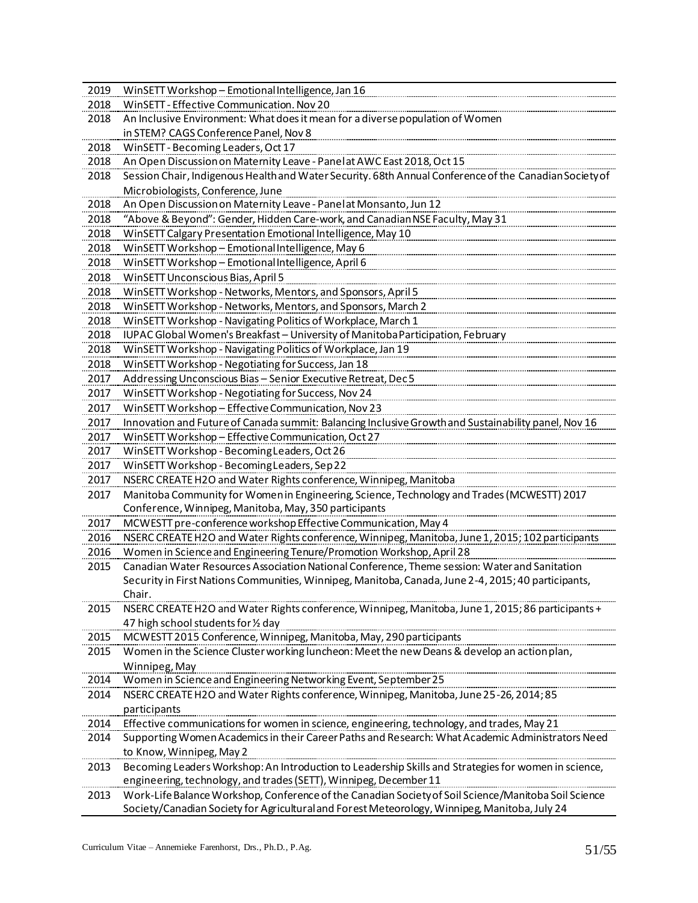| 2019 | WinSETT Workshop - Emotional Intelligence, Jan 16                                                                                                                         |
|------|---------------------------------------------------------------------------------------------------------------------------------------------------------------------------|
| 2018 | WinSETT - Effective Communication. Nov 20                                                                                                                                 |
| 2018 | An Inclusive Environment: What does it mean for a diverse population of Women                                                                                             |
|      | in STEM? CAGS Conference Panel, Nov 8                                                                                                                                     |
| 2018 | WinSETT - Becoming Leaders, Oct 17                                                                                                                                        |
| 2018 | An Open Discussion on Maternity Leave - Panel at AWC East 2018, Oct 15                                                                                                    |
| 2018 | Session Chair, Indigenous Health and Water Security. 68th Annual Conference of the Canadian Society of                                                                    |
|      | Microbiologists, Conference, June                                                                                                                                         |
| 2018 | An Open Discussion on Maternity Leave - Panel at Monsanto, Jun 12                                                                                                         |
| 2018 | "Above & Beyond": Gender, Hidden Care-work, and Canadian NSE Faculty, May 31                                                                                              |
| 2018 | WinSETT Calgary Presentation Emotional Intelligence, May 10                                                                                                               |
| 2018 | WinSETT Workshop - Emotional Intelligence, May 6                                                                                                                          |
| 2018 | WinSETT Workshop - Emotional Intelligence, April 6                                                                                                                        |
| 2018 | WinSETT Unconscious Bias, April 5                                                                                                                                         |
| 2018 | WinSETT Workshop - Networks, Mentors, and Sponsors, April 5                                                                                                               |
| 2018 | WinSETT Workshop - Networks, Mentors, and Sponsors, March 2                                                                                                               |
| 2018 | WinSETT Workshop - Navigating Politics of Workplace, March 1                                                                                                              |
| 2018 | IUPAC Global Women's Breakfast - University of Manitoba Participation, February                                                                                           |
| 2018 | WinSETT Workshop - Navigating Politics of Workplace, Jan 19                                                                                                               |
| 2018 | WinSETT Workshop - Negotiating for Success, Jan 18                                                                                                                        |
| 2017 | Addressing Unconscious Bias - Senior Executive Retreat, Dec 5                                                                                                             |
| 2017 | WinSETT Workshop - Negotiating for Success, Nov 24                                                                                                                        |
| 2017 | WinSETT Workshop - Effective Communication, Nov 23                                                                                                                        |
| 2017 | Innovation and Future of Canada summit: Balancing Inclusive Growth and Sustainability panel, Nov 16                                                                       |
| 2017 | WinSETT Workshop - Effective Communication, Oct 27                                                                                                                        |
| 2017 | WinSETT Workshop - Becoming Leaders, Oct 26                                                                                                                               |
| 2017 | WinSETT Workshop - Becoming Leaders, Sep 22                                                                                                                               |
| 2017 | NSERC CREATE H2O and Water Rights conference, Winnipeg, Manitoba                                                                                                          |
| 2017 | Manitoba Community for Womenin Engineering, Science, Technology and Trades (MCWESTT) 2017                                                                                 |
|      | Conference, Winnipeg, Manitoba, May, 350 participants                                                                                                                     |
| 2017 | MCWESTT pre-conference workshop Effective Communication, May 4                                                                                                            |
| 2016 | NSERC CREATE H2O and Water Rights conference, Winnipeg, Manitoba, June 1, 2015; 102 participants                                                                          |
| 2016 | Women in Science and Engineering Tenure/Promotion Workshop, April 28                                                                                                      |
| 2015 | Canadian Water Resources Association National Conference, Theme session: Water and Sanitation                                                                             |
|      | Security in First Nations Communities, Winnipeg, Manitoba, Canada, June 2-4, 2015; 40 participants,                                                                       |
|      | Chair.                                                                                                                                                                    |
| 2015 | NSERC CREATE H2O and Water Rights conference, Winnipeg, Manitoba, June 1, 2015; 86 participants +                                                                         |
|      | 47 high school students for 1/2 day                                                                                                                                       |
| 2015 | MCWESTT 2015 Conference, Winnipeg, Manitoba, May, 290 participants                                                                                                        |
| 2015 | Women in the Science Cluster working luncheon: Meet the new Deans & develop an action plan,                                                                               |
|      | Winnipeg, May<br>Women in Science and Engineering Networking Event, September 25                                                                                          |
| 2014 |                                                                                                                                                                           |
| 2014 | NSERC CREATE H2O and Water Rights conference, Winnipeg, Manitoba, June 25-26, 2014; 85                                                                                    |
| .    | participants                                                                                                                                                              |
| 2014 | Effective communications for women in science, engineering, technology, and trades, May 21                                                                                |
| 2014 | Supporting Women Academics in their Career Paths and Research: What Academic Administrators Need                                                                          |
|      | to Know, Winnipeg, May 2                                                                                                                                                  |
| 2013 | Becoming Leaders Workshop: An Introduction to Leadership Skills and Strategies for women in science,<br>engineering, technology, and trades (SETT), Winnipeg, December 11 |
|      | Work-Life Balance Workshop, Conference of the Canadian Society of Soil Science/Manitoba Soil Science                                                                      |
| 2013 | Society/Canadian Society for Agricultural and Forest Meteorology, Winnipeg, Manitoba, July 24                                                                             |
|      |                                                                                                                                                                           |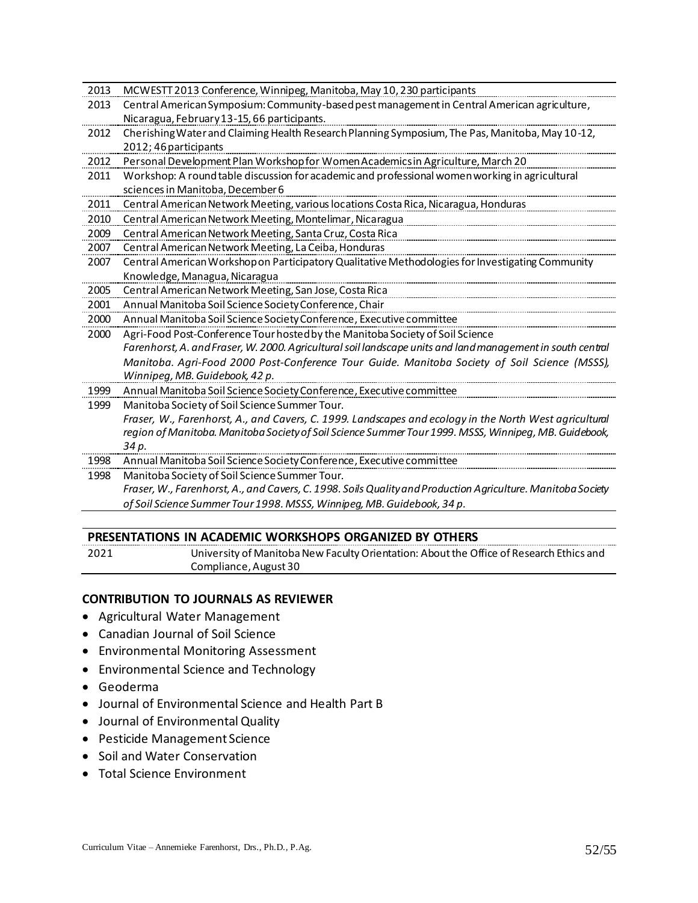| 2013 | MCWESTT 2013 Conference, Winnipeg, Manitoba, May 10, 230 participants                                       |
|------|-------------------------------------------------------------------------------------------------------------|
| 2013 | Central American Symposium: Community-based pest management in Central American agriculture,                |
|      | Nicaragua, February 13-15, 66 participants.                                                                 |
| 2012 | Cherishing Water and Claiming Health Research Planning Symposium, The Pas, Manitoba, May 10-12,             |
|      | 2012; 46 participants                                                                                       |
| 2012 | Personal Development Plan Workshop for Women Academics in Agriculture, March 20                             |
| 2011 | Workshop: A round table discussion for academic and professional women working in agricultural              |
|      | sciences in Manitoba, December 6                                                                            |
| 2011 | Central American Network Meeting, various locations Costa Rica, Nicaragua, Honduras                         |
| 2010 | Central American Network Meeting, Montelimar, Nicaragua                                                     |
| 2009 | Central American Network Meeting, Santa Cruz, Costa Rica                                                    |
| 2007 | Central American Network Meeting, La Ceiba, Honduras                                                        |
| 2007 | Central American Workshop on Participatory Qualitative Methodologies for Investigating Community            |
|      | Knowledge, Managua, Nicaragua                                                                               |
| 2005 | Central American Network Meeting, San Jose, Costa Rica                                                      |
| 2001 | Annual Manitoba Soil Science Society Conference, Chair                                                      |
| 2000 | Annual Manitoba Soil Science Society Conference, Executive committee                                        |
| 2000 | Agri-Food Post-Conference Tour hosted by the Manitoba Society of Soil Science                               |
|      | Farenhorst, A. and Fraser, W. 2000. Agricultural soil landscape units and land management in south central  |
|      | Manitoba. Agri-Food 2000 Post-Conference Tour Guide. Manitoba Society of Soil Science (MSSS),               |
|      | Winnipeg, MB. Guidebook, 42 p.                                                                              |
| 1999 | Annual Manitoba Soil Science Society Conference, Executive committee                                        |
| 1999 | Manitoba Society of Soil Science Summer Tour.                                                               |
|      | Fraser, W., Farenhorst, A., and Cavers, C. 1999. Landscapes and ecology in the North West agricultural      |
|      | region of Manitoba. Manitoba Society of Soil Science Summer Tour 1999. MSSS, Winnipeg, MB. Guidebook,       |
|      | 34 p.                                                                                                       |
| 1998 | Annual Manitoba Soil Science Society Conference, Executive committee                                        |
| 1998 | Manitoba Society of Soil Science Summer Tour.                                                               |
|      | Fraser, W., Farenhorst, A., and Cavers, C. 1998. Soils Quality and Production Agriculture. Manitoba Society |
|      | of Soil Science Summer Tour 1998. MSSS, Winnipeg, MB. Guidebook, 34 p.                                      |
|      |                                                                                                             |

#### **PRESENTATIONS IN ACADEMIC WORKSHOPS ORGANIZED BY OTHERS**

2021 University of Manitoba New Faculty Orientation: About the Office of Research Ethics and Compliance, August 30

#### **CONTRIBUTION TO JOURNALS AS REVIEWER**

- Agricultural Water Management
- Canadian Journal of Soil Science
- Environmental Monitoring Assessment
- Environmental Science and Technology
- Geoderma
- Journal of Environmental Science and Health Part B
- Journal of Environmental Quality
- Pesticide Management Science
- Soil and Water Conservation
- Total Science Environment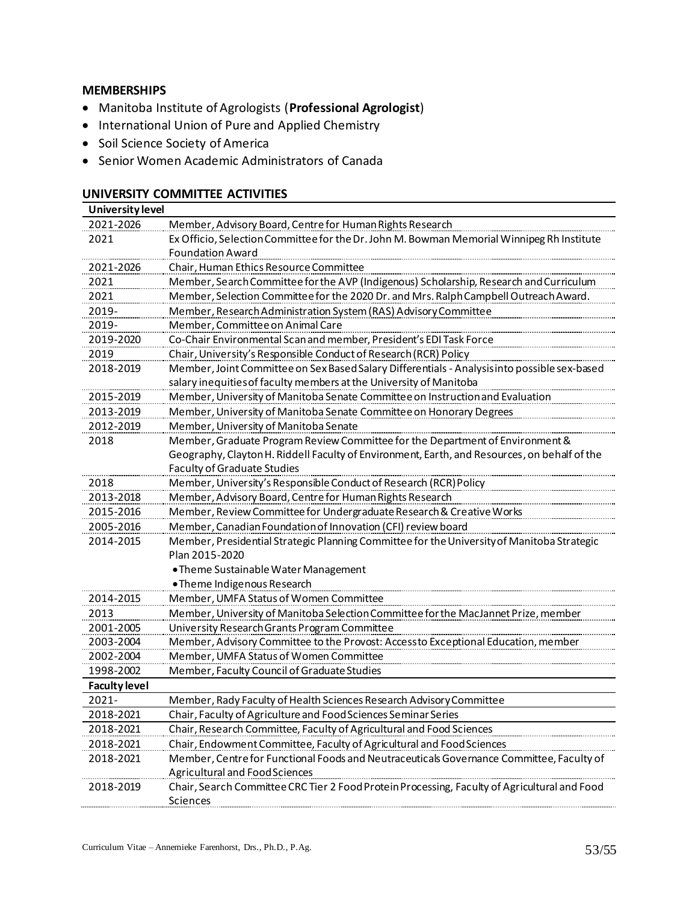#### **MEMBERSHIPS**

- Manitoba Institute of Agrologists (**Professional Agrologist**)
- International Union of Pure and Applied Chemistry
- Soil Science Society of America
- Senior Women Academic Administrators of Canada

### **UNIVERSITY COMMITTEE ACTIVITIES**

| University level     |                                                                                              |
|----------------------|----------------------------------------------------------------------------------------------|
| 2021-2026            | Member, Advisory Board, Centrefor Human Rights Research                                      |
| 2021                 | Ex Officio, Selection Committee for the Dr. John M. Bowman Memorial Winnipeg Rh Institute    |
|                      | <b>Foundation Award</b>                                                                      |
| 2021-2026            | Chair, Human Ethics Resource Committee                                                       |
| 2021                 | Member, Search Committee for the AVP (Indigenous) Scholarship, Research and Curriculum       |
| 2021                 | Member, Selection Committee for the 2020 Dr. and Mrs. Ralph Campbell Outreach Award.         |
| 2019-                | Member, Research Administration System (RAS) Advisory Committee                              |
| 2019-                | Member, Committee on Animal Care                                                             |
| 2019-2020            | Co-Chair Environmental Scan and member, President's EDI Task Force                           |
| 2019                 | Chair, University's Responsible Conduct of Research (RCR) Policy                             |
| 2018-2019            | Member, Joint Committee on Sex Based Salary Differentials - Analysis into possible sex-based |
|                      | salary inequities of faculty members at the University of Manitoba                           |
| 2015-2019            | Member, University of Manitoba Senate Committee on Instruction and Evaluation                |
| 2013-2019            | Member, University of Manitoba Senate Committee on Honorary Degrees                          |
| 2012-2019            | Member, University of Manitoba Senate                                                        |
| 2018                 | Member, Graduate Program Review Committee for the Department of Environment &                |
|                      | Geography, Clayton H. Riddell Faculty of Environment, Earth, and Resources, on behalf of the |
|                      | <b>Faculty of Graduate Studies</b>                                                           |
| 2018                 | Member, University's Responsible Conduct of Research (RCR) Policy                            |
| 2013-2018            | Member, Advisory Board, Centre for Human Rights Research                                     |
| 2015-2016            | Member, Review Committee for Undergraduate Research & Creative Works                         |
| 2005-2016            | Member, Canadian Foundation of Innovation (CFI) review board                                 |
| 2014-2015            | Member, Presidential Strategic Planning Committee for the University of Manitoba Strategic   |
|                      | Plan 2015-2020                                                                               |
|                      | . Theme Sustainable Water Management                                                         |
|                      | . Theme Indigenous Research                                                                  |
| 2014-2015            | Member, UMFA Status of Women Committee                                                       |
| 2013                 | Member, University of Manitoba Selection Committee for the MacJannet Prize, member           |
| 2001-2005            | University Research Grants Program Committee                                                 |
| 2003-2004            | Member, Advisory Committee to the Provost: Accessto Exceptional Education, member            |
| 2002-2004            | Member, UMFA Status of Women Committee                                                       |
| 1998-2002            | Member, Faculty Council of Graduate Studies                                                  |
| <b>Faculty level</b> |                                                                                              |
| $2021 -$             | Member, Rady Faculty of Health Sciences Research Advisory Committee                          |
| 2018-2021            | Chair, Faculty of Agriculture and Food Sciences Seminar Series                               |
| 2018-2021            | Chair, Research Committee, Faculty of Agricultural and Food Sciences                         |
| 2018-2021            | Chair, Endowment Committee, Faculty of Agricultural and Food Sciences                        |
| 2018-2021            | Member, Centre for Functional Foods and Neutraceuticals Governance Committee, Faculty of     |
|                      | <b>Agricultural and Food Sciences</b>                                                        |
| 2018-2019            | Chair, Search Committee CRC Tier 2 Food Protein Processing, Faculty of Agricultural and Food |
|                      | Sciences                                                                                     |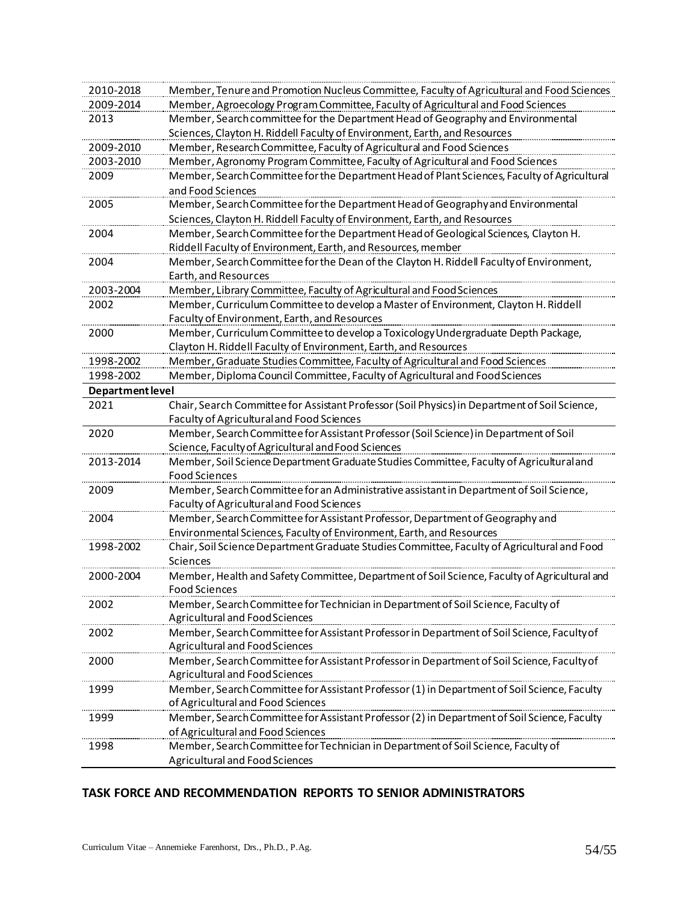| Member, Agroecology Program Committee, Faculty of Agricultural and Food Sciences<br>2009-2014<br>Member, Search committee for the Department Head of Geography and Environmental<br>2013<br>Sciences, Clayton H. Riddell Faculty of Environment, Earth, and Resources<br>Member, Research Committee, Faculty of Agricultural and Food Sciences<br>2009-2010<br>Member, Agronomy Program Committee, Faculty of Agricultural and Food Sciences<br>2003-2010<br>Member, Search Committee for the Department Head of Plant Sciences, Faculty of Agricultural<br>2009<br>and Food Sciences<br>Member, Search Committee for the Department Head of Geography and Environmental<br>2005<br>Sciences, Clayton H. Riddell Faculty of Environment, Earth, and Resources<br>Member, Search Committee for the Department Head of Geological Sciences, Clayton H.<br>2004<br>Riddell Faculty of Environment, Earth, and Resources, member<br>Member, Search Committee for the Dean of the Clayton H. Riddell Faculty of Environment,<br>2004<br>Earth, and Resources<br>Member, Library Committee, Faculty of Agricultural and Food Sciences<br>2003-2004<br>Member, Curriculum Committee to develop a Master of Environment, Clayton H. Riddell<br>2002<br>Faculty of Environment, Earth, and Resources<br>Member, Curriculum Committee to develop a Toxicology Undergraduate Depth Package,<br>2000<br>Clayton H. Riddell Faculty of Environment, Earth, and Resources<br>Member, Graduate Studies Committee, Faculty of Agricultural and Food Sciences<br>1998-2002<br>Member, Diploma Council Committee, Faculty of Agricultural and Food Sciences<br>1998-2002<br>Department level<br>Chair, Search Committee for Assistant Professor (Soil Physics) in Department of Soil Science,<br>2021<br>Faculty of Agricultural and Food Sciences<br>2020<br>Member, Search Committee for Assistant Professor (Soil Science) in Department of Soil<br>Science, Faculty of Agricultural and Food Sciences<br>2013-2014<br>Member, Soil Science Department Graduate Studies Committee, Faculty of Agricultural and<br><b>Food Sciences</b><br>Member, Search Committee for an Administrative assistant in Department of Soil Science,<br>2009<br>Faculty of Agricultural and Food Sciences<br>Member, Search Committee for Assistant Professor, Department of Geography and<br>2004<br>Environmental Sciences, Faculty of Environment, Earth, and Resources<br>Chair, Soil Science Department Graduate Studies Committee, Faculty of Agricultural and Food<br>1998-2002<br>Sciences<br>Member, Health and Safety Committee, Department of Soil Science, Faculty of Agricultural and<br>2000-2004<br><b>Food Sciences</b><br>Member, Search Committee for Technician in Department of Soil Science, Faculty of<br>2002<br><b>Agricultural and Food Sciences</b><br>Member, Search Committee for Assistant Professor in Department of Soil Science, Faculty of<br>2002<br><b>Agricultural and Food Sciences</b><br>Member, Search Committee for Assistant Professor in Department of Soil Science, Faculty of<br>2000<br>Agricultural and Food Sciences<br>Member, Search Committee for Assistant Professor (1) in Department of Soil Science, Faculty<br>1999<br>of Agricultural and Food Sciences<br>Member, Search Committee for Assistant Professor (2) in Department of Soil Science, Faculty<br>1999<br>of Agricultural and Food Sciences<br>Member, Search Committee for Technician in Department of Soil Science, Faculty of<br>1998<br>Agricultural and Food Sciences | 2010-2018 | Member, Tenure and Promotion Nucleus Committee, Faculty of Agricultural and Food Sciences |
|-----------------------------------------------------------------------------------------------------------------------------------------------------------------------------------------------------------------------------------------------------------------------------------------------------------------------------------------------------------------------------------------------------------------------------------------------------------------------------------------------------------------------------------------------------------------------------------------------------------------------------------------------------------------------------------------------------------------------------------------------------------------------------------------------------------------------------------------------------------------------------------------------------------------------------------------------------------------------------------------------------------------------------------------------------------------------------------------------------------------------------------------------------------------------------------------------------------------------------------------------------------------------------------------------------------------------------------------------------------------------------------------------------------------------------------------------------------------------------------------------------------------------------------------------------------------------------------------------------------------------------------------------------------------------------------------------------------------------------------------------------------------------------------------------------------------------------------------------------------------------------------------------------------------------------------------------------------------------------------------------------------------------------------------------------------------------------------------------------------------------------------------------------------------------------------------------------------------------------------------------------------------------------------------------------------------------------------------------------------------------------------------------------------------------------------------------------------------------------------------------------------------------------------------------------------------------------------------------------------------------------------------------------------------------------------------------------------------------------------------------------------------------------------------------------------------------------------------------------------------------------------------------------------------------------------------------------------------------------------------------------------------------------------------------------------------------------------------------------------------------------------------------------------------------------------------------------------------------------------------------------------------------------------------------------------------------------------------------------------------------------------------------------------------------------------------------------------------------------------------------------------------------------------------------------------|-----------|-------------------------------------------------------------------------------------------|
|                                                                                                                                                                                                                                                                                                                                                                                                                                                                                                                                                                                                                                                                                                                                                                                                                                                                                                                                                                                                                                                                                                                                                                                                                                                                                                                                                                                                                                                                                                                                                                                                                                                                                                                                                                                                                                                                                                                                                                                                                                                                                                                                                                                                                                                                                                                                                                                                                                                                                                                                                                                                                                                                                                                                                                                                                                                                                                                                                                                                                                                                                                                                                                                                                                                                                                                                                                                                                                                                                                                                                           |           |                                                                                           |
|                                                                                                                                                                                                                                                                                                                                                                                                                                                                                                                                                                                                                                                                                                                                                                                                                                                                                                                                                                                                                                                                                                                                                                                                                                                                                                                                                                                                                                                                                                                                                                                                                                                                                                                                                                                                                                                                                                                                                                                                                                                                                                                                                                                                                                                                                                                                                                                                                                                                                                                                                                                                                                                                                                                                                                                                                                                                                                                                                                                                                                                                                                                                                                                                                                                                                                                                                                                                                                                                                                                                                           |           |                                                                                           |
|                                                                                                                                                                                                                                                                                                                                                                                                                                                                                                                                                                                                                                                                                                                                                                                                                                                                                                                                                                                                                                                                                                                                                                                                                                                                                                                                                                                                                                                                                                                                                                                                                                                                                                                                                                                                                                                                                                                                                                                                                                                                                                                                                                                                                                                                                                                                                                                                                                                                                                                                                                                                                                                                                                                                                                                                                                                                                                                                                                                                                                                                                                                                                                                                                                                                                                                                                                                                                                                                                                                                                           |           |                                                                                           |
|                                                                                                                                                                                                                                                                                                                                                                                                                                                                                                                                                                                                                                                                                                                                                                                                                                                                                                                                                                                                                                                                                                                                                                                                                                                                                                                                                                                                                                                                                                                                                                                                                                                                                                                                                                                                                                                                                                                                                                                                                                                                                                                                                                                                                                                                                                                                                                                                                                                                                                                                                                                                                                                                                                                                                                                                                                                                                                                                                                                                                                                                                                                                                                                                                                                                                                                                                                                                                                                                                                                                                           |           |                                                                                           |
|                                                                                                                                                                                                                                                                                                                                                                                                                                                                                                                                                                                                                                                                                                                                                                                                                                                                                                                                                                                                                                                                                                                                                                                                                                                                                                                                                                                                                                                                                                                                                                                                                                                                                                                                                                                                                                                                                                                                                                                                                                                                                                                                                                                                                                                                                                                                                                                                                                                                                                                                                                                                                                                                                                                                                                                                                                                                                                                                                                                                                                                                                                                                                                                                                                                                                                                                                                                                                                                                                                                                                           |           |                                                                                           |
|                                                                                                                                                                                                                                                                                                                                                                                                                                                                                                                                                                                                                                                                                                                                                                                                                                                                                                                                                                                                                                                                                                                                                                                                                                                                                                                                                                                                                                                                                                                                                                                                                                                                                                                                                                                                                                                                                                                                                                                                                                                                                                                                                                                                                                                                                                                                                                                                                                                                                                                                                                                                                                                                                                                                                                                                                                                                                                                                                                                                                                                                                                                                                                                                                                                                                                                                                                                                                                                                                                                                                           |           |                                                                                           |
|                                                                                                                                                                                                                                                                                                                                                                                                                                                                                                                                                                                                                                                                                                                                                                                                                                                                                                                                                                                                                                                                                                                                                                                                                                                                                                                                                                                                                                                                                                                                                                                                                                                                                                                                                                                                                                                                                                                                                                                                                                                                                                                                                                                                                                                                                                                                                                                                                                                                                                                                                                                                                                                                                                                                                                                                                                                                                                                                                                                                                                                                                                                                                                                                                                                                                                                                                                                                                                                                                                                                                           |           |                                                                                           |
|                                                                                                                                                                                                                                                                                                                                                                                                                                                                                                                                                                                                                                                                                                                                                                                                                                                                                                                                                                                                                                                                                                                                                                                                                                                                                                                                                                                                                                                                                                                                                                                                                                                                                                                                                                                                                                                                                                                                                                                                                                                                                                                                                                                                                                                                                                                                                                                                                                                                                                                                                                                                                                                                                                                                                                                                                                                                                                                                                                                                                                                                                                                                                                                                                                                                                                                                                                                                                                                                                                                                                           |           |                                                                                           |
|                                                                                                                                                                                                                                                                                                                                                                                                                                                                                                                                                                                                                                                                                                                                                                                                                                                                                                                                                                                                                                                                                                                                                                                                                                                                                                                                                                                                                                                                                                                                                                                                                                                                                                                                                                                                                                                                                                                                                                                                                                                                                                                                                                                                                                                                                                                                                                                                                                                                                                                                                                                                                                                                                                                                                                                                                                                                                                                                                                                                                                                                                                                                                                                                                                                                                                                                                                                                                                                                                                                                                           |           |                                                                                           |
|                                                                                                                                                                                                                                                                                                                                                                                                                                                                                                                                                                                                                                                                                                                                                                                                                                                                                                                                                                                                                                                                                                                                                                                                                                                                                                                                                                                                                                                                                                                                                                                                                                                                                                                                                                                                                                                                                                                                                                                                                                                                                                                                                                                                                                                                                                                                                                                                                                                                                                                                                                                                                                                                                                                                                                                                                                                                                                                                                                                                                                                                                                                                                                                                                                                                                                                                                                                                                                                                                                                                                           |           |                                                                                           |
|                                                                                                                                                                                                                                                                                                                                                                                                                                                                                                                                                                                                                                                                                                                                                                                                                                                                                                                                                                                                                                                                                                                                                                                                                                                                                                                                                                                                                                                                                                                                                                                                                                                                                                                                                                                                                                                                                                                                                                                                                                                                                                                                                                                                                                                                                                                                                                                                                                                                                                                                                                                                                                                                                                                                                                                                                                                                                                                                                                                                                                                                                                                                                                                                                                                                                                                                                                                                                                                                                                                                                           |           |                                                                                           |
|                                                                                                                                                                                                                                                                                                                                                                                                                                                                                                                                                                                                                                                                                                                                                                                                                                                                                                                                                                                                                                                                                                                                                                                                                                                                                                                                                                                                                                                                                                                                                                                                                                                                                                                                                                                                                                                                                                                                                                                                                                                                                                                                                                                                                                                                                                                                                                                                                                                                                                                                                                                                                                                                                                                                                                                                                                                                                                                                                                                                                                                                                                                                                                                                                                                                                                                                                                                                                                                                                                                                                           |           |                                                                                           |
|                                                                                                                                                                                                                                                                                                                                                                                                                                                                                                                                                                                                                                                                                                                                                                                                                                                                                                                                                                                                                                                                                                                                                                                                                                                                                                                                                                                                                                                                                                                                                                                                                                                                                                                                                                                                                                                                                                                                                                                                                                                                                                                                                                                                                                                                                                                                                                                                                                                                                                                                                                                                                                                                                                                                                                                                                                                                                                                                                                                                                                                                                                                                                                                                                                                                                                                                                                                                                                                                                                                                                           |           |                                                                                           |
|                                                                                                                                                                                                                                                                                                                                                                                                                                                                                                                                                                                                                                                                                                                                                                                                                                                                                                                                                                                                                                                                                                                                                                                                                                                                                                                                                                                                                                                                                                                                                                                                                                                                                                                                                                                                                                                                                                                                                                                                                                                                                                                                                                                                                                                                                                                                                                                                                                                                                                                                                                                                                                                                                                                                                                                                                                                                                                                                                                                                                                                                                                                                                                                                                                                                                                                                                                                                                                                                                                                                                           |           |                                                                                           |
|                                                                                                                                                                                                                                                                                                                                                                                                                                                                                                                                                                                                                                                                                                                                                                                                                                                                                                                                                                                                                                                                                                                                                                                                                                                                                                                                                                                                                                                                                                                                                                                                                                                                                                                                                                                                                                                                                                                                                                                                                                                                                                                                                                                                                                                                                                                                                                                                                                                                                                                                                                                                                                                                                                                                                                                                                                                                                                                                                                                                                                                                                                                                                                                                                                                                                                                                                                                                                                                                                                                                                           |           |                                                                                           |
|                                                                                                                                                                                                                                                                                                                                                                                                                                                                                                                                                                                                                                                                                                                                                                                                                                                                                                                                                                                                                                                                                                                                                                                                                                                                                                                                                                                                                                                                                                                                                                                                                                                                                                                                                                                                                                                                                                                                                                                                                                                                                                                                                                                                                                                                                                                                                                                                                                                                                                                                                                                                                                                                                                                                                                                                                                                                                                                                                                                                                                                                                                                                                                                                                                                                                                                                                                                                                                                                                                                                                           |           |                                                                                           |
|                                                                                                                                                                                                                                                                                                                                                                                                                                                                                                                                                                                                                                                                                                                                                                                                                                                                                                                                                                                                                                                                                                                                                                                                                                                                                                                                                                                                                                                                                                                                                                                                                                                                                                                                                                                                                                                                                                                                                                                                                                                                                                                                                                                                                                                                                                                                                                                                                                                                                                                                                                                                                                                                                                                                                                                                                                                                                                                                                                                                                                                                                                                                                                                                                                                                                                                                                                                                                                                                                                                                                           |           |                                                                                           |
|                                                                                                                                                                                                                                                                                                                                                                                                                                                                                                                                                                                                                                                                                                                                                                                                                                                                                                                                                                                                                                                                                                                                                                                                                                                                                                                                                                                                                                                                                                                                                                                                                                                                                                                                                                                                                                                                                                                                                                                                                                                                                                                                                                                                                                                                                                                                                                                                                                                                                                                                                                                                                                                                                                                                                                                                                                                                                                                                                                                                                                                                                                                                                                                                                                                                                                                                                                                                                                                                                                                                                           |           |                                                                                           |
|                                                                                                                                                                                                                                                                                                                                                                                                                                                                                                                                                                                                                                                                                                                                                                                                                                                                                                                                                                                                                                                                                                                                                                                                                                                                                                                                                                                                                                                                                                                                                                                                                                                                                                                                                                                                                                                                                                                                                                                                                                                                                                                                                                                                                                                                                                                                                                                                                                                                                                                                                                                                                                                                                                                                                                                                                                                                                                                                                                                                                                                                                                                                                                                                                                                                                                                                                                                                                                                                                                                                                           |           |                                                                                           |
|                                                                                                                                                                                                                                                                                                                                                                                                                                                                                                                                                                                                                                                                                                                                                                                                                                                                                                                                                                                                                                                                                                                                                                                                                                                                                                                                                                                                                                                                                                                                                                                                                                                                                                                                                                                                                                                                                                                                                                                                                                                                                                                                                                                                                                                                                                                                                                                                                                                                                                                                                                                                                                                                                                                                                                                                                                                                                                                                                                                                                                                                                                                                                                                                                                                                                                                                                                                                                                                                                                                                                           |           |                                                                                           |
|                                                                                                                                                                                                                                                                                                                                                                                                                                                                                                                                                                                                                                                                                                                                                                                                                                                                                                                                                                                                                                                                                                                                                                                                                                                                                                                                                                                                                                                                                                                                                                                                                                                                                                                                                                                                                                                                                                                                                                                                                                                                                                                                                                                                                                                                                                                                                                                                                                                                                                                                                                                                                                                                                                                                                                                                                                                                                                                                                                                                                                                                                                                                                                                                                                                                                                                                                                                                                                                                                                                                                           |           |                                                                                           |
|                                                                                                                                                                                                                                                                                                                                                                                                                                                                                                                                                                                                                                                                                                                                                                                                                                                                                                                                                                                                                                                                                                                                                                                                                                                                                                                                                                                                                                                                                                                                                                                                                                                                                                                                                                                                                                                                                                                                                                                                                                                                                                                                                                                                                                                                                                                                                                                                                                                                                                                                                                                                                                                                                                                                                                                                                                                                                                                                                                                                                                                                                                                                                                                                                                                                                                                                                                                                                                                                                                                                                           |           |                                                                                           |
|                                                                                                                                                                                                                                                                                                                                                                                                                                                                                                                                                                                                                                                                                                                                                                                                                                                                                                                                                                                                                                                                                                                                                                                                                                                                                                                                                                                                                                                                                                                                                                                                                                                                                                                                                                                                                                                                                                                                                                                                                                                                                                                                                                                                                                                                                                                                                                                                                                                                                                                                                                                                                                                                                                                                                                                                                                                                                                                                                                                                                                                                                                                                                                                                                                                                                                                                                                                                                                                                                                                                                           |           |                                                                                           |
|                                                                                                                                                                                                                                                                                                                                                                                                                                                                                                                                                                                                                                                                                                                                                                                                                                                                                                                                                                                                                                                                                                                                                                                                                                                                                                                                                                                                                                                                                                                                                                                                                                                                                                                                                                                                                                                                                                                                                                                                                                                                                                                                                                                                                                                                                                                                                                                                                                                                                                                                                                                                                                                                                                                                                                                                                                                                                                                                                                                                                                                                                                                                                                                                                                                                                                                                                                                                                                                                                                                                                           |           |                                                                                           |
|                                                                                                                                                                                                                                                                                                                                                                                                                                                                                                                                                                                                                                                                                                                                                                                                                                                                                                                                                                                                                                                                                                                                                                                                                                                                                                                                                                                                                                                                                                                                                                                                                                                                                                                                                                                                                                                                                                                                                                                                                                                                                                                                                                                                                                                                                                                                                                                                                                                                                                                                                                                                                                                                                                                                                                                                                                                                                                                                                                                                                                                                                                                                                                                                                                                                                                                                                                                                                                                                                                                                                           |           |                                                                                           |
|                                                                                                                                                                                                                                                                                                                                                                                                                                                                                                                                                                                                                                                                                                                                                                                                                                                                                                                                                                                                                                                                                                                                                                                                                                                                                                                                                                                                                                                                                                                                                                                                                                                                                                                                                                                                                                                                                                                                                                                                                                                                                                                                                                                                                                                                                                                                                                                                                                                                                                                                                                                                                                                                                                                                                                                                                                                                                                                                                                                                                                                                                                                                                                                                                                                                                                                                                                                                                                                                                                                                                           |           |                                                                                           |
|                                                                                                                                                                                                                                                                                                                                                                                                                                                                                                                                                                                                                                                                                                                                                                                                                                                                                                                                                                                                                                                                                                                                                                                                                                                                                                                                                                                                                                                                                                                                                                                                                                                                                                                                                                                                                                                                                                                                                                                                                                                                                                                                                                                                                                                                                                                                                                                                                                                                                                                                                                                                                                                                                                                                                                                                                                                                                                                                                                                                                                                                                                                                                                                                                                                                                                                                                                                                                                                                                                                                                           |           |                                                                                           |
|                                                                                                                                                                                                                                                                                                                                                                                                                                                                                                                                                                                                                                                                                                                                                                                                                                                                                                                                                                                                                                                                                                                                                                                                                                                                                                                                                                                                                                                                                                                                                                                                                                                                                                                                                                                                                                                                                                                                                                                                                                                                                                                                                                                                                                                                                                                                                                                                                                                                                                                                                                                                                                                                                                                                                                                                                                                                                                                                                                                                                                                                                                                                                                                                                                                                                                                                                                                                                                                                                                                                                           |           |                                                                                           |
|                                                                                                                                                                                                                                                                                                                                                                                                                                                                                                                                                                                                                                                                                                                                                                                                                                                                                                                                                                                                                                                                                                                                                                                                                                                                                                                                                                                                                                                                                                                                                                                                                                                                                                                                                                                                                                                                                                                                                                                                                                                                                                                                                                                                                                                                                                                                                                                                                                                                                                                                                                                                                                                                                                                                                                                                                                                                                                                                                                                                                                                                                                                                                                                                                                                                                                                                                                                                                                                                                                                                                           |           |                                                                                           |
|                                                                                                                                                                                                                                                                                                                                                                                                                                                                                                                                                                                                                                                                                                                                                                                                                                                                                                                                                                                                                                                                                                                                                                                                                                                                                                                                                                                                                                                                                                                                                                                                                                                                                                                                                                                                                                                                                                                                                                                                                                                                                                                                                                                                                                                                                                                                                                                                                                                                                                                                                                                                                                                                                                                                                                                                                                                                                                                                                                                                                                                                                                                                                                                                                                                                                                                                                                                                                                                                                                                                                           |           |                                                                                           |
|                                                                                                                                                                                                                                                                                                                                                                                                                                                                                                                                                                                                                                                                                                                                                                                                                                                                                                                                                                                                                                                                                                                                                                                                                                                                                                                                                                                                                                                                                                                                                                                                                                                                                                                                                                                                                                                                                                                                                                                                                                                                                                                                                                                                                                                                                                                                                                                                                                                                                                                                                                                                                                                                                                                                                                                                                                                                                                                                                                                                                                                                                                                                                                                                                                                                                                                                                                                                                                                                                                                                                           |           |                                                                                           |
|                                                                                                                                                                                                                                                                                                                                                                                                                                                                                                                                                                                                                                                                                                                                                                                                                                                                                                                                                                                                                                                                                                                                                                                                                                                                                                                                                                                                                                                                                                                                                                                                                                                                                                                                                                                                                                                                                                                                                                                                                                                                                                                                                                                                                                                                                                                                                                                                                                                                                                                                                                                                                                                                                                                                                                                                                                                                                                                                                                                                                                                                                                                                                                                                                                                                                                                                                                                                                                                                                                                                                           |           |                                                                                           |
|                                                                                                                                                                                                                                                                                                                                                                                                                                                                                                                                                                                                                                                                                                                                                                                                                                                                                                                                                                                                                                                                                                                                                                                                                                                                                                                                                                                                                                                                                                                                                                                                                                                                                                                                                                                                                                                                                                                                                                                                                                                                                                                                                                                                                                                                                                                                                                                                                                                                                                                                                                                                                                                                                                                                                                                                                                                                                                                                                                                                                                                                                                                                                                                                                                                                                                                                                                                                                                                                                                                                                           |           |                                                                                           |
|                                                                                                                                                                                                                                                                                                                                                                                                                                                                                                                                                                                                                                                                                                                                                                                                                                                                                                                                                                                                                                                                                                                                                                                                                                                                                                                                                                                                                                                                                                                                                                                                                                                                                                                                                                                                                                                                                                                                                                                                                                                                                                                                                                                                                                                                                                                                                                                                                                                                                                                                                                                                                                                                                                                                                                                                                                                                                                                                                                                                                                                                                                                                                                                                                                                                                                                                                                                                                                                                                                                                                           |           |                                                                                           |
|                                                                                                                                                                                                                                                                                                                                                                                                                                                                                                                                                                                                                                                                                                                                                                                                                                                                                                                                                                                                                                                                                                                                                                                                                                                                                                                                                                                                                                                                                                                                                                                                                                                                                                                                                                                                                                                                                                                                                                                                                                                                                                                                                                                                                                                                                                                                                                                                                                                                                                                                                                                                                                                                                                                                                                                                                                                                                                                                                                                                                                                                                                                                                                                                                                                                                                                                                                                                                                                                                                                                                           |           |                                                                                           |
|                                                                                                                                                                                                                                                                                                                                                                                                                                                                                                                                                                                                                                                                                                                                                                                                                                                                                                                                                                                                                                                                                                                                                                                                                                                                                                                                                                                                                                                                                                                                                                                                                                                                                                                                                                                                                                                                                                                                                                                                                                                                                                                                                                                                                                                                                                                                                                                                                                                                                                                                                                                                                                                                                                                                                                                                                                                                                                                                                                                                                                                                                                                                                                                                                                                                                                                                                                                                                                                                                                                                                           |           |                                                                                           |
|                                                                                                                                                                                                                                                                                                                                                                                                                                                                                                                                                                                                                                                                                                                                                                                                                                                                                                                                                                                                                                                                                                                                                                                                                                                                                                                                                                                                                                                                                                                                                                                                                                                                                                                                                                                                                                                                                                                                                                                                                                                                                                                                                                                                                                                                                                                                                                                                                                                                                                                                                                                                                                                                                                                                                                                                                                                                                                                                                                                                                                                                                                                                                                                                                                                                                                                                                                                                                                                                                                                                                           |           |                                                                                           |
|                                                                                                                                                                                                                                                                                                                                                                                                                                                                                                                                                                                                                                                                                                                                                                                                                                                                                                                                                                                                                                                                                                                                                                                                                                                                                                                                                                                                                                                                                                                                                                                                                                                                                                                                                                                                                                                                                                                                                                                                                                                                                                                                                                                                                                                                                                                                                                                                                                                                                                                                                                                                                                                                                                                                                                                                                                                                                                                                                                                                                                                                                                                                                                                                                                                                                                                                                                                                                                                                                                                                                           |           |                                                                                           |
|                                                                                                                                                                                                                                                                                                                                                                                                                                                                                                                                                                                                                                                                                                                                                                                                                                                                                                                                                                                                                                                                                                                                                                                                                                                                                                                                                                                                                                                                                                                                                                                                                                                                                                                                                                                                                                                                                                                                                                                                                                                                                                                                                                                                                                                                                                                                                                                                                                                                                                                                                                                                                                                                                                                                                                                                                                                                                                                                                                                                                                                                                                                                                                                                                                                                                                                                                                                                                                                                                                                                                           |           |                                                                                           |
|                                                                                                                                                                                                                                                                                                                                                                                                                                                                                                                                                                                                                                                                                                                                                                                                                                                                                                                                                                                                                                                                                                                                                                                                                                                                                                                                                                                                                                                                                                                                                                                                                                                                                                                                                                                                                                                                                                                                                                                                                                                                                                                                                                                                                                                                                                                                                                                                                                                                                                                                                                                                                                                                                                                                                                                                                                                                                                                                                                                                                                                                                                                                                                                                                                                                                                                                                                                                                                                                                                                                                           |           |                                                                                           |
|                                                                                                                                                                                                                                                                                                                                                                                                                                                                                                                                                                                                                                                                                                                                                                                                                                                                                                                                                                                                                                                                                                                                                                                                                                                                                                                                                                                                                                                                                                                                                                                                                                                                                                                                                                                                                                                                                                                                                                                                                                                                                                                                                                                                                                                                                                                                                                                                                                                                                                                                                                                                                                                                                                                                                                                                                                                                                                                                                                                                                                                                                                                                                                                                                                                                                                                                                                                                                                                                                                                                                           |           |                                                                                           |
|                                                                                                                                                                                                                                                                                                                                                                                                                                                                                                                                                                                                                                                                                                                                                                                                                                                                                                                                                                                                                                                                                                                                                                                                                                                                                                                                                                                                                                                                                                                                                                                                                                                                                                                                                                                                                                                                                                                                                                                                                                                                                                                                                                                                                                                                                                                                                                                                                                                                                                                                                                                                                                                                                                                                                                                                                                                                                                                                                                                                                                                                                                                                                                                                                                                                                                                                                                                                                                                                                                                                                           |           |                                                                                           |
|                                                                                                                                                                                                                                                                                                                                                                                                                                                                                                                                                                                                                                                                                                                                                                                                                                                                                                                                                                                                                                                                                                                                                                                                                                                                                                                                                                                                                                                                                                                                                                                                                                                                                                                                                                                                                                                                                                                                                                                                                                                                                                                                                                                                                                                                                                                                                                                                                                                                                                                                                                                                                                                                                                                                                                                                                                                                                                                                                                                                                                                                                                                                                                                                                                                                                                                                                                                                                                                                                                                                                           |           |                                                                                           |
|                                                                                                                                                                                                                                                                                                                                                                                                                                                                                                                                                                                                                                                                                                                                                                                                                                                                                                                                                                                                                                                                                                                                                                                                                                                                                                                                                                                                                                                                                                                                                                                                                                                                                                                                                                                                                                                                                                                                                                                                                                                                                                                                                                                                                                                                                                                                                                                                                                                                                                                                                                                                                                                                                                                                                                                                                                                                                                                                                                                                                                                                                                                                                                                                                                                                                                                                                                                                                                                                                                                                                           |           |                                                                                           |
|                                                                                                                                                                                                                                                                                                                                                                                                                                                                                                                                                                                                                                                                                                                                                                                                                                                                                                                                                                                                                                                                                                                                                                                                                                                                                                                                                                                                                                                                                                                                                                                                                                                                                                                                                                                                                                                                                                                                                                                                                                                                                                                                                                                                                                                                                                                                                                                                                                                                                                                                                                                                                                                                                                                                                                                                                                                                                                                                                                                                                                                                                                                                                                                                                                                                                                                                                                                                                                                                                                                                                           |           |                                                                                           |
|                                                                                                                                                                                                                                                                                                                                                                                                                                                                                                                                                                                                                                                                                                                                                                                                                                                                                                                                                                                                                                                                                                                                                                                                                                                                                                                                                                                                                                                                                                                                                                                                                                                                                                                                                                                                                                                                                                                                                                                                                                                                                                                                                                                                                                                                                                                                                                                                                                                                                                                                                                                                                                                                                                                                                                                                                                                                                                                                                                                                                                                                                                                                                                                                                                                                                                                                                                                                                                                                                                                                                           |           |                                                                                           |

# **TASK FORCE AND RECOMMENDATION REPORTS TO SENIOR ADMINISTRATORS**